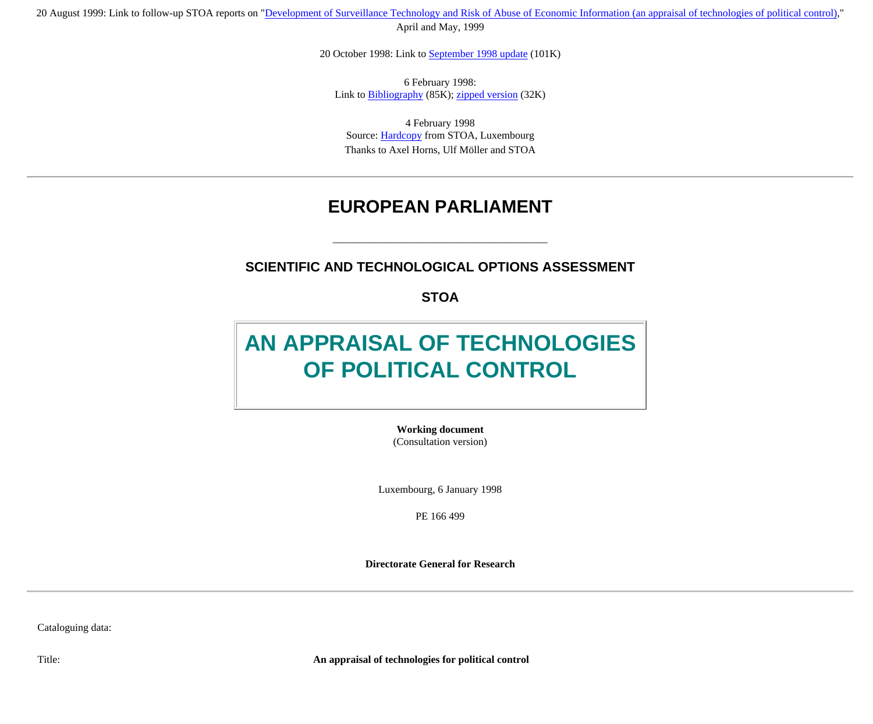20 August 1999: Link to follow-up STOA reports on ["Development of Surveillance Technology and Risk of Abuse of Economic Information \(an appraisal of technologies of political control\),](http://cryptome.org/dst-1.htm)" April and May, 1999

20 October 1998: Link to [September 1998 update](http://cryptome.org/stoa-atpc-so.htm) (101K)

6 February 1998: Link to [Bibliography](http://cryptome.org/stoa-bib.htm) (85K); [zipped version](http://cryptome.org/stoa-bib.zip) (32K)

4 February 1998 Source: [Hardcopy](http://cryptome.org/stoa-atpc.htm#hardcopy) from STOA, Luxembourg Thanks to Axel Horns, Ulf Möller and STOA

### **EUROPEAN PARLIAMENT**

#### **SCIENTIFIC AND TECHNOLOGICAL OPTIONS ASSESSMENT**

\_\_\_\_\_\_\_\_\_\_\_\_\_\_\_\_\_\_\_\_\_\_\_\_\_\_\_\_\_\_\_\_\_\_\_\_\_\_\_\_\_

**STOA** 

# **AN APPRAISAL OF TECHNOLOGIES OF POLITICAL CONTROL**

**Working document** (Consultation version)

Luxembourg, 6 January 1998

PE 166 499

**Directorate General for Research**

Cataloguing data:

Title: **An appraisal of technologies for political control**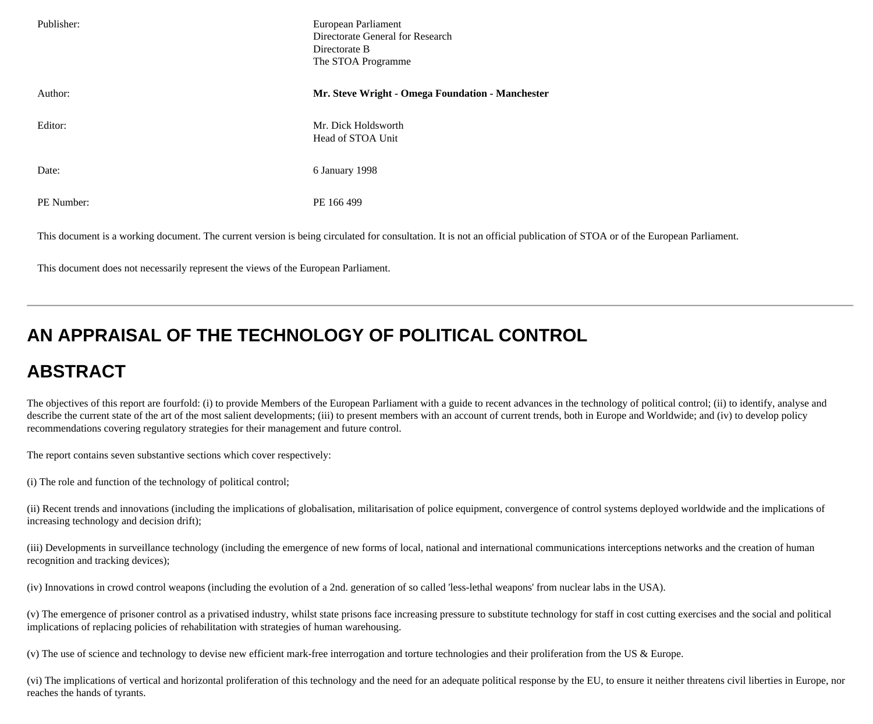| Publisher: | European Parliament<br>Directorate General for Research<br>Directorate B<br>The STOA Programme                                                                          |
|------------|-------------------------------------------------------------------------------------------------------------------------------------------------------------------------|
| Author:    | Mr. Steve Wright - Omega Foundation - Manchester                                                                                                                        |
| Editor:    | Mr. Dick Holdsworth<br>Head of STOA Unit                                                                                                                                |
| Date:      | 6 January 1998                                                                                                                                                          |
| PE Number: | PE 166 499                                                                                                                                                              |
|            | This document is a working document. The current version is being circulated for consultation. It is not an official publication of STOA or of the European Parliament. |

This document does not necessarily represent the views of the European Parliament.

# **AN APPRAISAL OF THE TECHNOLOGY OF POLITICAL CONTROL**

# **ABSTRACT**

The objectives of this report are fourfold: (i) to provide Members of the European Parliament with a guide to recent advances in the technology of political control; (ii) to identify, analyse and describe the current state of the art of the most salient developments; (iii) to present members with an account of current trends, both in Europe and Worldwide; and (iv) to develop policy recommendations covering regulatory strategies for their management and future control.

The report contains seven substantive sections which cover respectively:

(i) The role and function of the technology of political control;

(ii) Recent trends and innovations (including the implications of globalisation, militarisation of police equipment, convergence of control systems deployed worldwide and the implications of increasing technology and decision drift);

(iii) Developments in surveillance technology (including the emergence of new forms of local, national and international communications interceptions networks and the creation of human recognition and tracking devices);

(iv) Innovations in crowd control weapons (including the evolution of a 2nd. generation of so called 'less-lethal weapons' from nuclear labs in the USA).

(v) The emergence of prisoner control as a privatised industry, whilst state prisons face increasing pressure to substitute technology for staff in cost cutting exercises and the social and political implications of replacing policies of rehabilitation with strategies of human warehousing.

(v) The use of science and technology to devise new efficient mark-free interrogation and torture technologies and their proliferation from the US & Europe.

(vi) The implications of vertical and horizontal proliferation of this technology and the need for an adequate political response by the EU, to ensure it neither threatens civil liberties in Europe, nor reaches the hands of tyrants.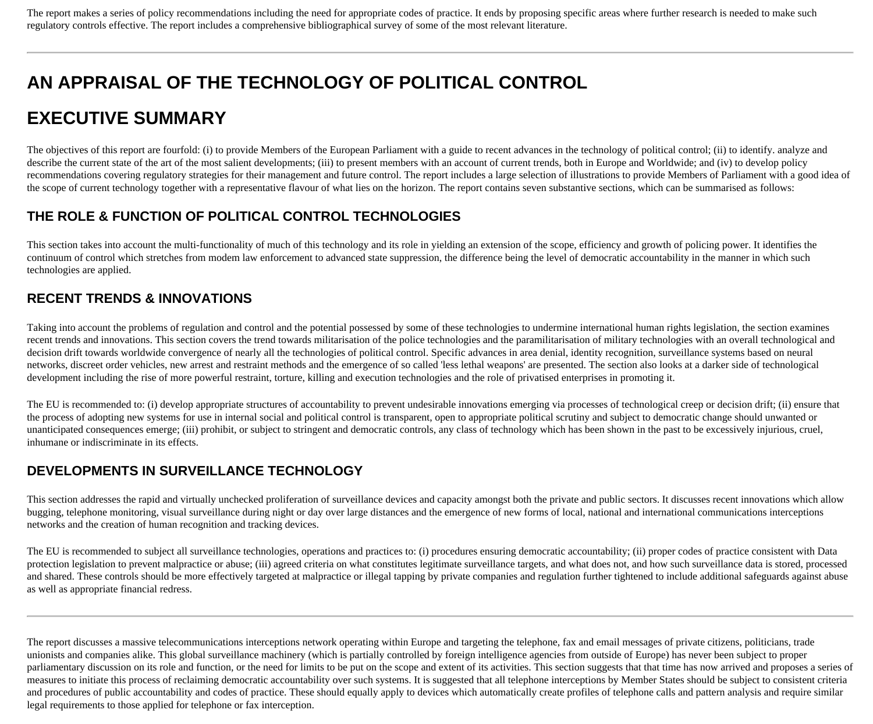The report makes a series of policy recommendations including the need for appropriate codes of practice. It ends by proposing specific areas where further research is needed to make such regulatory controls effective. The report includes a comprehensive bibliographical survey of some of the most relevant literature.

# **AN APPRAISAL OF THE TECHNOLOGY OF POLITICAL CONTROL**

# **EXECUTIVE SUMMARY**

The objectives of this report are fourfold: (i) to provide Members of the European Parliament with a guide to recent advances in the technology of political control; (ii) to identify. analyze and describe the current state of the art of the most salient developments; (iii) to present members with an account of current trends, both in Europe and Worldwide; and (iv) to develop policy recommendations covering regulatory strategies for their management and future control. The report includes a large selection of illustrations to provide Members of Parliament with a good idea of the scope of current technology together with a representative flavour of what lies on the horizon. The report contains seven substantive sections, which can be summarised as follows:

### **THE ROLE & FUNCTION OF POLITICAL CONTROL TECHNOLOGIES**

This section takes into account the multi-functionality of much of this technology and its role in yielding an extension of the scope, efficiency and growth of policing power. It identifies the continuum of control which stretches from modem law enforcement to advanced state suppression, the difference being the level of democratic accountability in the manner in which such technologies are applied.

### **RECENT TRENDS & INNOVATIONS**

Taking into account the problems of regulation and control and the potential possessed by some of these technologies to undermine international human rights legislation, the section examines recent trends and innovations. This section covers the trend towards militarisation of the police technologies and the paramilitarisation of military technologies with an overall technological and decision drift towards worldwide convergence of nearly all the technologies of political control. Specific advances in area denial, identity recognition, surveillance systems based on neural networks, discreet order vehicles, new arrest and restraint methods and the emergence of so called 'less lethal weapons' are presented. The section also looks at a darker side of technological development including the rise of more powerful restraint, torture, killing and execution technologies and the role of privatised enterprises in promoting it.

The EU is recommended to: (i) develop appropriate structures of accountability to prevent undesirable innovations emerging via processes of technological creep or decision drift; (ii) ensure that the process of adopting new systems for use in internal social and political control is transparent, open to appropriate political scrutiny and subject to democratic change should unwanted or unanticipated consequences emerge; (iii) prohibit, or subject to stringent and democratic controls, any class of technology which has been shown in the past to be excessively injurious, cruel, inhumane or indiscriminate in its effects.

### **DEVELOPMENTS IN SURVEILLANCE TECHNOLOGY**

This section addresses the rapid and virtually unchecked proliferation of surveillance devices and capacity amongst both the private and public sectors. It discusses recent innovations which allow bugging, telephone monitoring, visual surveillance during night or day over large distances and the emergence of new forms of local, national and international communications interceptions networks and the creation of human recognition and tracking devices.

The EU is recommended to subject all surveillance technologies, operations and practices to: (i) procedures ensuring democratic accountability; (ii) proper codes of practice consistent with Data protection legislation to prevent malpractice or abuse; (iii) agreed criteria on what constitutes legitimate surveillance targets, and what does not, and how such surveillance data is stored, processed and shared. These controls should be more effectively targeted at malpractice or illegal tapping by private companies and regulation further tightened to include additional safeguards against abuse as well as appropriate financial redress.

The report discusses a massive telecommunications interceptions network operating within Europe and targeting the telephone, fax and email messages of private citizens, politicians, trade unionists and companies alike. This global surveillance machinery (which is partially controlled by foreign intelligence agencies from outside of Europe) has never been subject to proper parliamentary discussion on its role and function, or the need for limits to be put on the scope and extent of its activities. This section suggests that that time has now arrived and proposes a series of measures to initiate this process of reclaiming democratic accountability over such systems. It is suggested that all telephone interceptions by Member States should be subject to consistent criteria and procedures of public accountability and codes of practice. These should equally apply to devices which automatically create profiles of telephone calls and pattern analysis and require similar legal requirements to those applied for telephone or fax interception.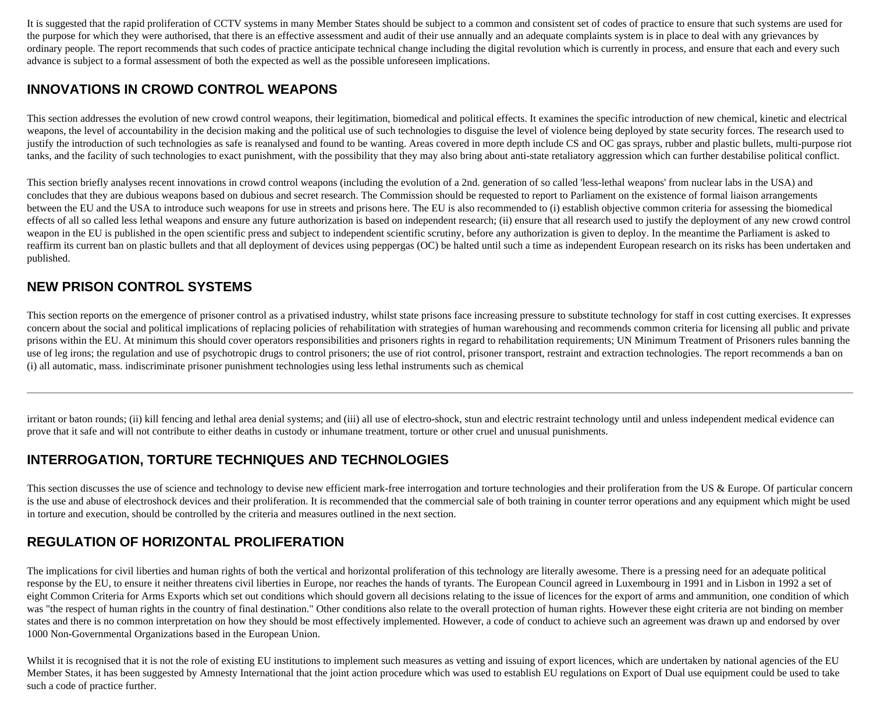It is suggested that the rapid proliferation of CCTV systems in many Member States should be subject to a common and consistent set of codes of practice to ensure that such systems are used for the purpose for which they were authorised, that there is an effective assessment and audit of their use annually and an adequate complaints system is in place to deal with any grievances by ordinary people. The report recommends that such codes of practice anticipate technical change including the digital revolution which is currently in process, and ensure that each and every such advance is subject to a formal assessment of both the expected as well as the possible unforeseen implications.

### **INNOVATIONS IN CROWD CONTROL WEAPONS**

This section addresses the evolution of new crowd control weapons, their legitimation, biomedical and political effects. It examines the specific introduction of new chemical, kinetic and electrical weapons, the level of accountability in the decision making and the political use of such technologies to disguise the level of violence being deployed by state security forces. The research used to justify the introduction of such technologies as safe is reanalysed and found to be wanting. Areas covered in more depth include CS and OC gas sprays, rubber and plastic bullets, multi-purpose riot tanks, and the facility of such technologies to exact punishment, with the possibility that they may also bring about anti-state retaliatory aggression which can further destabilise political conflict.

This section briefly analyses recent innovations in crowd control weapons (including the evolution of a 2nd. generation of so called 'less-lethal weapons' from nuclear labs in the USA) and concludes that they are dubious weapons based on dubious and secret research. The Commission should be requested to report to Parliament on the existence of formal liaison arrangements between the EU and the USA to introduce such weapons for use in streets and prisons here. The EU is also recommended to (i) establish objective common criteria for assessing the biomedical effects of all so called less lethal weapons and ensure any future authorization is based on independent research; (ii) ensure that all research used to justify the deployment of any new crowd control weapon in the EU is published in the open scientific press and subject to independent scientific scrutiny, before any authorization is given to deploy. In the meantime the Parliament is asked to reaffirm its current ban on plastic bullets and that all deployment of devices using peppergas (OC) be halted until such a time as independent European research on its risks has been undertaken and published.

### **NEW PRISON CONTROL SYSTEMS**

This section reports on the emergence of prisoner control as a privatised industry, whilst state prisons face increasing pressure to substitute technology for staff in cost cutting exercises. It expresses concern about the social and political implications of replacing policies of rehabilitation with strategies of human warehousing and recommends common criteria for licensing all public and private prisons within the EU. At minimum this should cover operators responsibilities and prisoners rights in regard to rehabilitation requirements; UN Minimum Treatment of Prisoners rules banning the use of leg irons; the regulation and use of psychotropic drugs to control prisoners; the use of riot control, prisoner transport, restraint and extraction technologies. The report recommends a ban on (i) all automatic, mass. indiscriminate prisoner punishment technologies using less lethal instruments such as chemical

irritant or baton rounds; (ii) kill fencing and lethal area denial systems; and (iii) all use of electro-shock, stun and electric restraint technology until and unless independent medical evidence can prove that it safe and will not contribute to either deaths in custody or inhumane treatment, torture or other cruel and unusual punishments.

### **INTERROGATION, TORTURE TECHNIQUES AND TECHNOLOGIES**

This section discusses the use of science and technology to devise new efficient mark-free interrogation and torture technologies and their proliferation from the US & Europe. Of particular concern is the use and abuse of electroshock devices and their proliferation. It is recommended that the commercial sale of both training in counter terror operations and any equipment which might be used in torture and execution, should be controlled by the criteria and measures outlined in the next section.

### **REGULATION OF HORIZONTAL PROLIFERATION**

The implications for civil liberties and human rights of both the vertical and horizontal proliferation of this technology are literally awesome. There is a pressing need for an adequate political response by the EU, to ensure it neither threatens civil liberties in Europe, nor reaches the hands of tyrants. The European Council agreed in Luxembourg in 1991 and in Lisbon in 1992 a set of eight Common Criteria for Arms Exports which set out conditions which should govern all decisions relating to the issue of licences for the export of arms and ammunition, one condition of which was "the respect of human rights in the country of final destination." Other conditions also relate to the overall protection of human rights. However these eight criteria are not binding on member states and there is no common interpretation on how they should be most effectively implemented. However, a code of conduct to achieve such an agreement was drawn up and endorsed by over 1000 Non-Governmental Organizations based in the European Union.

Whilst it is recognised that it is not the role of existing EU institutions to implement such measures as vetting and issuing of export licences, which are undertaken by national agencies of the EU Member States, it has been suggested by Amnesty International that the joint action procedure which was used to establish EU regulations on Export of Dual use equipment could be used to take such a code of practice further.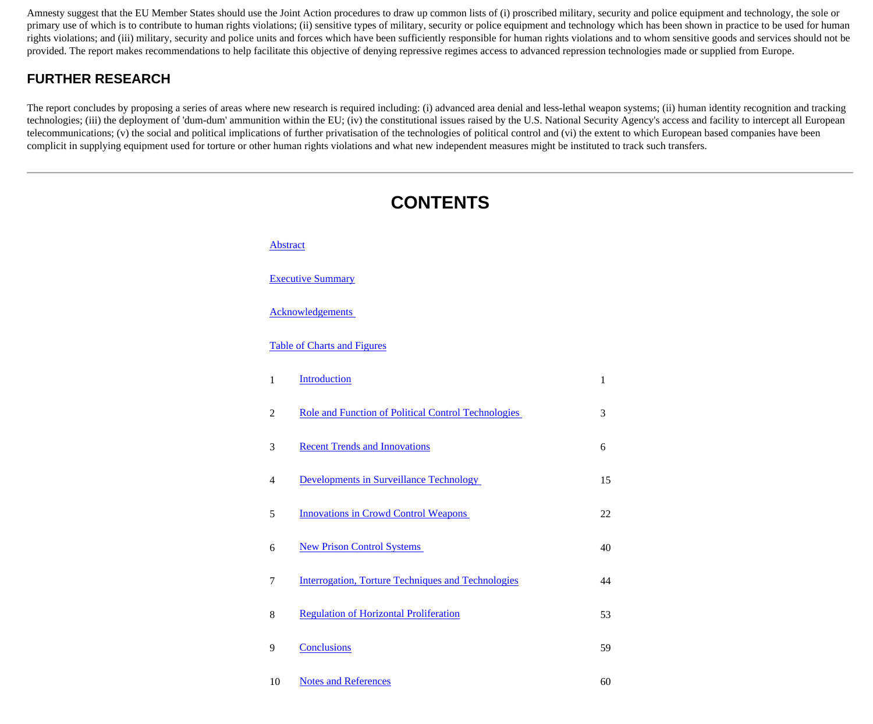Amnesty suggest that the EU Member States should use the Joint Action procedures to draw up common lists of (i) proscribed military, security and police equipment and technology, the sole or primary use of which is to contribute to human rights violations; (ii) sensitive types of military, security or police equipment and technology which has been shown in practice to be used for human rights violations; and (iii) military, security and police units and forces which have been sufficiently responsible for human rights violations and to whom sensitive goods and services should not be provided. The report makes recommendations to help facilitate this objective of denying repressive regimes access to advanced repression technologies made or supplied from Europe.

#### **FURTHER RESEARCH**

The report concludes by proposing a series of areas where new research is required including: (i) advanced area denial and less-lethal weapon systems; (ii) human identity recognition and tracking technologies; (iii) the deployment of 'dum-dum' ammunition within the EU; (iv) the constitutional issues raised by the U.S. National Security Agency's access and facility to intercept all European telecommunications; (v) the social and political implications of further privatisation of the technologies of political control and (vi) the extent to which European based companies have been complicit in supplying equipment used for torture or other human rights violations and what new independent measures might be instituted to track such transfers.

# **CONTENTS [Abstract](http://cryptome.org/stoa-atpc.htm#Abstract)** [Executive Summary](http://cryptome.org/stoa-atpc.htm#exec) [Acknowledgements](http://cryptome.org/stoa-atpc.htm#ack)  [Table of Charts and Figures](http://cryptome.org/stoa-atpc.htm#table) 1 [Introduction](http://cryptome.org/stoa-atpc.htm#1.) 1 2 [Role and Function of Political Control Technologies](http://cryptome.org/stoa-atpc.htm#2.) 3 3 [Recent Trends and Innovations](http://cryptome.org/stoa-atpc.htm#3.) 6 4 [Developments in Surveillance Technology](http://cryptome.org/stoa-atpc.htm#4.) 15 5 [Innovations in Crowd Control Weapons](http://cryptome.org/stoa-atpc.htm#5.) 22 6 [New Prison Control Systems](http://cryptome.org/stoa-atpc.htm#6.) 40 7 [Interrogation, Torture Techniques and Technologies](http://cryptome.org/stoa-atpc.htm#7.) 44 8 [Regulation of Horizontal Proliferation](http://cryptome.org/stoa-atpc.htm#8.) 53 9 [Conclusions](http://cryptome.org/stoa-atpc.htm#9.) 59

10 [Notes and References](http://cryptome.org/stoa-atpc.htm#notes) 60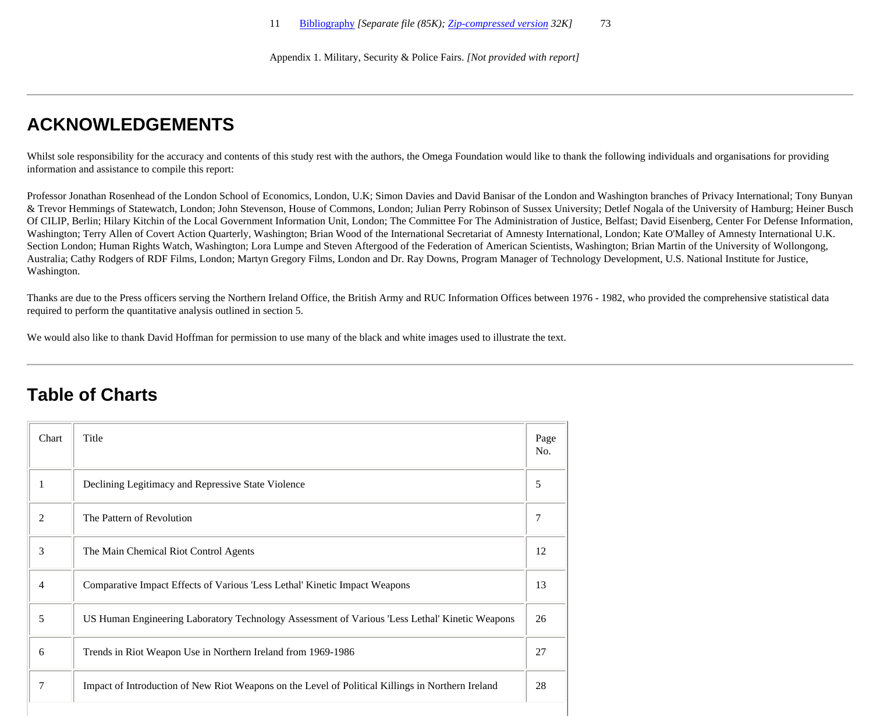Appendix 1. Military, Security & Police Fairs. *[Not provided with report]*

## **ACKNOWLEDGEMENTS**

Whilst sole responsibility for the accuracy and contents of this study rest with the authors, the Omega Foundation would like to thank the following individuals and organisations for providing information and assistance to compile this report:

Professor Jonathan Rosenhead of the London School of Economics, London, U.K; Simon Davies and David Banisar of the London and Washington branches of Privacy International; Tony Bunyan & Trevor Hemmings of Statewatch, London; John Stevenson, House of Commons, London; Julian Perry Robinson of Sussex University; Detlef Nogala of the University of Hamburg; Heiner Busch Of CILIP, Berlin; Hilary Kitchin of the Local Government Information Unit, London; The Committee For The Administration of Justice, Belfast; David Eisenberg, Center For Defense Information, Washington; Terry Allen of Covert Action Quarterly, Washington; Brian Wood of the International Secretariat of Amnesty International, London; Kate O'Malley of Amnesty International U.K. Section London; Human Rights Watch, Washington; Lora Lumpe and Steven Aftergood of the Federation of American Scientists, Washington; Brian Martin of the University of Wollongong, Australia; Cathy Rodgers of RDF Films, London; Martyn Gregory Films, London and Dr. Ray Downs, Program Manager of Technology Development, U.S. National Institute for Justice, Washington.

Thanks are due to the Press officers serving the Northern Ireland Office, the British Army and RUC Information Offices between 1976 - 1982, who provided the comprehensive statistical data required to perform the quantitative analysis outlined in section 5.

We would also like to thank David Hoffman for permission to use many of the black and white images used to illustrate the text.

### **Table of Charts**

| Chart | Title                                                                                             | Page<br>No. |
|-------|---------------------------------------------------------------------------------------------------|-------------|
| 1     | Declining Legitimacy and Repressive State Violence                                                | 5           |
| 2     | The Pattern of Revolution                                                                         | 7           |
| 3     | The Main Chemical Riot Control Agents                                                             | 12          |
| 4     | Comparative Impact Effects of Various 'Less Lethal' Kinetic Impact Weapons                        | 13          |
| 5     | US Human Engineering Laboratory Technology Assessment of Various 'Less Lethal' Kinetic Weapons    | 26          |
| 6     | Trends in Riot Weapon Use in Northern Ireland from 1969-1986                                      | 27          |
| 7     | Impact of Introduction of New Riot Weapons on the Level of Political Killings in Northern Ireland | 28          |
|       |                                                                                                   |             |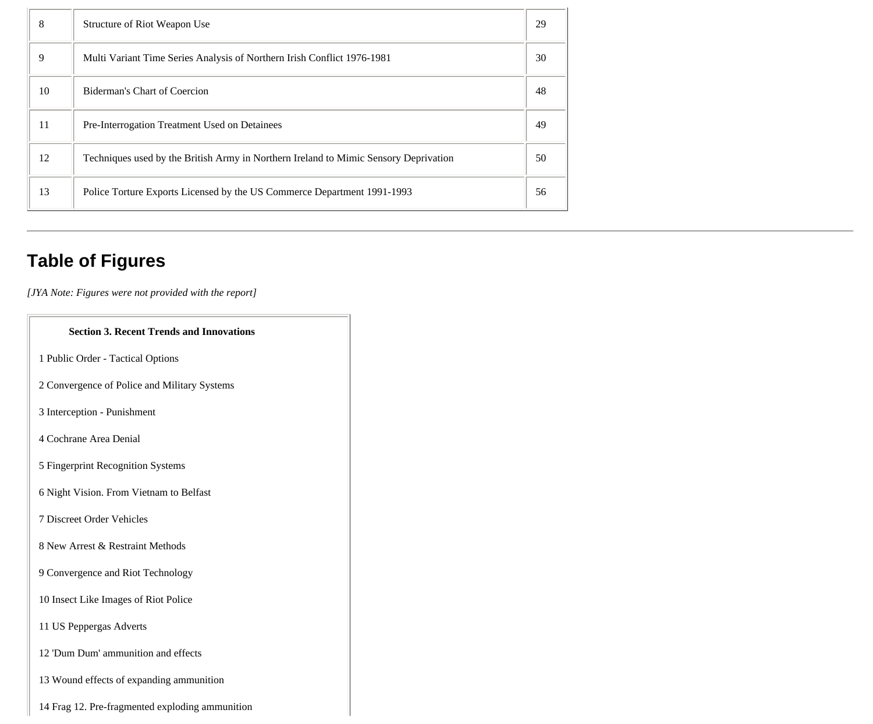| 8  | Structure of Riot Weapon Use                                                         | 29 |
|----|--------------------------------------------------------------------------------------|----|
| 9  | Multi Variant Time Series Analysis of Northern Irish Conflict 1976-1981              | 30 |
| 10 | Biderman's Chart of Coercion                                                         | 48 |
| 11 | Pre-Interrogation Treatment Used on Detainees                                        | 49 |
| 12 | Techniques used by the British Army in Northern Ireland to Mimic Sensory Deprivation | 50 |
| 13 | Police Torture Exports Licensed by the US Commerce Department 1991-1993              | 56 |

# **Table of Figures**

 $\Box$ 

*[JYA Note: Figures were not provided with the report]*

| <b>Section 3. Recent Trends and Innovations</b> |
|-------------------------------------------------|
| 1 Public Order - Tactical Options               |
| 2 Convergence of Police and Military Systems    |
| 3 Interception - Punishment                     |
| 4 Cochrane Area Denial                          |
| 5 Fingerprint Recognition Systems               |
| 6 Night Vision. From Vietnam to Belfast         |
| 7 Discreet Order Vehicles                       |
| 8 New Arrest & Restraint Methods                |
| 9 Convergence and Riot Technology               |
| 10 Insect Like Images of Riot Police            |
| 11 US Peppergas Adverts                         |
| 12 'Dum Dum' ammunition and effects             |
| 13 Wound effects of expanding ammunition        |
| 14 Frag 12. Pre-fragmented exploding ammunition |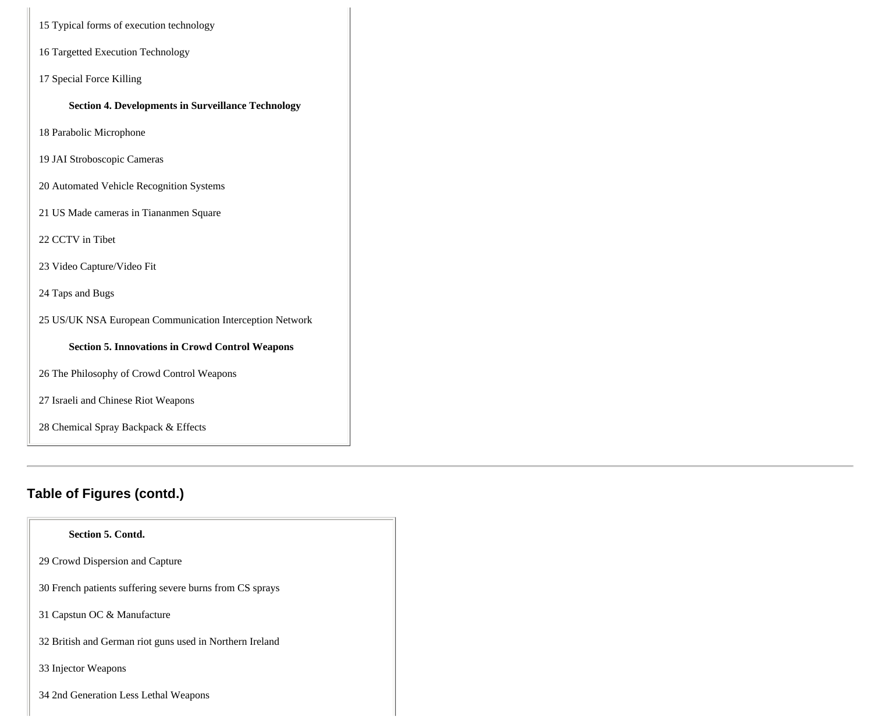|  |  |  |  |  | 15 Typical forms of execution technology |
|--|--|--|--|--|------------------------------------------|
|--|--|--|--|--|------------------------------------------|

- 16 Targetted Execution Technology
- 17 Special Force Killing

**Section 4. Developments in Surveillance Technology** 

18 Parabolic Microphone

19 JAI Stroboscopic Cameras

20 Automated Vehicle Recognition Systems

21 US Made cameras in Tiananmen Square

22 CCTV in Tibet

23 Video Capture/Video Fit

24 Taps and Bugs

25 US/UK NSA European Communication Interception Network

**Section 5. Innovations in Crowd Control Weapons** 

26 The Philosophy of Crowd Control Weapons

27 Israeli and Chinese Riot Weapons

28 Chemical Spray Backpack & Effects

### **Table of Figures (contd.)**

| <b>Section 5. Contd.</b>                                 |
|----------------------------------------------------------|
| 29 Crowd Dispersion and Capture                          |
| 30 French patients suffering severe burns from CS sprays |
| 31 Capstun OC & Manufacture                              |
| 32 British and German riot guns used in Northern Ireland |
| 33 Injector Weapons                                      |
| 34 2nd Generation Less Lethal Weapons                    |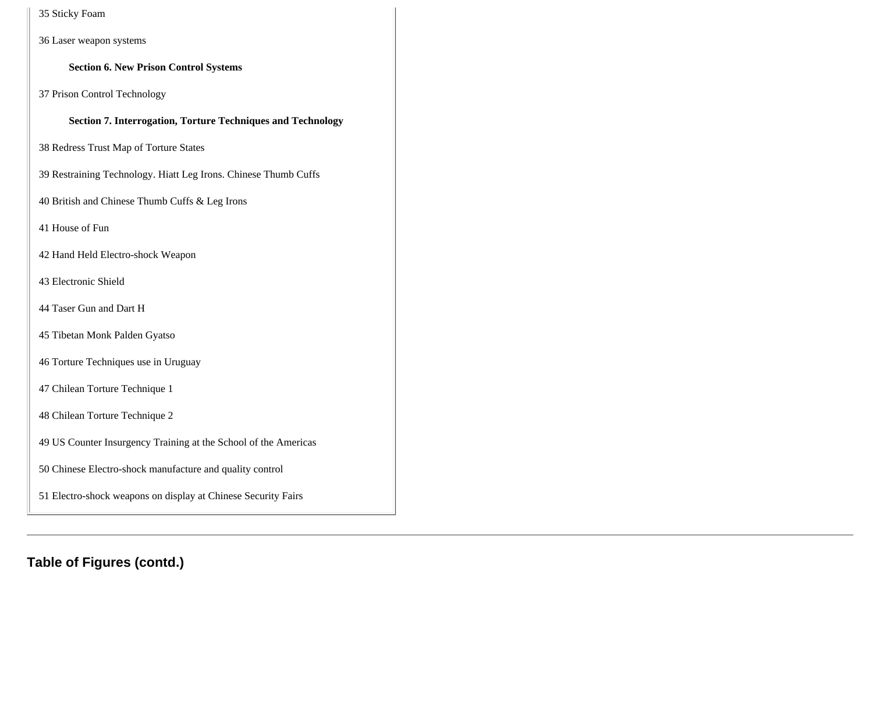35 Sticky Foam

36 Laser weapon systems

**Section 6. New Prison Control Systems** 

37 Prison Control Technology

**Section 7. Interrogation, Torture Techniques and Technology** 

38 Redress Trust Map of Torture States

39 Restraining Technology. Hiatt Leg Irons. Chinese Thumb Cuffs

40 British and Chinese Thumb Cuffs & Leg Irons

41 House of Fun

42 Hand Held Electro-shock Weapon

43 Electronic Shield

44 Taser Gun and Dart H

45 Tibetan Monk Palden Gyatso

46 Torture Techniques use in Uruguay

47 Chilean Torture Technique 1

48 Chilean Torture Technique 2

49 US Counter Insurgency Training at the School of the Americas

50 Chinese Electro-shock manufacture and quality control

51 Electro-shock weapons on display at Chinese Security Fairs

**Table of Figures (contd.)**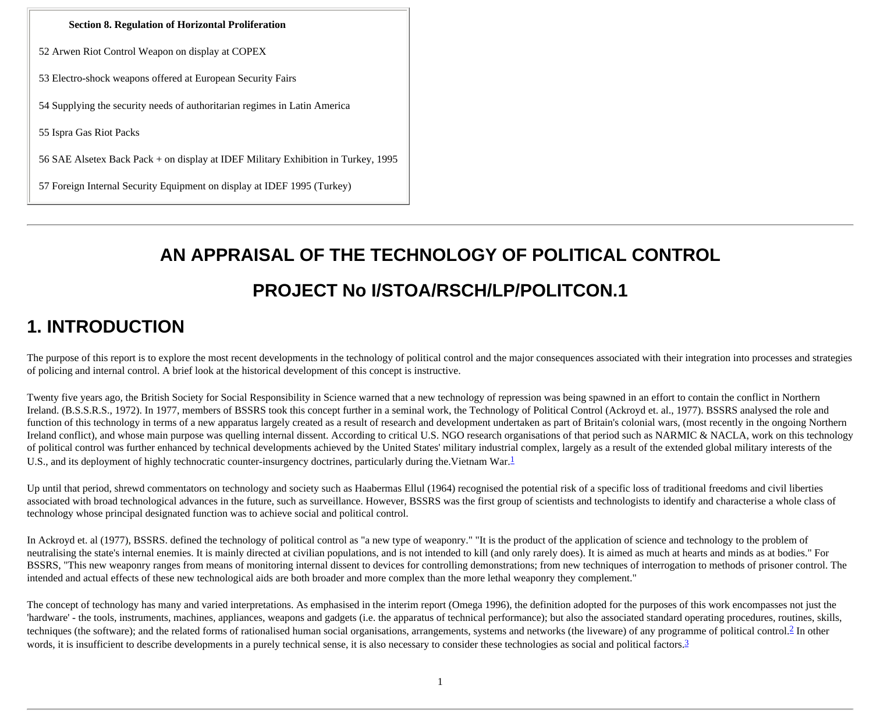#### **Section 8. Regulation of Horizontal Proliferation**

52 Arwen Riot Control Weapon on display at COPEX

53 Electro-shock weapons offered at European Security Fairs

54 Supplying the security needs of authoritarian regimes in Latin America

55 Ispra Gas Riot Packs

56 SAE Alsetex Back Pack + on display at IDEF Military Exhibition in Turkey, 1995

57 Foreign Internal Security Equipment on display at IDEF 1995 (Turkey)

# **AN APPRAISAL OF THE TECHNOLOGY OF POLITICAL CONTROL PROJECT No I/STOA/RSCH/LP/POLITCON.1**

### **1. INTRODUCTION**

The purpose of this report is to explore the most recent developments in the technology of political control and the major consequences associated with their integration into processes and strategies of policing and internal control. A brief look at the historical development of this concept is instructive.

Twenty five years ago, the British Society for Social Responsibility in Science warned that a new technology of repression was being spawned in an effort to contain the conflict in Northern Ireland. (B.S.S.R.S., 1972). In 1977, members of BSSRS took this concept further in a seminal work, the Technology of Political Control (Ackroyd et. al., 1977). BSSRS analysed the role and function of this technology in terms of a new apparatus largely created as a result of research and development undertaken as part of Britain's colonial wars, (most recently in the ongoing Northern Ireland conflict), and whose main purpose was quelling internal dissent. According to critical U.S. NGO research organisations of that period such as NARMIC & NACLA, work on this technology of political control was further enhanced by technical developments achieved by the United States' military industrial complex, largely as a result of the extended global military interests of the U.S., and its deployment of highly technocratic counter-insurgency doctrines, particularly during the Vietnam War.<sup>[1](http://cryptome.org/stoa-atpc.htm#1)</sup>

Up until that period, shrewd commentators on technology and society such as Haabermas Ellul (1964) recognised the potential risk of a specific loss of traditional freedoms and civil liberties associated with broad technological advances in the future, such as surveillance. However, BSSRS was the first group of scientists and technologists to identify and characterise a whole class of technology whose principal designated function was to achieve social and political control.

In Ackroyd et. al (1977), BSSRS. defined the technology of political control as "a new type of weaponry." "It is the product of the application of science and technology to the problem of neutralising the state's internal enemies. It is mainly directed at civilian populations, and is not intended to kill (and only rarely does). It is aimed as much at hearts and minds as at bodies." For BSSRS, "This new weaponry ranges from means of monitoring internal dissent to devices for controlling demonstrations; from new techniques of interrogation to methods of prisoner control. The intended and actual effects of these new technological aids are both broader and more complex than the more lethal weaponry they complement."

The concept of technology has many and varied interpretations. As emphasised in the interim report (Omega 1996), the definition adopted for the purposes of this work encompasses not just the 'hardware' - the tools, instruments, machines, appliances, weapons and gadgets (i.e. the apparatus of technical performance); but also the associated standard operating procedures, routines, skills, techniques (the software); and the related forms of rationalised human social organisations, arrangements, systems and networks (the liveware) of any programme of political control.<sup>[2](http://cryptome.org/stoa-atpc.htm#2)</sup> In other words, it is insufficient to describe developments in a purely technical sense, it is also necessary to consider these technologies as social and political factors.<sup>[3](http://cryptome.org/stoa-atpc.htm#3)</sup>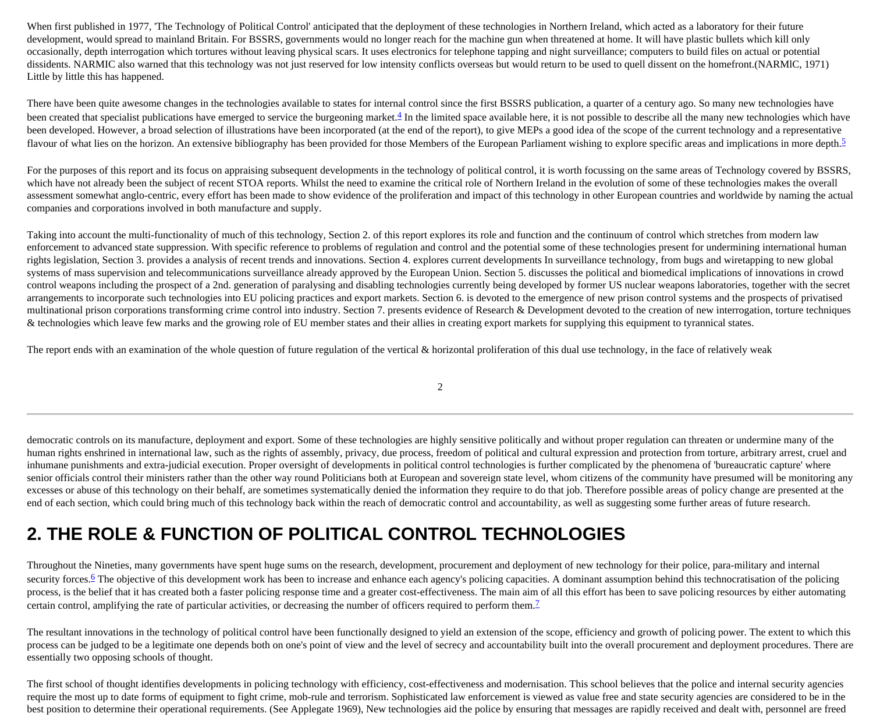When first published in 1977, 'The Technology of Political Control' anticipated that the deployment of these technologies in Northern Ireland, which acted as a laboratory for their future development, would spread to mainland Britain. For BSSRS, governments would no longer reach for the machine gun when threatened at home. It will have plastic bullets which kill only occasionally, depth interrogation which tortures without leaving physical scars. It uses electronics for telephone tapping and night surveillance; computers to build files on actual or potential dissidents. NARMIC also warned that this technology was not just reserved for low intensity conflicts overseas but would return to be used to quell dissent on the homefront.(NARMIC, 1971) Little by little this has happened.

There have been quite awesome changes in the technologies available to states for internal control since the first BSSRS publication, a quarter of a century ago. So many new technologies have been created that specialist publications have emerged to service the burgeoning market.<sup>4</sup> In the limited space available here, it is not possible to describe all the many new technologies which have been developed. However, a broad selection of illustrations have been incorporated (at the end of the report), to give MEPs a good idea of the scope of the current technology and a representative flavour of what lies on the horizon. An extensive bibliography has been provided for those Members of the European Parliament wishing to explore specific areas and implications in more depth.<sup>[5](http://cryptome.org/stoa-atpc.htm#5)</sup>

For the purposes of this report and its focus on appraising subsequent developments in the technology of political control, it is worth focussing on the same areas of Technology covered by BSSRS, which have not already been the subject of recent STOA reports. Whilst the need to examine the critical role of Northern Ireland in the evolution of some of these technologies makes the overall assessment somewhat anglo-centric, every effort has been made to show evidence of the proliferation and impact of this technology in other European countries and worldwide by naming the actual companies and corporations involved in both manufacture and supply.

Taking into account the multi-functionality of much of this technology, Section 2. of this report explores its role and function and the continuum of control which stretches from modern law enforcement to advanced state suppression. With specific reference to problems of regulation and control and the potential some of these technologies present for undermining international human rights legislation, Section 3. provides a analysis of recent trends and innovations. Section 4. explores current developments In surveillance technology, from bugs and wiretapping to new global systems of mass supervision and telecommunications surveillance already approved by the European Union. Section 5. discusses the political and biomedical implications of innovations in crowd control weapons including the prospect of a 2nd. generation of paralysing and disabling technologies currently being developed by former US nuclear weapons laboratories, together with the secret arrangements to incorporate such technologies into EU policing practices and export markets. Section 6. is devoted to the emergence of new prison control systems and the prospects of privatised multinational prison corporations transforming crime control into industry. Section 7. presents evidence of Research & Development devoted to the creation of new interrogation, torture techniques & technologies which leave few marks and the growing role of EU member states and their allies in creating export markets for supplying this equipment to tyrannical states.

The report ends with an examination of the whole question of future regulation of the vertical  $\&$  horizontal proliferation of this dual use technology, in the face of relatively weak

2

democratic controls on its manufacture, deployment and export. Some of these technologies are highly sensitive politically and without proper regulation can threaten or undermine many of the human rights enshrined in international law, such as the rights of assembly, privacy, due process, freedom of political and cultural expression and protection from torture, arbitrary arrest, cruel and inhumane punishments and extra-judicial execution. Proper oversight of developments in political control technologies is further complicated by the phenomena of 'bureaucratic capture' where senior officials control their ministers rather than the other way round Politicians both at European and sovereign state level, whom citizens of the community have presumed will be monitoring any excesses or abuse of this technology on their behalf, are sometimes systematically denied the information they require to do that job. Therefore possible areas of policy change are presented at the end of each section, which could bring much of this technology back within the reach of democratic control and accountability, as well as suggesting some further areas of future research.

# **2. THE ROLE & FUNCTION OF POLITICAL CONTROL TECHNOLOGIES**

Throughout the Nineties, many governments have spent huge sums on the research, development, procurement and deployment of new technology for their police, para-military and internal security forces.<sup>[6](http://cryptome.org/stoa-atpc.htm#6)</sup> The objective of this development work has been to increase and enhance each agency's policing capacities. A dominant assumption behind this technocratisation of the policing process, is the belief that it has created both a faster policing response time and a greater cost-effectiveness. The main aim of all this effort has been to save policing resources by either automating certain control, amplifying the rate of particular activities, or decreasing the number of officers required to perform them.<sup>[7](http://cryptome.org/stoa-atpc.htm#7)</sup>

The resultant innovations in the technology of political control have been functionally designed to yield an extension of the scope, efficiency and growth of policing power. The extent to which this process can be judged to be a legitimate one depends both on one's point of view and the level of secrecy and accountability built into the overall procurement and deployment procedures. There are essentially two opposing schools of thought.

The first school of thought identifies developments in policing technology with efficiency, cost-effectiveness and modernisation. This school believes that the police and internal security agencies require the most up to date forms of equipment to fight crime, mob-rule and terrorism. Sophisticated law enforcement is viewed as value free and state security agencies are considered to be in the best position to determine their operational requirements. (See Applegate 1969), New technologies aid the police by ensuring that messages are rapidly received and dealt with, personnel are freed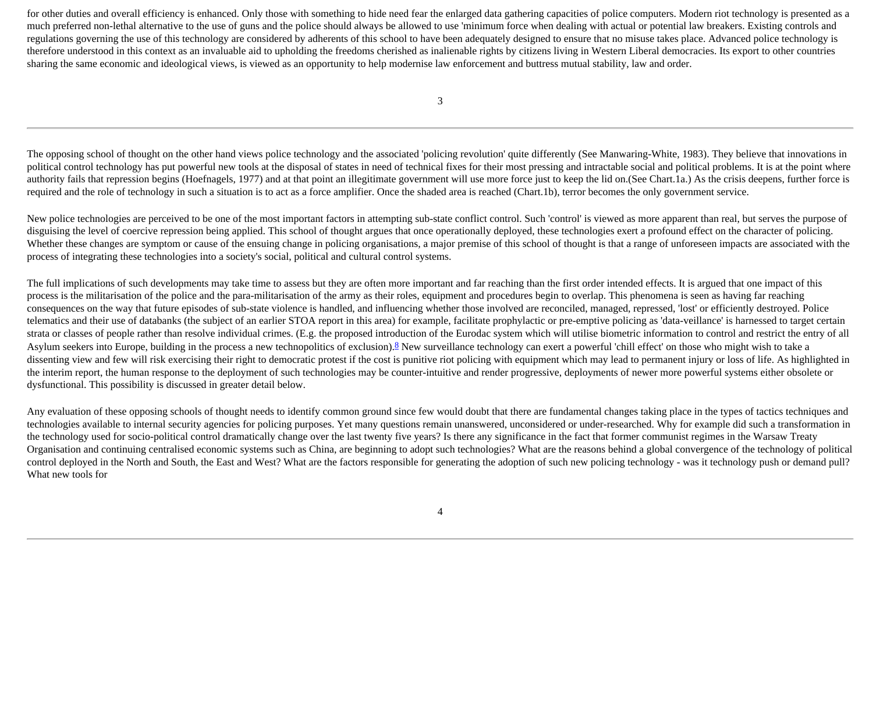for other duties and overall efficiency is enhanced. Only those with something to hide need fear the enlarged data gathering capacities of police computers. Modern riot technology is presented as a much preferred non-lethal alternative to the use of guns and the police should always be allowed to use 'minimum force when dealing with actual or potential law breakers. Existing controls and regulations governing the use of this technology are considered by adherents of this school to have been adequately designed to ensure that no misuse takes place. Advanced police technology is therefore understood in this context as an invaluable aid to upholding the freedoms cherished as inalienable rights by citizens living in Western Liberal democracies. Its export to other countries sharing the same economic and ideological views, is viewed as an opportunity to help modernise law enforcement and buttress mutual stability, law and order.

The opposing school of thought on the other hand views police technology and the associated 'policing revolution' quite differently (See Manwaring-White, 1983). They believe that innovations in political control technology has put powerful new tools at the disposal of states in need of technical fixes for their most pressing and intractable social and political problems. It is at the point where authority fails that repression begins (Hoefnagels, 1977) and at that point an illegitimate government will use more force just to keep the lid on. (See Chart.1a.) As the crisis deepens, further force is required and the role of technology in such a situation is to act as a force amplifier. Once the shaded area is reached (Chart.1b), terror becomes the only government service.

New police technologies are perceived to be one of the most important factors in attempting sub-state conflict control. Such 'control' is viewed as more apparent than real, but serves the purpose of disguising the level of coercive repression being applied. This school of thought argues that once operationally deployed, these technologies exert a profound effect on the character of policing. Whether these changes are symptom or cause of the ensuing change in policing organisations, a major premise of this school of thought is that a range of unforeseen impacts are associated with the process of integrating these technologies into a society's social, political and cultural control systems.

The full implications of such developments may take time to assess but they are often more important and far reaching than the first order intended effects. It is argued that one impact of this process is the militarisation of the police and the para-militarisation of the army as their roles, equipment and procedures begin to overlap. This phenomena is seen as having far reaching consequences on the way that future episodes of sub-state violence is handled, and influencing whether those involved are reconciled, managed, repressed, 'lost' or efficiently destroyed. Police telematics and their use of databanks (the subject of an earlier STOA report in this area) for example, facilitate prophylactic or pre-emptive policing as 'data-veillance' is harnessed to target certain strata or classes of people rather than resolve individual crimes. (E.g. the proposed introduction of the Eurodac system which will utilise biometric information to control and restrict the entry of all Asylum seekers into Europe, building in the process a new technopolitics of exclusion).<sup>[8](http://cryptome.org/stoa-atpc.htm#8)</sup> New surveillance technology can exert a powerful 'chill effect' on those who might wish to take a dissenting view and few will risk exercising their right to democratic protest if the cost is punitive riot policing with equipment which may lead to permanent injury or loss of life. As highlighted in the interim report, the human response to the deployment of such technologies may be counter-intuitive and render progressive, deployments of newer more powerful systems either obsolete or dysfunctional. This possibility is discussed in greater detail below.

Any evaluation of these opposing schools of thought needs to identify common ground since few would doubt that there are fundamental changes taking place in the types of tactics techniques and technologies available to internal security agencies for policing purposes. Yet many questions remain unanswered, unconsidered or under-researched. Why for example did such a transformation in the technology used for socio-political control dramatically change over the last twenty five years? Is there any significance in the fact that former communist regimes in the Warsaw Treaty Organisation and continuing centralised economic systems such as China, are beginning to adopt such technologies? What are the reasons behind a global convergence of the technology of political control deployed in the North and South, the East and West? What are the factors responsible for generating the adoption of such new policing technology - was it technology push or demand pull? What new tools for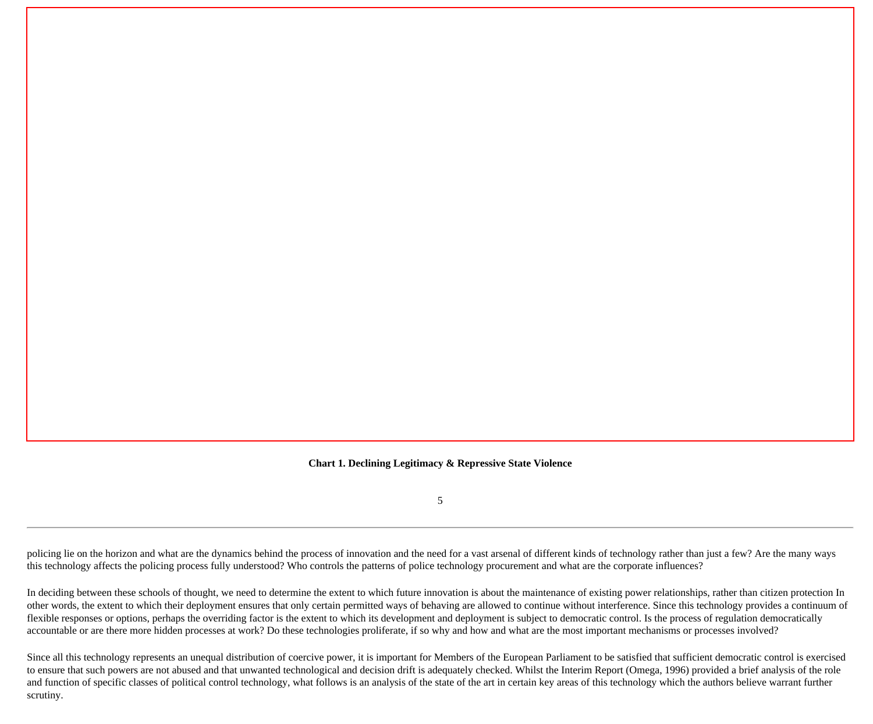**Chart 1. Declining Legitimacy & Repressive State Violence**

5

policing lie on the horizon and what are the dynamics behind the process of innovation and the need for a vast arsenal of different kinds of technology rather than just a few? Are the many ways this technology affects the policing process fully understood? Who controls the patterns of police technology procurement and what are the corporate influences?

In deciding between these schools of thought, we need to determine the extent to which future innovation is about the maintenance of existing power relationships, rather than citizen protection In other words, the extent to which their deployment ensures that only certain permitted ways of behaving are allowed to continue without interference. Since this technology provides a continuum of flexible responses or options, perhaps the overriding factor is the extent to which its development and deployment is subject to democratic control. Is the process of regulation democratically accountable or are there more hidden processes at work? Do these technologies proliferate, if so why and how and what are the most important mechanisms or processes involved?

Since all this technology represents an unequal distribution of coercive power, it is important for Members of the European Parliament to be satisfied that sufficient democratic control is exercised to ensure that such powers are not abused and that unwanted technological and decision drift is adequately checked. Whilst the Interim Report (Omega, 1996) provided a brief analysis of the role and function of specific classes of political control technology, what follows is an analysis of the state of the art in certain key areas of this technology which the authors believe warrant further scrutiny.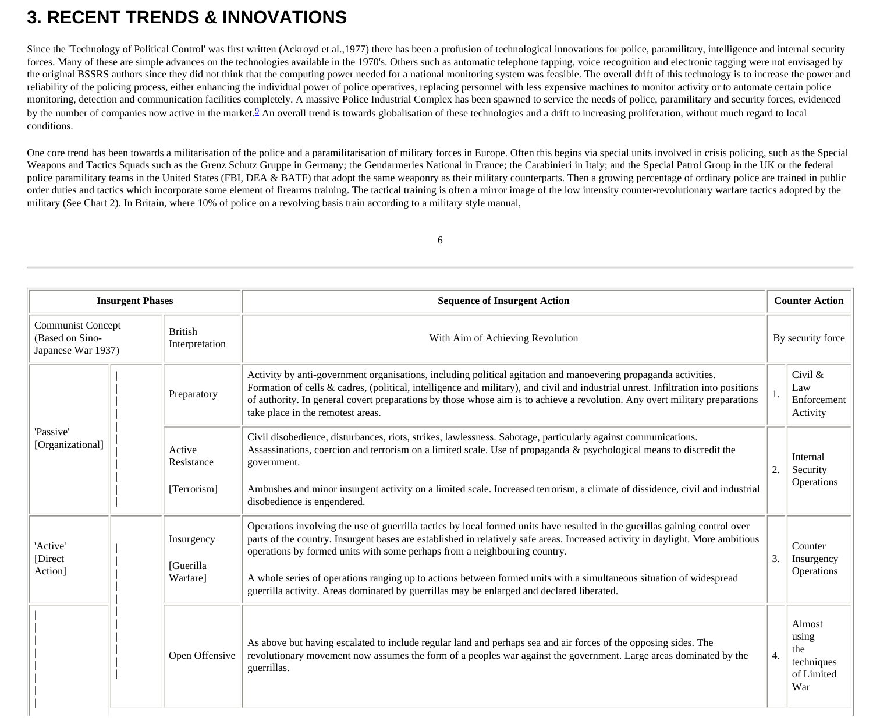# **3. RECENT TRENDS & INNOVATIONS**

Since the 'Technology of Political Control' was first written (Ackroyd et al., 1977) there has been a profusion of technological innovations for police, paramilitary, intelligence and internal security forces. Many of these are simple advances on the technologies available in the 1970's. Others such as automatic telephone tapping, voice recognition and electronic tagging were not envisaged by the original BSSRS authors since they did not think that the computing power needed for a national monitoring system was feasible. The overall drift of this technology is to increase the power and reliability of the policing process, either enhancing the individual power of police operatives, replacing personnel with less expensive machines to monitor activity or to automate certain police monitoring, detection and communication facilities completely. A massive Police Industrial Complex has been spawned to service the needs of police, paramilitary and security forces, evidenced by the number of companies now active in the market.<sup>2</sup> An overall trend is towards globalisation of these technologies and a drift to increasing proliferation, without much regard to local conditions.

One core trend has been towards a militarisation of the police and a paramilitarisation of military forces in Europe. Often this begins via special units involved in crisis policing, such as the Special Weapons and Tactics Squads such as the Grenz Schutz Gruppe in Germany; the Gendarmeries National in France; the Carabinieri in Italy; and the Special Patrol Group in the UK or the federal police paramilitary teams in the United States (FBI, DEA & BATF) that adopt the same weaponry as their military counterparts. Then a growing percentage of ordinary police are trained in public order duties and tactics which incorporate some element of firearms training. The tactical training is often a mirror image of the low intensity counter-revolutionary warfare tactics adopted by the military (See Chart 2). In Britain, where 10% of police on a revolving basis train according to a military style manual,

| ٠<br>٠      |  |
|-------------|--|
| I<br>I<br>× |  |
| ٠           |  |

| <b>Insurgent Phases</b>                                                                               |  |                                     | <b>Sequence of Insurgent Action</b>                                                                                                                                                                                                                                                                                                                                                                                                                                                                                                                            | <b>Counter Action</b> |                                                           |
|-------------------------------------------------------------------------------------------------------|--|-------------------------------------|----------------------------------------------------------------------------------------------------------------------------------------------------------------------------------------------------------------------------------------------------------------------------------------------------------------------------------------------------------------------------------------------------------------------------------------------------------------------------------------------------------------------------------------------------------------|-----------------------|-----------------------------------------------------------|
| <b>Communist Concept</b><br><b>British</b><br>(Based on Sino-<br>Interpretation<br>Japanese War 1937) |  |                                     | With Aim of Achieving Revolution                                                                                                                                                                                                                                                                                                                                                                                                                                                                                                                               | By security force     |                                                           |
|                                                                                                       |  | Preparatory                         | Activity by anti-government organisations, including political agitation and manoevering propaganda activities.<br>Formation of cells $\&$ cadres, (political, intelligence and military), and civil and industrial unrest. Infiltration into positions<br>of authority. In general covert preparations by those whose aim is to achieve a revolution. Any overt military preparations<br>take place in the remotest areas.                                                                                                                                    |                       | Civil $\&$<br>Law<br>Enforcement<br>Activity              |
| 'Passive'<br>[Organizational]                                                                         |  | Active<br>Resistance<br>[Terrorism] | Civil disobedience, disturbances, riots, strikes, lawlessness. Sabotage, particularly against communications.<br>Assassinations, coercion and terrorism on a limited scale. Use of propaganda & psychological means to discredit the<br>government.<br>Ambushes and minor insurgent activity on a limited scale. Increased terrorism, a climate of dissidence, civil and industrial<br>disobedience is engendered.                                                                                                                                             | 2.                    | Internal<br>Security<br>Operations                        |
| 'Active'<br>[Direct]<br>Action]                                                                       |  | Insurgency<br>[Guerilla<br>Warfare] | Operations involving the use of guerrilla tactics by local formed units have resulted in the guerillas gaining control over<br>parts of the country. Insurgent bases are established in relatively safe areas. Increased activity in daylight. More ambitious<br>operations by formed units with some perhaps from a neighbouring country.<br>A whole series of operations ranging up to actions between formed units with a simultaneous situation of widespread<br>guerrilla activity. Areas dominated by guerrillas may be enlarged and declared liberated. | 3.                    | Counter<br>Insurgency<br>Operations                       |
|                                                                                                       |  | Open Offensive                      | As above but having escalated to include regular land and perhaps sea and air forces of the opposing sides. The<br>revolutionary movement now assumes the form of a peoples war against the government. Large areas dominated by the<br>guerrillas.                                                                                                                                                                                                                                                                                                            | 4.                    | Almost<br>using<br>the<br>techniques<br>of Limited<br>War |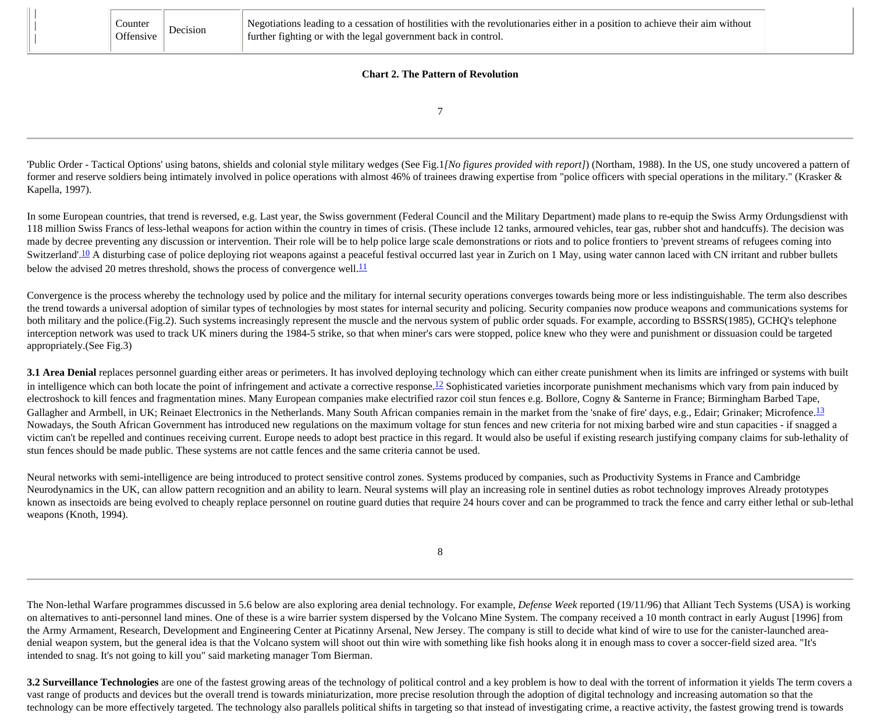|                                           | Counter<br>Offensive | Decision | Negotiations leading to a cessation of hostilities with the revolutionaries either in a position to achieve their aim without<br>further fighting or with the legal government back in control. |  |  |  |  |  |
|-------------------------------------------|----------------------|----------|-------------------------------------------------------------------------------------------------------------------------------------------------------------------------------------------------|--|--|--|--|--|
| <b>Chart 2. The Pattern of Revolution</b> |                      |          |                                                                                                                                                                                                 |  |  |  |  |  |

7

'Public Order - Tactical Options' using batons, shields and colonial style military wedges (See Fig.1*[No figures provided with report]*) (Northam, 1988). In the US, one study uncovered a pattern of former and reserve soldiers being intimately involved in police operations with almost 46% of trainees drawing expertise from "police officers with special operations in the military." (Krasker & Kapella, 1997).

In some European countries, that trend is reversed, e.g. Last year, the Swiss government (Federal Council and the Military Department) made plans to re-equip the Swiss Army Ordungsdienst with 118 million Swiss Francs of less-lethal weapons for action within the country in times of crisis. (These include 12 tanks, armoured vehicles, tear gas, rubber shot and handcuffs). The decision was made by decree preventing any discussion or intervention. Their role will be to help police large scale demonstrations or riots and to police frontiers to 'prevent streams of refugees coming into Switzerland'.<sup>10</sup> A disturbing case of police deploying riot weapons against a peaceful festival occurred last year in Zurich on 1 May, using water cannon laced with CN irritant and rubber bullets below the advised 20 metres threshold, shows the process of convergence well. $\frac{11}{12}$  $\frac{11}{12}$  $\frac{11}{12}$ 

Convergence is the process whereby the technology used by police and the military for internal security operations converges towards being more or less indistinguishable. The term also describes the trend towards a universal adoption of similar types of technologies by most states for internal security and policing. Security companies now produce weapons and communications systems for both military and the police.(Fig.2). Such systems increasingly represent the muscle and the nervous system of public order squads. For example, according to BSSRS(1985), GCHQ's telephone interception network was used to track UK miners during the 1984-5 strike, so that when miner's cars were stopped, police knew who they were and punishment or dissuasion could be targeted appropriately.(See Fig.3)

**3.1 Area Denial** replaces personnel guarding either areas or perimeters. It has involved deploying technology which can either create punishment when its limits are infringed or systems with built in intelligence which can both locate the point of infringement and activate a corrective response.<sup>12</sup> Sophisticated varieties incorporate punishment mechanisms which vary from pain induced by electroshock to kill fences and fragmentation mines. Many European companies make electrified razor coil stun fences e.g. Bollore, Cogny & Santerne in France; Birmingham Barbed Tape, Gallagher and Armbell, in UK; Reinaet Electronics in the Netherlands. Many South African companies remain in the market from the 'snake of fire' days, e.g., Edair; Grinaker; Microfence.<sup>[13](http://cryptome.org/stoa-atpc.htm#13)</sup> Nowadays, the South African Government has introduced new regulations on the maximum voltage for stun fences and new criteria for not mixing barbed wire and stun capacities - if snagged a victim can't be repelled and continues receiving current. Europe needs to adopt best practice in this regard. It would also be useful if existing research justifying company claims for sub-lethality of stun fences should be made public. These systems are not cattle fences and the same criteria cannot be used.

Neural networks with semi-intelligence are being introduced to protect sensitive control zones. Systems produced by companies, such as Productivity Systems in France and Cambridge Neurodynamics in the UK, can allow pattern recognition and an ability to learn. Neural systems will play an increasing role in sentinel duties as robot technology improves Already prototypes known as insectoids are being evolved to cheaply replace personnel on routine guard duties that require 24 hours cover and can be programmed to track the fence and carry either lethal or sub-lethal weapons (Knoth, 1994).

8

The Non-lethal Warfare programmes discussed in 5.6 below are also exploring area denial technology. For example, *Defense Week* reported (19/11/96) that Alliant Tech Systems (USA) is working on alternatives to anti-personnel land mines. One of these is a wire barrier system dispersed by the Volcano Mine System. The company received a 10 month contract in early August [1996] from the Army Armament, Research, Development and Engineering Center at Picatinny Arsenal, New Jersey. The company is still to decide what kind of wire to use for the canister-launched areadenial weapon system, but the general idea is that the Volcano system will shoot out thin wire with something like fish hooks along it in enough mass to cover a soccer-field sized area. "It's intended to snag. It's not going to kill you" said marketing manager Tom Bierman.

**3.2 Surveillance Technologies** are one of the fastest growing areas of the technology of political control and a key problem is how to deal with the torrent of information it yields The term covers a vast range of products and devices but the overall trend is towards miniaturization, more precise resolution through the adoption of digital technology and increasing automation so that the technology can be more effectively targeted. The technology also parallels political shifts in targeting so that instead of investigating crime, a reactive activity, the fastest growing trend is towards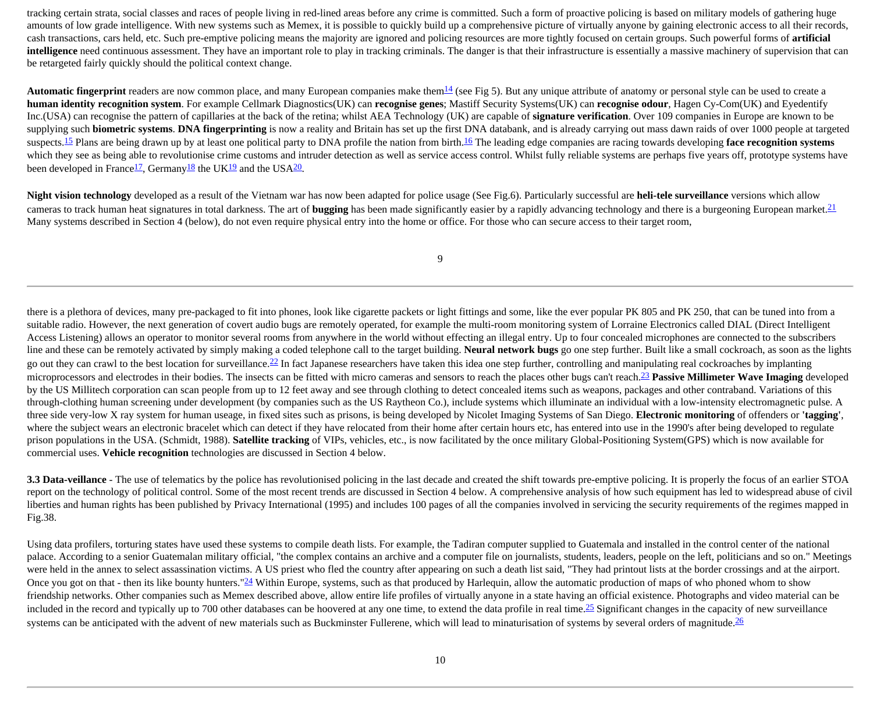tracking certain strata, social classes and races of people living in red-lined areas before any crime is committed. Such a form of proactive policing is based on military models of gathering huge amounts of low grade intelligence. With new systems such as Memex, it is possible to quickly build up a comprehensive picture of virtually anyone by gaining electronic access to all their records, cash transactions, cars held, etc. Such pre-emptive policing means the majority are ignored and policing resources are more tightly focused on certain groups. Such powerful forms of **artificial intelligence** need continuous assessment. They have an important role to play in tracking criminals. The danger is that their infrastructure is essentially a massive machinery of supervision that can be retargeted fairly quickly should the political context change.

**Automatic fingerprint** readers are now common place, and many European companies make them  $\frac{14}{3}$  $\frac{14}{3}$  $\frac{14}{3}$  (see Fig 5). But any unique attribute of anatomy or personal style can be used to create a **human identity recognition system**. For example Cellmark Diagnostics(UK) can **recognise genes**; Mastiff Security Systems(UK) can **recognise odour**, Hagen Cy-Com(UK) and Eyedentify Inc.(USA) can recognise the pattern of capillaries at the back of the retina; whilst AEA Technology (UK) are capable of **signature verification**. Over 109 companies in Europe are known to be supplying such **biometric systems**. **DNA fingerprinting** is now a reality and Britain has set up the first DNA databank, and is already carrying out mass dawn raids of over 1000 people at targeted suspects.<sup>[15](http://cryptome.org/stoa-atpc.htm#15)</sup> Plans are being drawn up by at least one political party to DNA profile the nation from birth.<sup>[16](http://cryptome.org/stoa-atpc.htm#16)</sup> The leading edge companies are racing towards developing **face recognition systems** which they see as being able to revolutionise crime customs and intruder detection as well as service access control. Whilst fully reliable systems are perhaps five years off, prototype systems have been developed in France<sup>17</sup>, Germany<sup>[18](http://cryptome.org/stoa-atpc.htm#18)</sup> the UK<sup>[19](http://cryptome.org/stoa-atpc.htm#19)</sup> and the USA<sup>20</sup>.

**Night vision technology** developed as a result of the Vietnam war has now been adapted for police usage (See Fig.6). Particularly successful are **heli-tele surveillance** versions which allow cameras to track human heat signatures in total darkness. The art of **bugging** has been made significantly easier by a rapidly advancing technology and there is a burgeoning European market.[21](http://cryptome.org/stoa-atpc.htm#21) Many systems described in Section 4 (below), do not even require physical entry into the home or office. For those who can secure access to their target room,

9

there is a plethora of devices, many pre-packaged to fit into phones, look like cigarette packets or light fittings and some, like the ever popular PK 805 and PK 250, that can be tuned into from a suitable radio. However, the next generation of covert audio bugs are remotely operated, for example the multi-room monitoring system of Lorraine Electronics called DIAL (Direct Intelligent Access Listening) allows an operator to monitor several rooms from anywhere in the world without effecting an illegal entry. Up to four concealed microphones are connected to the subscribers line and these can be remotely activated by simply making a coded telephone call to the target building. **Neural network bugs** go one step further. Built like a small cockroach, as soon as the lights go out they can crawl to the best location for surveillance.<sup>22</sup> In fact Japanese researchers have taken this idea one step further, controlling and manipulating real cockroaches by implanting microprocessors and electrodes in their bodies. The insects can be fitted with micro cameras and sensors to reach the places other bugs can't reach.[23](http://cryptome.org/stoa-atpc.htm#23) **Passive Millimeter Wave Imaging** developed by the US Millitech corporation can scan people from up to 12 feet away and see through clothing to detect concealed items such as weapons, packages and other contraband. Variations of this through-clothing human screening under development (by companies such as the US Raytheon Co.), include systems which illuminate an individual with a low-intensity electromagnetic pulse. A three side very-low X ray system for human useage, in fixed sites such as prisons, is being developed by Nicolet Imaging Systems of San Diego. **Electronic monitoring** of offenders or **'tagging'**, where the subject wears an electronic bracelet which can detect if they have relocated from their home after certain hours etc, has entered into use in the 1990's after being developed to regulate prison populations in the USA. (Schmidt, 1988). **Satellite tracking** of VIPs, vehicles, etc., is now facilitated by the once military Global-Positioning System(GPS) which is now available for commercial uses. **Vehicle recognition** technologies are discussed in Section 4 below.

**3.3 Data-veillance** - The use of telematics by the police has revolutionised policing in the last decade and created the shift towards pre-emptive policing. It is properly the focus of an earlier STOA report on the technology of political control. Some of the most recent trends are discussed in Section 4 below. A comprehensive analysis of how such equipment has led to widespread abuse of civil liberties and human rights has been published by Privacy International (1995) and includes 100 pages of all the companies involved in servicing the security requirements of the regimes mapped in Fig.38.

Using data profilers, torturing states have used these systems to compile death lists. For example, the Tadiran computer supplied to Guatemala and installed in the control center of the national palace. According to a senior Guatemalan military official, "the complex contains an archive and a computer file on journalists, students, leaders, people on the left, politicians and so on." Meetings were held in the annex to select assassination victims. A US priest who fled the country after appearing on such a death list said, "They had printout lists at the border crossings and at the airport. Once you got on that - then its like bounty hunters." $\frac{24}{24}$  Within Europe, systems, such as that produced by Harlequin, allow the automatic production of maps of who phoned whom to show friendship networks. Other companies such as Memex described above, allow entire life profiles of virtually anyone in a state having an official existence. Photographs and video material can be included in the record and typically up to 700 other databases can be hoovered at any one time, to extend the data profile in real time.<sup>[25](http://cryptome.org/stoa-atpc.htm#25)</sup> Significant changes in the capacity of new surveillance systems can be anticipated with the advent of new materials such as Buckminster Fullerene, which will lead to minaturisation of systems by several orders of magnitude.<sup>[26](http://cryptome.org/stoa-atpc.htm#26)</sup>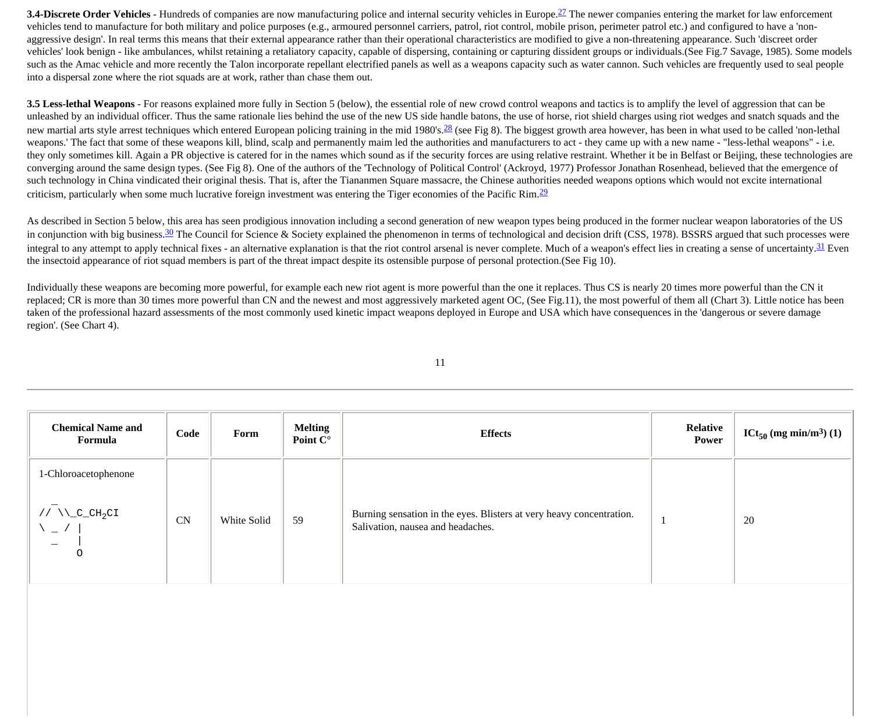**3.4-Discrete Order Vehicles** - Hundreds of companies are now manufacturing police and internal security vehicles in Europe.<sup>[27](http://cryptome.org/stoa-atpc.htm#27)</sup> The newer companies entering the market for law enforcement vehicles tend to manufacture for both military and police purposes (e.g., armoured personnel carriers, patrol, riot control, mobile prison, perimeter patrol etc.) and configured to have a 'nonaggressive design'. In real terms this means that their external appearance rather than their operational characteristics are modified to give a non-threatening appearance. Such 'discreet order vehicles' look benign - like ambulances, whilst retaining a retaliatory capacity, capable of dispersing, containing or capturing dissident groups or individuals.(See Fig.7 Savage, 1985). Some models such as the Amac vehicle and more recently the Talon incorporate repellant electrified panels as well as a weapons capacity such as water cannon. Such vehicles are frequently used to seal people into a dispersal zone where the riot squads are at work, rather than chase them out.

**3.5 Less-lethal Weapons** - For reasons explained more fully in Section 5 (below), the essential role of new crowd control weapons and tactics is to amplify the level of aggression that can be unleashed by an individual officer. Thus the same rationale lies behind the use of the new US side handle batons, the use of horse, riot shield charges using riot wedges and snatch squads and the new martial arts style arrest techniques which entered European policing training in the mid 1980's.<sup>28</sup> (see Fig 8). The biggest growth area however, has been in what used to be called 'non-lethal weapons.' The fact that some of these weapons kill, blind, scalp and permanently maim led the authorities and manufacturers to act - they came up with a new name - "less-lethal weapons" - i.e. they only sometimes kill. Again a PR objective is catered for in the names which sound as if the security forces are using relative restraint. Whether it be in Belfast or Beijing, these technologies are converging around the same design types. (See Fig 8). One of the authors of the 'Technology of Political Control' (Ackroyd, 1977) Professor Jonathan Rosenhead, believed that the emergence of such technology in China vindicated their original thesis. That is, after the Tiananmen Square massacre, the Chinese authorities needed weapons options which would not excite international criticism, particularly when some much lucrative foreign investment was entering the Tiger economies of the Pacific Rim[.29](http://cryptome.org/stoa-atpc.htm#29)

As described in Section 5 below, this area has seen prodigious innovation including a second generation of new weapon types being produced in the former nuclear weapon laboratories of the US in conjunction with big business.<sup>[30](http://cryptome.org/stoa-atpc.htm#30)</sup> The Council for Science & Society explained the phenomenon in terms of technological and decision drift (CSS, 1978). BSSRS argued that such processes were integral to any attempt to apply technical fixes - an alternative explanation is that the riot control arsenal is never complete. Much of a weapon's effect lies in creating a sense of uncertainty. <sup>[31](http://cryptome.org/stoa-atpc.htm#31)</sup> Even the insectoid appearance of riot squad members is part of the threat impact despite its ostensible purpose of personal protection.(See Fig 10).

Individually these weapons are becoming more powerful, for example each new riot agent is more powerful than the one it replaces. Thus CS is nearly 20 times more powerful than the CN it replaced; CR is more than 30 times more powerful than CN and the newest and most aggressively marketed agent OC, (See Fig.11), the most powerful of them all (Chart 3). Little notice has been taken of the professional hazard assessments of the most commonly used kinetic impact weapons deployed in Europe and USA which have consequences in the 'dangerous or severe damage region'. (See Chart 4).

| <b>Chemical Name and</b><br>Formula                                                                      | Code      | Form        | <b>Melting</b><br>Point C° | <b>Effects</b>                                                                                            | Relative<br>Power | $ICt_{50}$ (mg min/m <sup>3</sup> ) (1) |
|----------------------------------------------------------------------------------------------------------|-----------|-------------|----------------------------|-----------------------------------------------------------------------------------------------------------|-------------------|-----------------------------------------|
| 1-Chloroacetophenone<br>// $\Upsilon_{\text{C}}$ $\text{CH}_2\text{CI}$<br>$\overline{\phantom{a}}$<br>0 | <b>CN</b> | White Solid | 59                         | Burning sensation in the eyes. Blisters at very heavy concentration.<br>Salivation, nausea and headaches. |                   | 20                                      |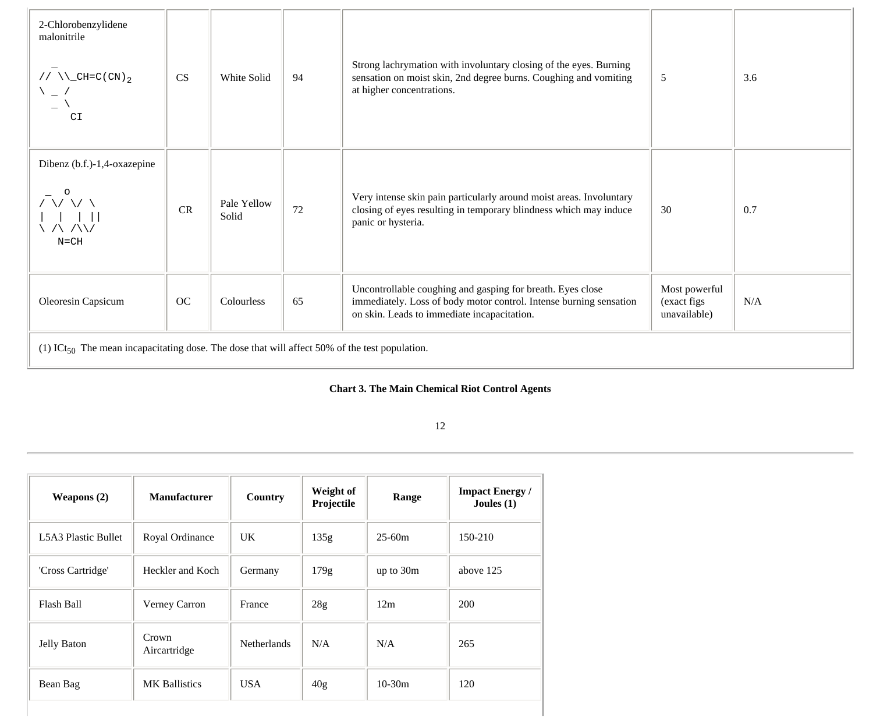| 2-Chlorobenzylidene<br>malonitrile<br>// $\Upsilon$ <sup>-CH=C(CN)</sup> 2<br>\ _ /<br>C1                 | <b>CS</b> | White Solid          | 94 | Strong lachrymation with involuntary closing of the eyes. Burning<br>sensation on moist skin, 2nd degree burns. Coughing and vomiting<br>at higher concentrations.              | 5                                            | 3.6 |  |
|-----------------------------------------------------------------------------------------------------------|-----------|----------------------|----|---------------------------------------------------------------------------------------------------------------------------------------------------------------------------------|----------------------------------------------|-----|--|
| Dibenz (b.f.)-1,4-oxazepine<br>$\sqrt{2}$<br>. /\ /\\/<br>$N = CH$                                        | CR        | Pale Yellow<br>Solid | 72 | Very intense skin pain particularly around moist areas. Involuntary<br>closing of eyes resulting in temporary blindness which may induce<br>panic or hysteria.                  | 30                                           | 0.7 |  |
| Oleoresin Capsicum                                                                                        | OC        | Colourless           | 65 | Uncontrollable coughing and gasping for breath. Eyes close<br>immediately. Loss of body motor control. Intense burning sensation<br>on skin. Leads to immediate incapacitation. | Most powerful<br>(exact figs<br>unavailable) | N/A |  |
| (1) ICt <sub>50</sub> The mean incapacitating dose. The dose that will affect 50% of the test population. |           |                      |    |                                                                                                                                                                                 |                                              |     |  |

#### **Chart 3. The Main Chemical Riot Control Agents**

| Weapons $(2)$       | <b>Manufacturer</b>   |                    | Weight of<br>Projectile | Range       | <b>Impact Energy</b> /<br>Joules $(1)$ |
|---------------------|-----------------------|--------------------|-------------------------|-------------|----------------------------------------|
| L5A3 Plastic Bullet | Royal Ordinance       | UK                 | 135g                    | $25-60m$    | 150-210                                |
| 'Cross Cartridge'   | Heckler and Koch      | Germany            | 179g                    | up to $30m$ | above 125                              |
| Flash Ball          | Verney Carron         | France             | 28g                     | 12m         | 200                                    |
| Jelly Baton         | Crown<br>Aircartridge | <b>Netherlands</b> | N/A                     | N/A         | 265                                    |
| Bean Bag            | <b>MK</b> Ballistics  | <b>USA</b>         | 40g                     | $10-30m$    | 120                                    |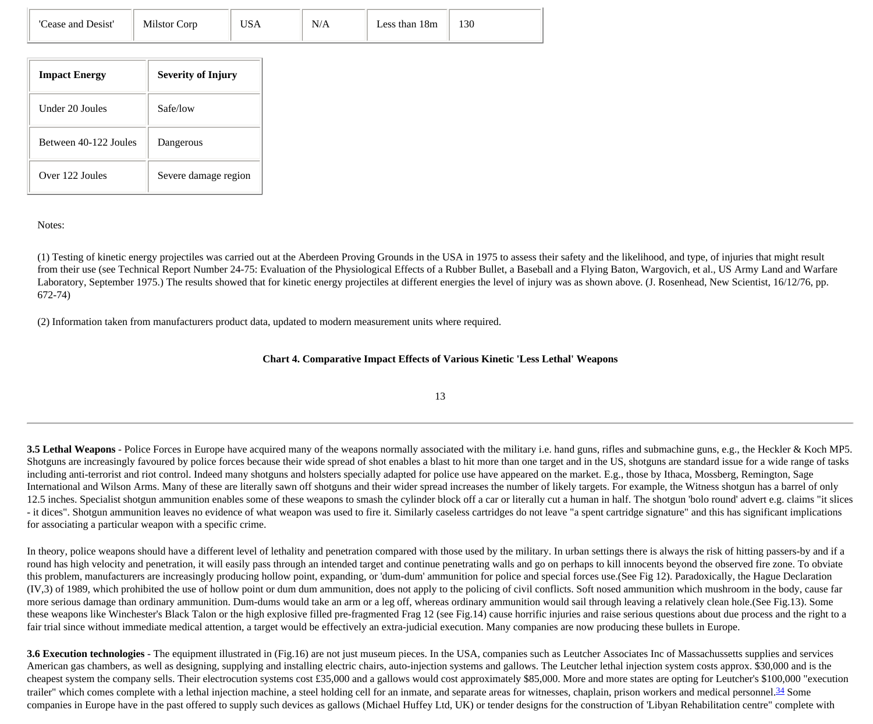| <b>Impact Energy</b>  | <b>Severity of Injury</b> |
|-----------------------|---------------------------|
| Under 20 Joules       | Safe/low                  |
| Between 40-122 Joules | Dangerous                 |
| Over 122 Joules       | Severe damage region      |

#### Notes:

(1) Testing of kinetic energy projectiles was carried out at the Aberdeen Proving Grounds in the USA in 1975 to assess their safety and the likelihood, and type, of injuries that might result from their use (see Technical Report Number 24-75: Evaluation of the Physiological Effects of a Rubber Bullet, a Baseball and a Flying Baton, Wargovich, et al., US Army Land and Warfare Laboratory, September 1975.) The results showed that for kinetic energy projectiles at different energies the level of injury was as shown above. (J. Rosenhead, New Scientist, 16/12/76, pp. 672-74)

(2) Information taken from manufacturers product data, updated to modern measurement units where required.

#### **Chart 4. Comparative Impact Effects of Various Kinetic 'Less Lethal' Weapons**

13

**3.5 Lethal Weapons** - Police Forces in Europe have acquired many of the weapons normally associated with the military i.e. hand guns, rifles and submachine guns, e.g., the Heckler & Koch MP5. Shotguns are increasingly favoured by police forces because their wide spread of shot enables a blast to hit more than one target and in the US, shotguns are standard issue for a wide range of tasks including anti-terrorist and riot control. Indeed many shotguns and holsters specially adapted for police use have appeared on the market. E.g., those by Ithaca, Mossberg, Remington, Sage International and Wilson Arms. Many of these are literally sawn off shotguns and their wider spread increases the number of likely targets. For example, the Witness shotgun has a barrel of only 12.5 inches. Specialist shotgun ammunition enables some of these weapons to smash the cylinder block off a car or literally cut a human in half. The shotgun 'bolo round' advert e.g. claims "it slices - it dices". Shotgun ammunition leaves no evidence of what weapon was used to fire it. Similarly caseless cartridges do not leave "a spent cartridge signature" and this has significant implications for associating a particular weapon with a specific crime.

In theory, police weapons should have a different level of lethality and penetration compared with those used by the military. In urban settings there is always the risk of hitting passers-by and if a round has high velocity and penetration, it will easily pass through an intended target and continue penetrating walls and go on perhaps to kill innocents beyond the observed fire zone. To obviate this problem, manufacturers are increasingly producing hollow point, expanding, or 'dum-dum' ammunition for police and special forces use.(See Fig 12). Paradoxically, the Hague Declaration (IV,3) of 1989, which prohibited the use of hollow point or dum dum ammunition, does not apply to the policing of civil conflicts. Soft nosed ammunition which mushroom in the body, cause far more serious damage than ordinary ammunition. Dum-dums would take an arm or a leg off, whereas ordinary ammunition would sail through leaving a relatively clean hole.(See Fig.13). Some these weapons like Winchester's Black Talon or the high explosive filled pre-fragmented Frag 12 (see Fig.14) cause horrific injuries and raise serious questions about due process and the right to a fair trial since without immediate medical attention, a target would be effectively an extra-judicial execution. Many companies are now producing these bullets in Europe.

**3.6 Execution technologies** - The equipment illustrated in (Fig.16) are not just museum pieces. In the USA, companies such as Leutcher Associates Inc of Massachussetts supplies and services American gas chambers, as well as designing, supplying and installing electric chairs, auto-injection systems and gallows. The Leutcher lethal injection system costs approx. \$30,000 and is the cheapest system the company sells. Their electrocution systems cost £35,000 and a gallows would cost approximately \$85,000. More and more states are opting for Leutcher's \$100,000 "execution trailer" which comes complete with a lethal injection machine, a steel holding cell for an inmate, and separate areas for witnesses, chaplain, prison workers and medical personnel.<sup>[34](http://cryptome.org/stoa-atpc.htm#34)</sup> Some companies in Europe have in the past offered to supply such devices as gallows (Michael Huffey Ltd, UK) or tender designs for the construction of 'Libyan Rehabilitation centre" complete with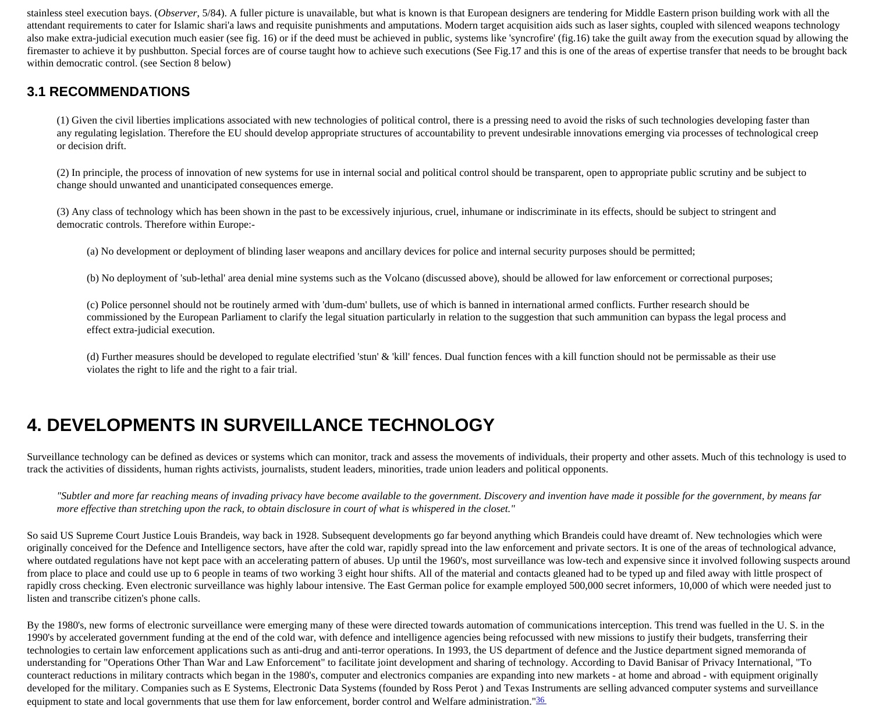stainless steel execution bays. (*Observer*, 5/84). A fuller picture is unavailable, but what is known is that European designers are tendering for Middle Eastern prison building work with all the attendant requirements to cater for Islamic shari'a laws and requisite punishments and amputations. Modern target acquisition aids such as laser sights, coupled with silenced weapons technology also make extra-judicial execution much easier (see fig. 16) or if the deed must be achieved in public, systems like 'syncrofire' (fig.16) take the guilt away from the execution squad by allowing the firemaster to achieve it by pushbutton. Special forces are of course taught how to achieve such executions (See Fig.17 and this is one of the areas of expertise transfer that needs to be brought back within democratic control. (see Section 8 below)

#### **3.1 RECOMMENDATIONS**

(1) Given the civil liberties implications associated with new technologies of political control, there is a pressing need to avoid the risks of such technologies developing faster than any regulating legislation. Therefore the EU should develop appropriate structures of accountability to prevent undesirable innovations emerging via processes of technological creep or decision drift.

(2) In principle, the process of innovation of new systems for use in internal social and political control should be transparent, open to appropriate public scrutiny and be subject to change should unwanted and unanticipated consequences emerge.

(3) Any class of technology which has been shown in the past to be excessively injurious, cruel, inhumane or indiscriminate in its effects, should be subject to stringent and democratic controls. Therefore within Europe:-

(a) No development or deployment of blinding laser weapons and ancillary devices for police and internal security purposes should be permitted;

(b) No deployment of 'sub-lethal' area denial mine systems such as the Volcano (discussed above), should be allowed for law enforcement or correctional purposes;

(c) Police personnel should not be routinely armed with 'dum-dum' bullets, use of which is banned in international armed conflicts. Further research should be commissioned by the European Parliament to clarify the legal situation particularly in relation to the suggestion that such ammunition can bypass the legal process and effect extra-judicial execution.

(d) Further measures should be developed to regulate electrified 'stun' & 'kill' fences. Dual function fences with a kill function should not be permissable as their use violates the right to life and the right to a fair trial.

# **4. DEVELOPMENTS IN SURVEILLANCE TECHNOLOGY**

Surveillance technology can be defined as devices or systems which can monitor, track and assess the movements of individuals, their property and other assets. Much of this technology is used to track the activities of dissidents, human rights activists, journalists, student leaders, minorities, trade union leaders and political opponents.

*"Subtler and more far reaching means of invading privacy have become available to the government. Discovery and invention have made it possible for the government, by means far more effective than stretching upon the rack, to obtain disclosure in court of what is whispered in the closet."*

So said US Supreme Court Justice Louis Brandeis, way back in 1928. Subsequent developments go far beyond anything which Brandeis could have dreamt of. New technologies which were originally conceived for the Defence and Intelligence sectors, have after the cold war, rapidly spread into the law enforcement and private sectors. It is one of the areas of technological advance, where outdated regulations have not kept pace with an accelerating pattern of abuses. Up until the 1960's, most surveillance was low-tech and expensive since it involved following suspects around from place to place and could use up to 6 people in teams of two working 3 eight hour shifts. All of the material and contacts gleaned had to be typed up and filed away with little prospect of rapidly cross checking. Even electronic surveillance was highly labour intensive. The East German police for example employed 500,000 secret informers, 10,000 of which were needed just to listen and transcribe citizen's phone calls.

By the 1980's, new forms of electronic surveillance were emerging many of these were directed towards automation of communications interception. This trend was fuelled in the U.S. in the 1990's by accelerated government funding at the end of the cold war, with defence and intelligence agencies being refocussed with new missions to justify their budgets, transferring their technologies to certain law enforcement applications such as anti-drug and anti-terror operations. In 1993, the US department of defence and the Justice department signed memoranda of understanding for "Operations Other Than War and Law Enforcement" to facilitate joint development and sharing of technology. According to David Banisar of Privacy International, "To counteract reductions in military contracts which began in the 1980's, computer and electronics companies are expanding into new markets - at home and abroad - with equipment originally developed for the military. Companies such as E Systems, Electronic Data Systems (founded by Ross Perot) and Texas Instruments are selling advanced computer systems and surveillance equipment to state and local governments that use them for law enforcement, border control and Welfare administration."36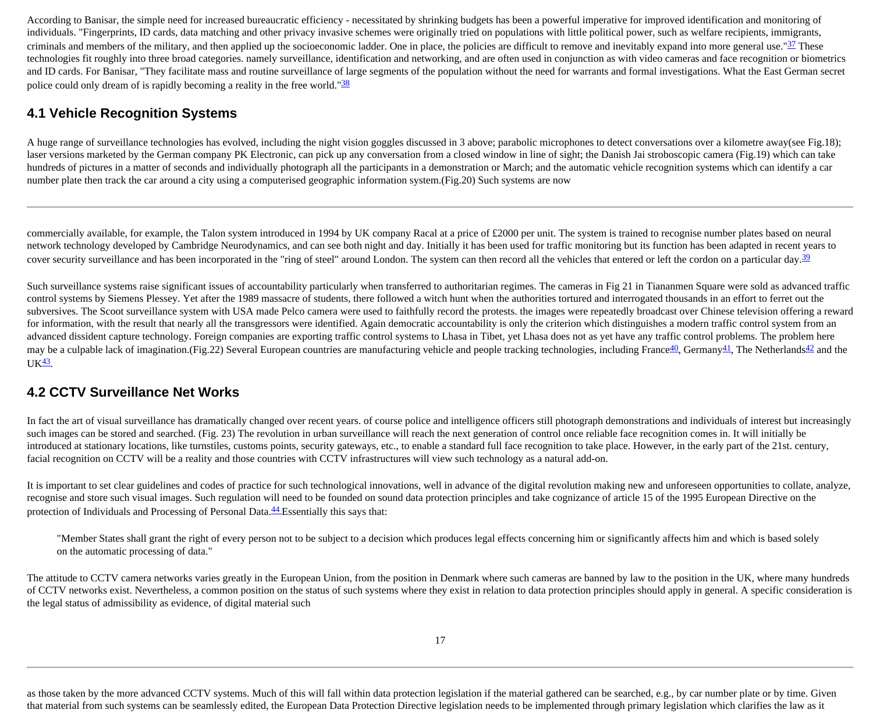According to Banisar, the simple need for increased bureaucratic efficiency - necessitated by shrinking budgets has been a powerful imperative for improved identification and monitoring of individuals. "Fingerprints, ID cards, data matching and other privacy invasive schemes were originally tried on populations with little political power, such as welfare recipients, immigrants, criminals and members of the military, and then applied up the socioeconomic ladder. One in place, the policies are difficult to remove and inevitably expand into more general use." $37$  These technologies fit roughly into three broad categories. namely surveillance, identification and networking, and are often used in conjunction as with video cameras and face recognition or biometrics and ID cards. For Banisar, "They facilitate mass and routine surveillance of large segments of the population without the need for warrants and formal investigations. What the East German secret police could only dream of is rapidly becoming a reality in the free world."<sup>[38](http://cryptome.org/stoa-atpc.htm#38)</sup>

#### **4.1 Vehicle Recognition Systems**

A huge range of surveillance technologies has evolved, including the night vision goggles discussed in 3 above; parabolic microphones to detect conversations over a kilometre away(see Fig.18); laser versions marketed by the German company PK Electronic, can pick up any conversation from a closed window in line of sight; the Danish Jai stroboscopic camera (Fig.19) which can take hundreds of pictures in a matter of seconds and individually photograph all the participants in a demonstration or March; and the automatic vehicle recognition systems which can identify a car number plate then track the car around a city using a computerised geographic information system.(Fig.20) Such systems are now

commercially available, for example, the Talon system introduced in 1994 by UK company Racal at a price of £2000 per unit. The system is trained to recognise number plates based on neural network technology developed by Cambridge Neurodynamics, and can see both night and day. Initially it has been used for traffic monitoring but its function has been adapted in recent years to cover security surveillance and has been incorporated in the "ring of steel" around London. The system can then record all the vehicles that entered or left the cordon on a particular day.<sup>[39](http://cryptome.org/stoa-atpc.htm#39)</sup>

Such surveillance systems raise significant issues of accountability particularly when transferred to authoritarian regimes. The cameras in Fig 21 in Tiananmen Square were sold as advanced traffic control systems by Siemens Plessey. Yet after the 1989 massacre of students, there followed a witch hunt when the authorities tortured and interrogated thousands in an effort to ferret out the subversives. The Scoot surveillance system with USA made Pelco camera were used to faithfully record the protests. the images were repeatedly broadcast over Chinese television offering a reward for information, with the result that nearly all the transgressors were identified. Again democratic accountability is only the criterion which distinguishes a modern traffic control system from an advanced dissident capture technology. Foreign companies are exporting traffic control systems to Lhasa in Tibet, yet Lhasa does not as yet have any traffic control problems. The problem here may be a culpable lack of imagination.(Fig.22) Several European countries are manufacturing vehicle and people tracking technologies, including France<sup>40</sup>, Germany<sup>[41](http://cryptome.org/stoa-atpc.htm#41)</sup>, The Netherlands<sup>42</sup> and the  $UK<sup>43</sup>$ .

#### **4.2 CCTV Surveillance Net Works**

In fact the art of visual surveillance has dramatically changed over recent years. of course police and intelligence officers still photograph demonstrations and individuals of interest but increasingly such images can be stored and searched. (Fig. 23) The revolution in urban surveillance will reach the next generation of control once reliable face recognition comes in. It will initially be introduced at stationary locations, like turnstiles, customs points, security gateways, etc., to enable a standard full face recognition to take place. However, in the early part of the 21st. century, facial recognition on CCTV will be a reality and those countries with CCTV infrastructures will view such technology as a natural add-on.

It is important to set clear guidelines and codes of practice for such technological innovations, well in advance of the digital revolution making new and unforeseen opportunities to collate, analyze, recognise and store such visual images. Such regulation will need to be founded on sound data protection principles and take cognizance of article 15 of the 1995 European Directive on the protection of Individuals and Processing of Personal Data.<sup>[44](http://cryptome.org/stoa-atpc.htm#44)</sup> Essentially this says that:

"Member States shall grant the right of every person not to be subject to a decision which produces legal effects concerning him or significantly affects him and which is based solely on the automatic processing of data."

The attitude to CCTV camera networks varies greatly in the European Union, from the position in Denmark where such cameras are banned by law to the position in the UK, where many hundreds of CCTV networks exist. Nevertheless, a common position on the status of such systems where they exist in relation to data protection principles should apply in general. A specific consideration is the legal status of admissibility as evidence, of digital material such

as those taken by the more advanced CCTV systems. Much of this will fall within data protection legislation if the material gathered can be searched, e.g., by car number plate or by time. Given that material from such systems can be seamlessly edited, the European Data Protection Directive legislation needs to be implemented through primary legislation which clarifies the law as it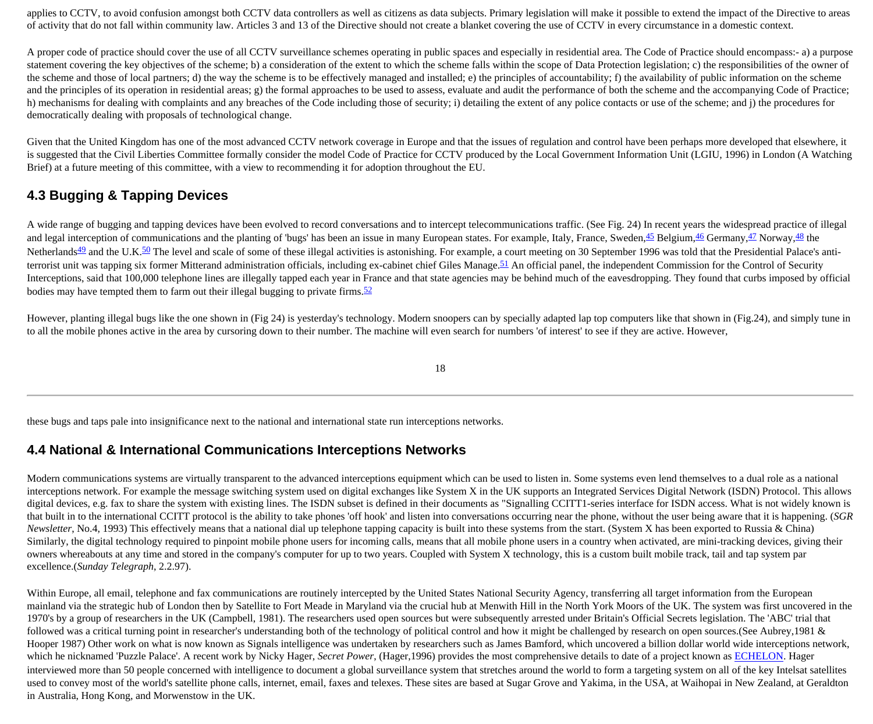applies to CCTV, to avoid confusion amongst both CCTV data controllers as well as citizens as data subjects. Primary legislation will make it possible to extend the impact of the Directive to areas of activity that do not fall within community law. Articles 3 and 13 of the Directive should not create a blanket covering the use of CCTV in every circumstance in a domestic context.

A proper code of practice should cover the use of all CCTV surveillance schemes operating in public spaces and especially in residential area. The Code of Practice should encompass:- a) a purpose statement covering the key objectives of the scheme; b) a consideration of the extent to which the scheme falls within the scope of Data Protection legislation; c) the responsibilities of the owner of the scheme and those of local partners; d) the way the scheme is to be effectively managed and installed; e) the principles of accountability; f) the availability of public information on the scheme and the principles of its operation in residential areas; g) the formal approaches to be used to assess, evaluate and audit the performance of both the scheme and the accompanying Code of Practice; h) mechanisms for dealing with complaints and any breaches of the Code including those of security; i) detailing the extent of any police contacts or use of the scheme; and j) the procedures for democratically dealing with proposals of technological change.

Given that the United Kingdom has one of the most advanced CCTV network coverage in Europe and that the issues of regulation and control have been perhaps more developed that elsewhere, it is suggested that the Civil Liberties Committee formally consider the model Code of Practice for CCTV produced by the Local Government Information Unit (LGIU, 1996) in London (A Watching Brief) at a future meeting of this committee, with a view to recommending it for adoption throughout the EU.

### **4.3 Bugging & Tapping Devices**

A wide range of bugging and tapping devices have been evolved to record conversations and to intercept telecommunications traffic. (See Fig. 24) In recent years the widespread practice of illegal and legal interception of communications and the planting of 'bugs' has been an issue in many European states. For example, Italy, France, Sweden, $45$  Belgium, $46$  Germany, $47$  Norway, $48$  the Netherlands<sup>49</sup> and the U.K.<sup>50</sup> The level and scale of some of these illegal activities is astonishing. For example, a court meeting on 30 September 1996 was told that the Presidential Palace's anti-terrorist unit was tapping six former Mitterand administration officials, including ex-cabinet chief Giles Manage. [51](http://cryptome.org/stoa-atpc.htm#51) An official panel, the independent Commission for the Control of Security Interceptions, said that 100,000 telephone lines are illegally tapped each year in France and that state agencies may be behind much of the eavesdropping. They found that curbs imposed by official bodies may have tempted them to farm out their illegal bugging to private firms. $52$ 

However, planting illegal bugs like the one shown in (Fig 24) is yesterday's technology. Modern snoopers can by specially adapted lap top computers like that shown in (Fig.24), and simply tune in to all the mobile phones active in the area by cursoring down to their number. The machine will even search for numbers 'of interest' to see if they are active. However,

18

these bugs and taps pale into insignificance next to the national and international state run interceptions networks.

#### **4.4 National & International Communications Interceptions Networks**

Modern communications systems are virtually transparent to the advanced interceptions equipment which can be used to listen in. Some systems even lend themselves to a dual role as a national interceptions network. For example the message switching system used on digital exchanges like System X in the UK supports an Integrated Services Digital Network (ISDN) Protocol. This allows digital devices, e.g. fax to share the system with existing lines. The ISDN subset is defined in their documents as "Signalling CCITT1-series interface for ISDN access. What is not widely known is that built in to the international CCITT protocol is the ability to take phones 'off hook' and listen into conversations occurring near the phone, without the user being aware that it is happening. (*SGR Newsletter*, No.4, 1993) This effectively means that a national dial up telephone tapping capacity is built into these systems from the start. (System X has been exported to Russia & China) Similarly, the digital technology required to pinpoint mobile phone users for incoming calls, means that all mobile phone users in a country when activated, are mini-tracking devices, giving their owners whereabouts at any time and stored in the company's computer for up to two years. Coupled with System X technology, this is a custom built mobile track, tail and tap system par excellence.(*Sunday Telegraph*, 2.2.97).

Within Europe, all email, telephone and fax communications are routinely intercepted by the United States National Security Agency, transferring all target information from the European mainland via the strategic hub of London then by Satellite to Fort Meade in Maryland via the crucial hub at Menwith Hill in the North York Moors of the UK. The system was first uncovered in the 1970's by a group of researchers in the UK (Campbell, 1981). The researchers used open sources but were subsequently arrested under Britain's Official Secrets legislation. The 'ABC' trial that followed was a critical turning point in researcher's understanding both of the technology of political control and how it might be challenged by research on open sources.(See Aubrey, 1981 & Hooper 1987) Other work on what is now known as Signals intelligence was undertaken by researchers such as James Bamford, which uncovered a billion dollar world wide interceptions network, which he nicknamed 'Puzzle Palace'. A recent work by Nicky Hager, *Secret Power*, (Hager,1996) provides the most comprehensive details to date of a project known as [ECHELON](http://jya.com/echelon.htm). Hager interviewed more than 50 people concerned with intelligence to document a global surveillance system that stretches around the world to form a targeting system on all of the key Intelsat satellites used to convey most of the world's satellite phone calls, internet, email, faxes and telexes. These sites are based at Sugar Grove and Yakima, in the USA, at Waihopai in New Zealand, at Geraldton in Australia, Hong Kong, and Morwenstow in the UK.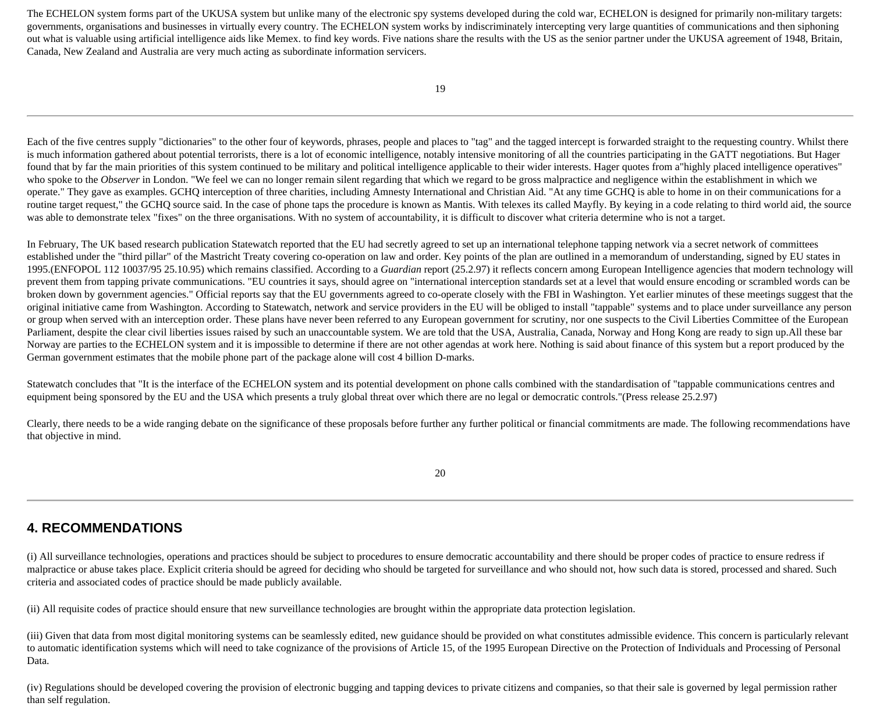The ECHELON system forms part of the UKUSA system but unlike many of the electronic spy systems developed during the cold war, ECHELON is designed for primarily non-military targets: governments, organisations and businesses in virtually every country. The ECHELON system works by indiscriminately intercepting very large quantities of communications and then siphoning out what is valuable using artificial intelligence aids like Memex. to find key words. Five nations share the results with the US as the senior partner under the UKUSA agreement of 1948, Britain, Canada, New Zealand and Australia are very much acting as subordinate information servicers.

Each of the five centres supply "dictionaries" to the other four of keywords, phrases, people and places to "tag" and the tagged intercept is forwarded straight to the requesting country. Whilst there is much information gathered about potential terrorists, there is a lot of economic intelligence, notably intensive monitoring of all the countries participating in the GATT negotiations. But Hager found that by far the main priorities of this system continued to be military and political intelligence applicable to their wider interests. Hager quotes from a highly placed intelligence operatives" who spoke to the *Observer* in London. "We feel we can no longer remain silent regarding that which we regard to be gross malpractice and negligence within the establishment in which we operate." They gave as examples. GCHQ interception of three charities, including Amnesty International and Christian Aid. "At any time GCHQ is able to home in on their communications for a routine target request," the GCHQ source said. In the case of phone taps the procedure is known as Mantis. With telexes its called Mayfly. By keying in a code relating to third world aid, the source was able to demonstrate telex "fixes" on the three organisations. With no system of accountability, it is difficult to discover what criteria determine who is not a target.

In February, The UK based research publication Statewatch reported that the EU had secretly agreed to set up an international telephone tapping network via a secret network of committees established under the "third pillar" of the Mastricht Treaty covering co-operation on law and order. Key points of the plan are outlined in a memorandum of understanding, signed by EU states in 1995.(ENFOPOL 112 10037/95 25.10.95) which remains classified. According to a *Guardian* report (25.2.97) it reflects concern among European Intelligence agencies that modern technology will prevent them from tapping private communications. "EU countries it says, should agree on "international interception standards set at a level that would ensure encoding or scrambled words can be broken down by government agencies." Official reports say that the EU governments agreed to co-operate closely with the FBI in Washington. Yet earlier minutes of these meetings suggest that the original initiative came from Washington. According to Statewatch, network and service providers in the EU will be obliged to install "tappable" systems and to place under surveillance any person or group when served with an interception order. These plans have never been referred to any European government for scrutiny, nor one suspects to the Civil Liberties Committee of the European Parliament, despite the clear civil liberties issues raised by such an unaccountable system. We are told that the USA, Australia, Canada, Norway and Hong Kong are ready to sign up.All these bar Norway are parties to the ECHELON system and it is impossible to determine if there are not other agendas at work here. Nothing is said about finance of this system but a report produced by the German government estimates that the mobile phone part of the package alone will cost 4 billion D-marks.

Statewatch concludes that "It is the interface of the ECHELON system and its potential development on phone calls combined with the standardisation of "tappable communications centres and equipment being sponsored by the EU and the USA which presents a truly global threat over which there are no legal or democratic controls."(Press release 25.2.97)

Clearly, there needs to be a wide ranging debate on the significance of these proposals before further any further political or financial commitments are made. The following recommendations have that objective in mind.

20

### **4. RECOMMENDATIONS**

(i) All surveillance technologies, operations and practices should be subject to procedures to ensure democratic accountability and there should be proper codes of practice to ensure redress if malpractice or abuse takes place. Explicit criteria should be agreed for deciding who should be targeted for surveillance and who should not, how such data is stored, processed and shared. Such criteria and associated codes of practice should be made publicly available.

(ii) All requisite codes of practice should ensure that new surveillance technologies are brought within the appropriate data protection legislation.

(iii) Given that data from most digital monitoring systems can be seamlessly edited, new guidance should be provided on what constitutes admissible evidence. This concern is particularly relevant to automatic identification systems which will need to take cognizance of the provisions of Article 15, of the 1995 European Directive on the Protection of Individuals and Processing of Personal Data.

(iv) Regulations should be developed covering the provision of electronic bugging and tapping devices to private citizens and companies, so that their sale is governed by legal permission rather than self regulation.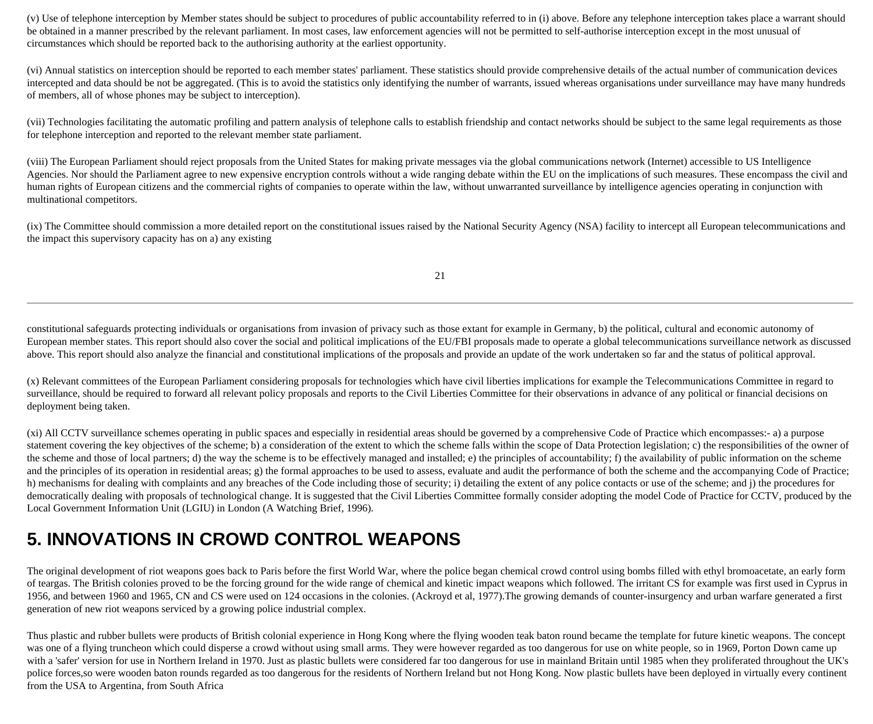(v) Use of telephone interception by Member states should be subject to procedures of public accountability referred to in (i) above. Before any telephone interception takes place a warrant should be obtained in a manner prescribed by the relevant parliament. In most cases, law enforcement agencies will not be permitted to self-authorise interception except in the most unusual of circumstances which should be reported back to the authorising authority at the earliest opportunity.

(vi) Annual statistics on interception should be reported to each member states' parliament. These statistics should provide comprehensive details of the actual number of communication devices intercepted and data should be not be aggregated. (This is to avoid the statistics only identifying the number of warrants, issued whereas organisations under surveillance may have many hundreds of members, all of whose phones may be subject to interception).

(vii) Technologies facilitating the automatic profiling and pattern analysis of telephone calls to establish friendship and contact networks should be subject to the same legal requirements as those for telephone interception and reported to the relevant member state parliament.

(viii) The European Parliament should reject proposals from the United States for making private messages via the global communications network (Internet) accessible to US Intelligence Agencies. Nor should the Parliament agree to new expensive encryption controls without a wide ranging debate within the EU on the implications of such measures. These encompass the civil and human rights of European citizens and the commercial rights of companies to operate within the law, without unwarranted surveillance by intelligence agencies operating in conjunction with multinational competitors.

(ix) The Committee should commission a more detailed report on the constitutional issues raised by the National Security Agency (NSA) facility to intercept all European telecommunications and the impact this supervisory capacity has on a) any existing

21

constitutional safeguards protecting individuals or organisations from invasion of privacy such as those extant for example in Germany, b) the political, cultural and economic autonomy of European member states. This report should also cover the social and political implications of the EU/FBI proposals made to operate a global telecommunications surveillance network as discussed above. This report should also analyze the financial and constitutional implications of the proposals and provide an update of the work undertaken so far and the status of political approval.

(x) Relevant committees of the European Parliament considering proposals for technologies which have civil liberties implications for example the Telecommunications Committee in regard to surveillance, should be required to forward all relevant policy proposals and reports to the Civil Liberties Committee for their observations in advance of any political or financial decisions on deployment being taken.

(xi) All CCTV surveillance schemes operating in public spaces and especially in residential areas should be governed by a comprehensive Code of Practice which encompasses:- a) a purpose statement covering the key objectives of the scheme; b) a consideration of the extent to which the scheme falls within the scope of Data Protection legislation; c) the responsibilities of the owner of the scheme and those of local partners; d) the way the scheme is to be effectively managed and installed; e) the principles of accountability; f) the availability of public information on the scheme and the principles of its operation in residential areas; g) the formal approaches to be used to assess, evaluate and audit the performance of both the scheme and the accompanying Code of Practice; h) mechanisms for dealing with complaints and any breaches of the Code including those of security; i) detailing the extent of any police contacts or use of the scheme; and j) the procedures for democratically dealing with proposals of technological change. It is suggested that the Civil Liberties Committee formally consider adopting the model Code of Practice for CCTV, produced by the Local Government Information Unit (LGIU) in London (A Watching Brief, 1996).

# **5. INNOVATIONS IN CROWD CONTROL WEAPONS**

The original development of riot weapons goes back to Paris before the first World War, where the police began chemical crowd control using bombs filled with ethyl bromoacetate, an early form of teargas. The British colonies proved to be the forcing ground for the wide range of chemical and kinetic impact weapons which followed. The irritant CS for example was first used in Cyprus in 1956, and between 1960 and 1965, CN and CS were used on 124 occasions in the colonies. (Ackroyd et al, 1977).The growing demands of counter-insurgency and urban warfare generated a first generation of new riot weapons serviced by a growing police industrial complex.

Thus plastic and rubber bullets were products of British colonial experience in Hong Kong where the flying wooden teak baton round became the template for future kinetic weapons. The concept was one of a flying truncheon which could disperse a crowd without using small arms. They were however regarded as too dangerous for use on white people, so in 1969, Porton Down came up with a 'safer' version for use in Northern Ireland in 1970. Just as plastic bullets were considered far too dangerous for use in mainland Britain until 1985 when they proliferated throughout the UK's police forces,so were wooden baton rounds regarded as too dangerous for the residents of Northern Ireland but not Hong Kong. Now plastic bullets have been deployed in virtually every continent from the USA to Argentina, from South Africa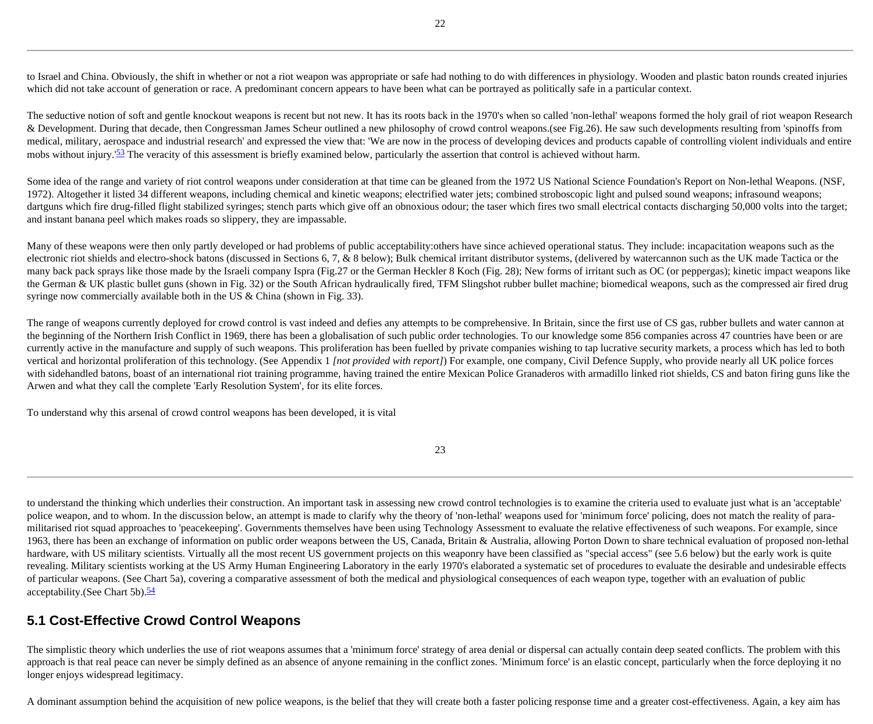to Israel and China. Obviously, the shift in whether or not a riot weapon was appropriate or safe had nothing to do with differences in physiology. Wooden and plastic baton rounds created injuries which did not take account of generation or race. A predominant concern appears to have been what can be portrayed as politically safe in a particular context.

The seductive notion of soft and gentle knockout weapons is recent but not new. It has its roots back in the 1970's when so called 'non-lethal' weapons formed the holy grail of riot weapon Research & Development. During that decade, then Congressman James Scheur outlined a new philosophy of crowd control weapons.(see Fig.26). He saw such developments resulting from 'spinoffs from medical, military, aerospace and industrial research' and expressed the view that: 'We are now in the process of developing devices and products capable of controlling violent individuals and entire mobs without injury.<sup>'[53](http://cryptome.org/stoa-atpc.htm#53)</sup> The veracity of this assessment is briefly examined below, particularly the assertion that control is achieved without harm.

Some idea of the range and variety of riot control weapons under consideration at that time can be gleaned from the 1972 US National Science Foundation's Report on Non-lethal Weapons. (NSF, 1972). Altogether it listed 34 different weapons, including chemical and kinetic weapons; electrified water jets; combined stroboscopic light and pulsed sound weapons; infrasound weapons; dartguns which fire drug-filled flight stabilized syringes; stench parts which give off an obnoxious odour; the taser which fires two small electrical contacts discharging 50,000 volts into the target; and instant banana peel which makes roads so slippery, they are impassable.

Many of these weapons were then only partly developed or had problems of public acceptability: others have since achieved operational status. They include: incapacitation weapons such as the electronic riot shields and electro-shock batons (discussed in Sections 6, 7, & 8 below); Bulk chemical irritant distributor systems, (delivered by watercannon such as the UK made Tactica or the many back pack sprays like those made by the Israeli company Ispra (Fig.27 or the German Heckler 8 Koch (Fig. 28); New forms of irritant such as OC (or peppergas); kinetic impact weapons like the German & UK plastic bullet guns (shown in Fig. 32) or the South African hydraulically fired, TFM Slingshot rubber bullet machine; biomedical weapons, such as the compressed air fired drug syringe now commercially available both in the US & China (shown in Fig. 33).

The range of weapons currently deployed for crowd control is vast indeed and defies any attempts to be comprehensive. In Britain, since the first use of CS gas, rubber bullets and water cannon at the beginning of the Northern Irish Conflict in 1969, there has been a globalisation of such public order technologies. To our knowledge some 856 companies across 47 countries have been or are currently active in the manufacture and supply of such weapons. This proliferation has been fuelled by private companies wishing to tap lucrative security markets, a process which has led to both vertical and horizontal proliferation of this technology. (See Appendix 1 *[not provided with report]*) For example, one company, Civil Defence Supply, who provide nearly all UK police forces with sidehandled batons, boast of an international riot training programme, having trained the entire Mexican Police Granaderos with armadillo linked riot shields, CS and baton firing guns like the Arwen and what they call the complete 'Early Resolution System', for its elite forces.

To understand why this arsenal of crowd control weapons has been developed, it is vital

23

to understand the thinking which underlies their construction. An important task in assessing new crowd control technologies is to examine the criteria used to evaluate just what is an 'acceptable' police weapon, and to whom. In the discussion below, an attempt is made to clarify why the theory of 'non-lethal' weapons used for 'minimum force' policing, does not match the reality of paramilitarised riot squad approaches to 'peacekeeping'. Governments themselves have been using Technology Assessment to evaluate the relative effectiveness of such weapons. For example, since 1963, there has been an exchange of information on public order weapons between the US, Canada, Britain & Australia, allowing Porton Down to share technical evaluation of proposed non-lethal hardware, with US military scientists. Virtually all the most recent US government projects on this weaponry have been classified as "special access" (see 5.6 below) but the early work is quite revealing. Military scientists working at the US Army Human Engineering Laboratory in the early 1970's elaborated a systematic set of procedures to evaluate the desirable and undesirable effects of particular weapons. (See Chart 5a), covering a comparative assessment of both the medical and physiological consequences of each weapon type, together with an evaluation of public acceptability.(See Chart 5b).<sup>[54](http://cryptome.org/stoa-atpc.htm#54)</sup>

#### **5.1 Cost-Effective Crowd Control Weapons**

The simplistic theory which underlies the use of riot weapons assumes that a 'minimum force' strategy of area denial or dispersal can actually contain deep seated conflicts. The problem with this approach is that real peace can never be simply defined as an absence of anyone remaining in the conflict zones. 'Minimum force' is an elastic concept, particularly when the force deploying it no longer enjoys widespread legitimacy.

A dominant assumption behind the acquisition of new police weapons, is the belief that they will create both a faster policing response time and a greater cost-effectiveness. Again, a key aim has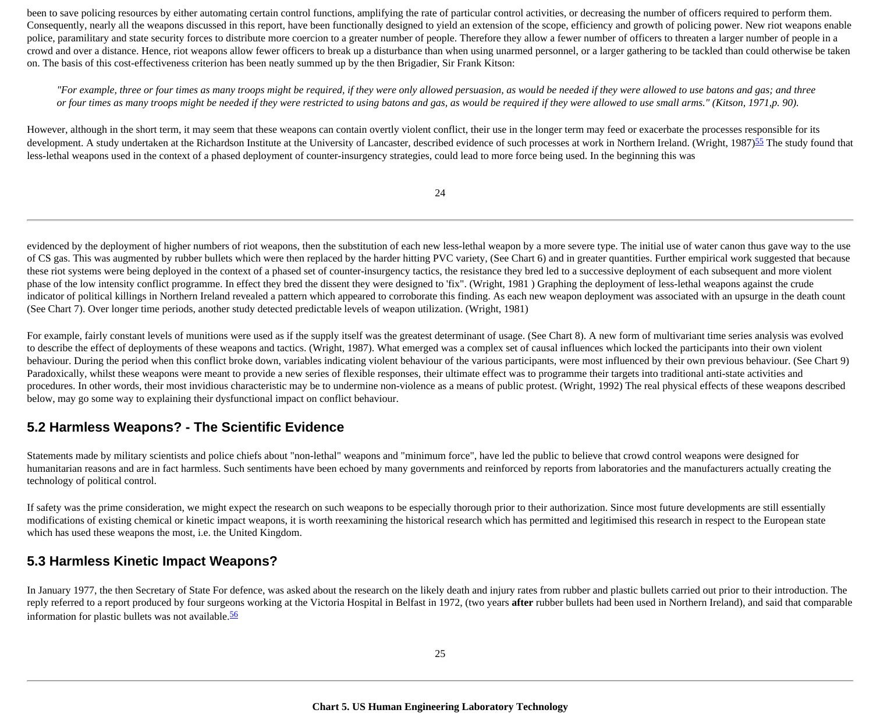been to save policing resources by either automating certain control functions, amplifying the rate of particular control activities, or decreasing the number of officers required to perform them. Consequently, nearly all the weapons discussed in this report, have been functionally designed to yield an extension of the scope, efficiency and growth of policing power. New riot weapons enable police, paramilitary and state security forces to distribute more coercion to a greater number of people. Therefore they allow a fewer number of officers to threaten a larger number of people in a crowd and over a distance. Hence, riot weapons allow fewer officers to break up a disturbance than when using unarmed personnel, or a larger gathering to be tackled than could otherwise be taken on. The basis of this cost-effectiveness criterion has been neatly summed up by the then Brigadier, Sir Frank Kitson:

*"For example, three or four times as many troops might be required, if they were only allowed persuasion, as would be needed if they were allowed to use batons and gas; and three or four times as many troops might be needed if they were restricted to using batons and gas, as would be required if they were allowed to use small arms." (Kitson, 1971,p. 90).* 

However, although in the short term, it may seem that these weapons can contain overtly violent conflict, their use in the longer term may feed or exacerbate the processes responsible for its development. A study undertaken at the Richardson Institute at the University of Lancaster, described evidence of such processes at work in Northern Ireland. (Wright, 1987)<sup>[55](http://cryptome.org/stoa-atpc.htm#55)</sup> The study found that less-lethal weapons used in the context of a phased deployment of counter-insurgency strategies, could lead to more force being used. In the beginning this was

24

evidenced by the deployment of higher numbers of riot weapons, then the substitution of each new less-lethal weapon by a more severe type. The initial use of water canon thus gave way to the use of CS gas. This was augmented by rubber bullets which were then replaced by the harder hitting PVC variety, (See Chart 6) and in greater quantities. Further empirical work suggested that because these riot systems were being deployed in the context of a phased set of counter-insurgency tactics, the resistance they bred led to a successive deployment of each subsequent and more violent phase of the low intensity conflict programme. In effect they bred the dissent they were designed to 'fix". (Wright, 1981 ) Graphing the deployment of less-lethal weapons against the crude indicator of political killings in Northern Ireland revealed a pattern which appeared to corroborate this finding. As each new weapon deployment was associated with an upsurge in the death count (See Chart 7). Over longer time periods, another study detected predictable levels of weapon utilization. (Wright, 1981)

For example, fairly constant levels of munitions were used as if the supply itself was the greatest determinant of usage. (See Chart 8). A new form of multivariant time series analysis was evolved to describe the effect of deployments of these weapons and tactics. (Wright, 1987). What emerged was a complex set of causal influences which locked the participants into their own violent behaviour. During the period when this conflict broke down, variables indicating violent behaviour of the various participants, were most influenced by their own previous behaviour. (See Chart 9) Paradoxically, whilst these weapons were meant to provide a new series of flexible responses, their ultimate effect was to programme their targets into traditional anti-state activities and procedures. In other words, their most invidious characteristic may be to undermine non-violence as a means of public protest. (Wright, 1992) The real physical effects of these weapons described below, may go some way to explaining their dysfunctional impact on conflict behaviour.

### **5.2 Harmless Weapons? - The Scientific Evidence**

Statements made by military scientists and police chiefs about "non-lethal" weapons and "minimum force", have led the public to believe that crowd control weapons were designed for humanitarian reasons and are in fact harmless. Such sentiments have been echoed by many governments and reinforced by reports from laboratories and the manufacturers actually creating the technology of political control.

If safety was the prime consideration, we might expect the research on such weapons to be especially thorough prior to their authorization. Since most future developments are still essentially modifications of existing chemical or kinetic impact weapons, it is worth reexamining the historical research which has permitted and legitimised this research in respect to the European state which has used these weapons the most, i.e. the United Kingdom.

### **5.3 Harmless Kinetic Impact Weapons?**

In January 1977, the then Secretary of State For defence, was asked about the research on the likely death and injury rates from rubber and plastic bullets carried out prior to their introduction. The reply referred to a report produced by four surgeons working at the Victoria Hospital in Belfast in 1972, (two years **after** rubber bullets had been used in Northern Ireland), and said that comparable information for plastic bullets was not available.<sup>[56](http://cryptome.org/stoa-atpc.htm#56)</sup>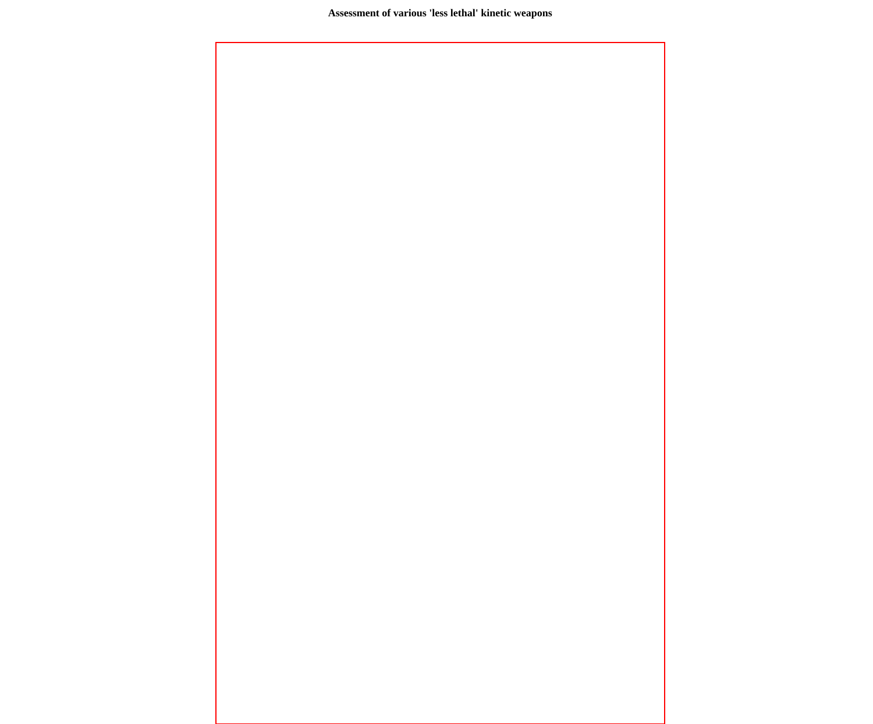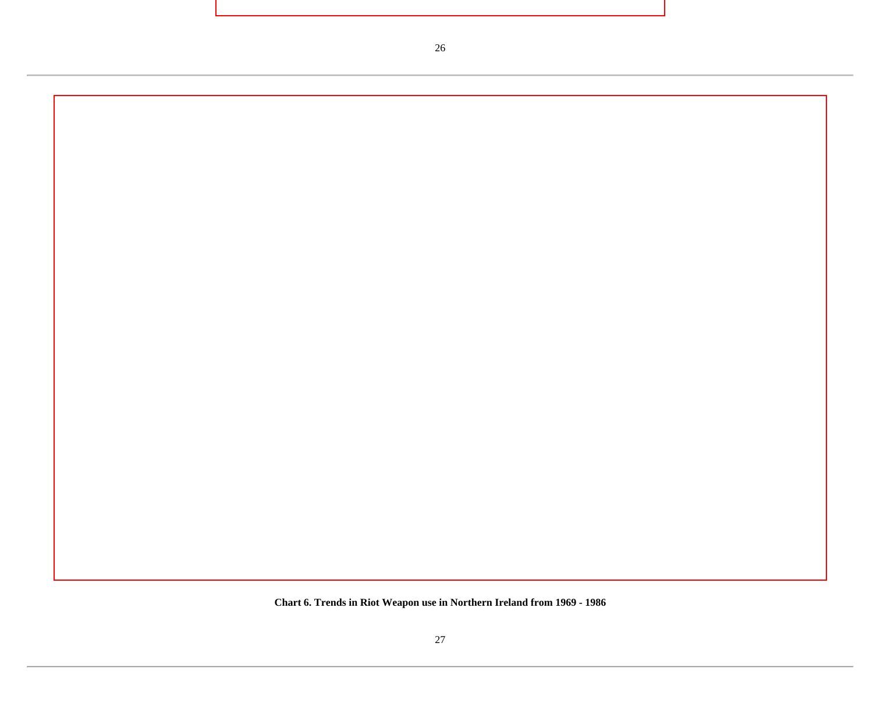**Chart 6. Trends in Riot Weapon use in Northern Ireland from 1969 - 1986**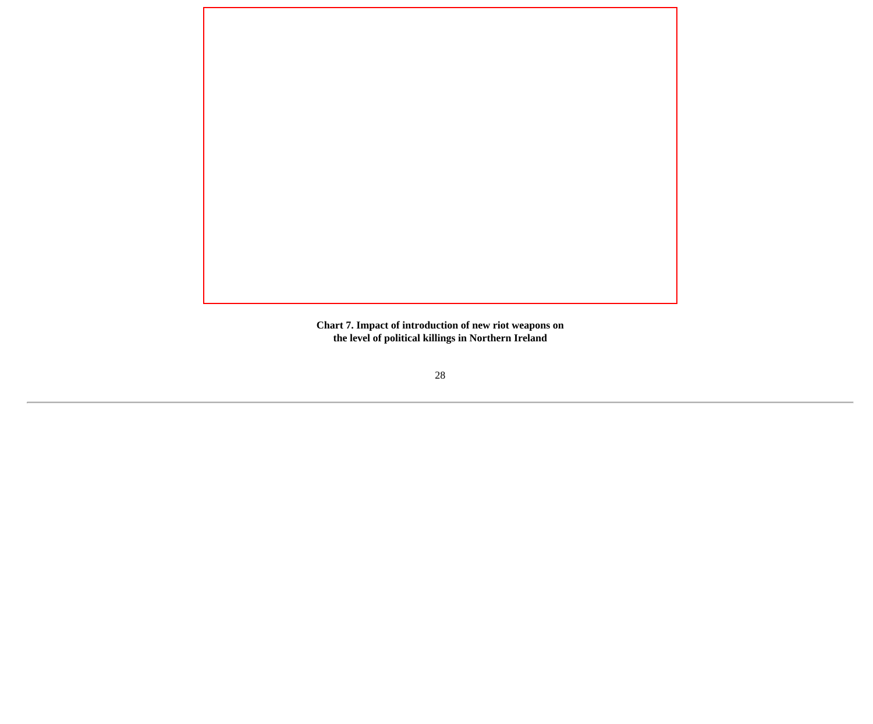

**Chart 7. Impact of introduction of new riot weapons on the level of political killings in Northern Ireland**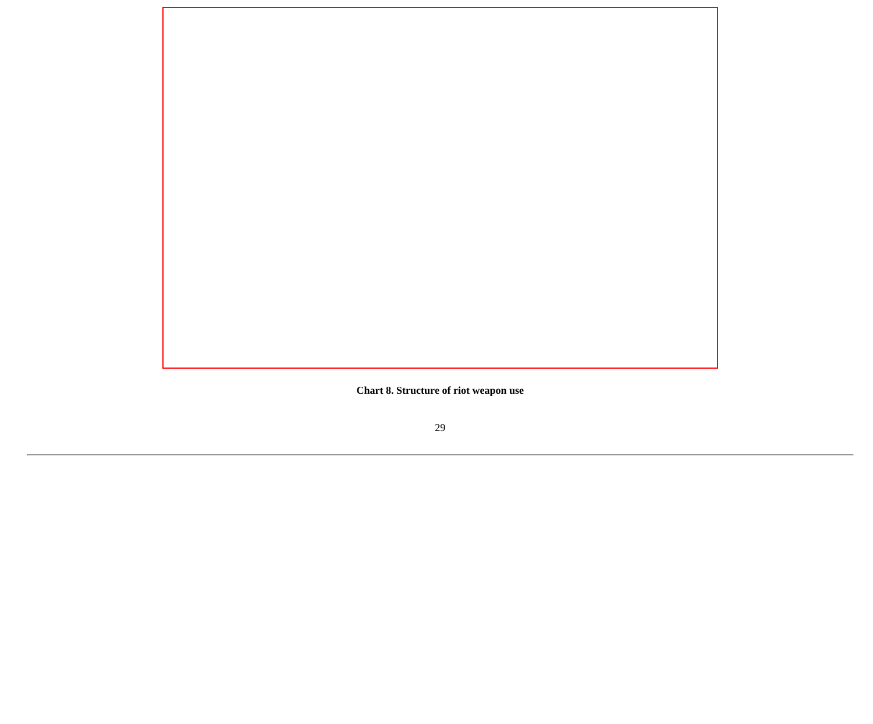**Chart 8. Structure of riot weapon use**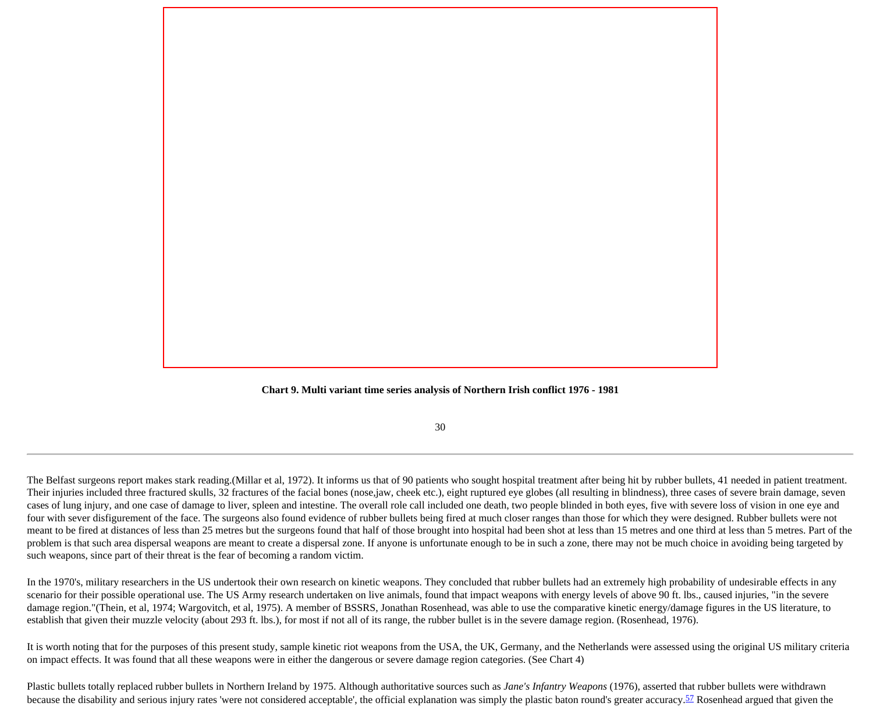

30

The Belfast surgeons report makes stark reading.(Millar et al, 1972). It informs us that of 90 patients who sought hospital treatment after being hit by rubber bullets, 41 needed in patient treatment. Their injuries included three fractured skulls, 32 fractures of the facial bones (nose,jaw, cheek etc.), eight ruptured eye globes (all resulting in blindness), three cases of severe brain damage, seven cases of lung injury, and one case of damage to liver, spleen and intestine. The overall role call included one death, two people blinded in both eyes, five with severe loss of vision in one eye and four with sever disfigurement of the face. The surgeons also found evidence of rubber bullets being fired at much closer ranges than those for which they were designed. Rubber bullets were not meant to be fired at distances of less than 25 metres but the surgeons found that half of those brought into hospital had been shot at less than 15 metres and one third at less than 5 metres. Part of the problem is that such area dispersal weapons are meant to create a dispersal zone. If anyone is unfortunate enough to be in such a zone, there may not be much choice in avoiding being targeted by such weapons, since part of their threat is the fear of becoming a random victim.

In the 1970's, military researchers in the US undertook their own research on kinetic weapons. They concluded that rubber bullets had an extremely high probability of undesirable effects in any scenario for their possible operational use. The US Army research undertaken on live animals, found that impact weapons with energy levels of above 90 ft. lbs., caused injuries, "in the severe damage region."(Thein, et al, 1974; Wargovitch, et al, 1975). A member of BSSRS, Jonathan Rosenhead, was able to use the comparative kinetic energy/damage figures in the US literature, to establish that given their muzzle velocity (about 293 ft. lbs.), for most if not all of its range, the rubber bullet is in the severe damage region. (Rosenhead, 1976).

It is worth noting that for the purposes of this present study, sample kinetic riot weapons from the USA, the UK, Germany, and the Netherlands were assessed using the original US military criteria on impact effects. It was found that all these weapons were in either the dangerous or severe damage region categories. (See Chart 4)

Plastic bullets totally replaced rubber bullets in Northern Ireland by 1975. Although authoritative sources such as *Jane's Infantry Weapons* (1976), asserted that rubber bullets were withdrawn because the disability and serious injury rates 'were not considered acceptable', the official explanation was simply the plastic baton round's greater accuracy.<sup>57</sup> Rosenhead argued that given the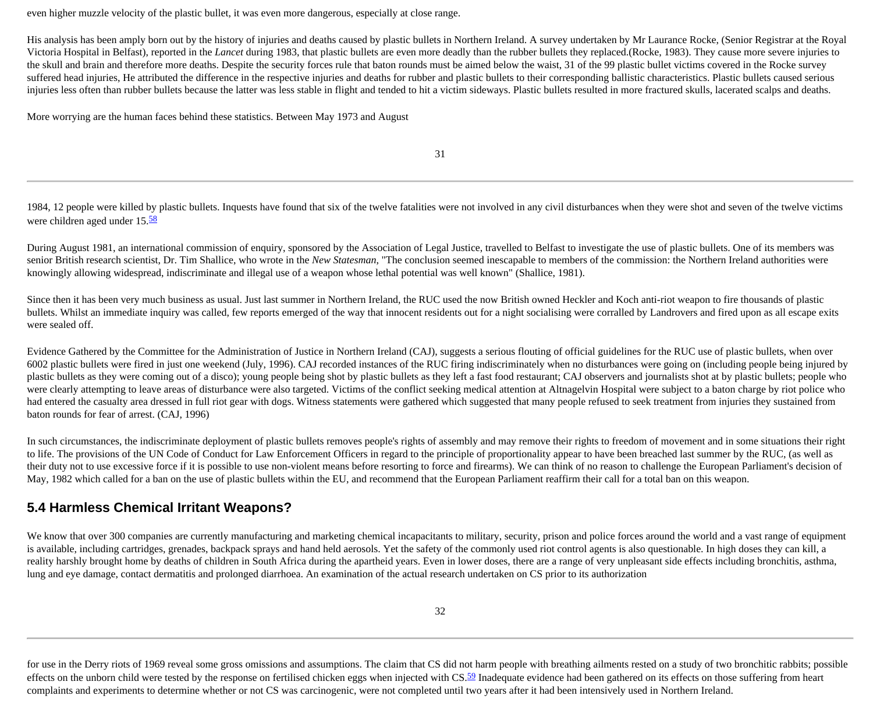even higher muzzle velocity of the plastic bullet, it was even more dangerous, especially at close range.

His analysis has been amply born out by the history of injuries and deaths caused by plastic bullets in Northern Ireland. A survey undertaken by Mr Laurance Rocke, (Senior Registrar at the Royal Victoria Hospital in Belfast), reported in the *Lancet* during 1983, that plastic bullets are even more deadly than the rubber bullets they replaced.(Rocke, 1983). They cause more severe injuries to the skull and brain and therefore more deaths. Despite the security forces rule that baton rounds must be aimed below the waist, 31 of the 99 plastic bullet victims covered in the Rocke survey suffered head injuries, He attributed the difference in the respective injuries and deaths for rubber and plastic bullets to their corresponding ballistic characteristics. Plastic bullets caused serious injuries less often than rubber bullets because the latter was less stable in flight and tended to hit a victim sideways. Plastic bullets resulted in more fractured skulls, lacerated scalps and deaths.

More worrying are the human faces behind these statistics. Between May 1973 and August

31

1984, 12 people were killed by plastic bullets. Inquests have found that six of the twelve fatalities were not involved in any civil disturbances when they were shot and seven of the twelve victims were children aged under 15.[58](http://cryptome.org/stoa-atpc.htm#58)

During August 1981, an international commission of enquiry, sponsored by the Association of Legal Justice, travelled to Belfast to investigate the use of plastic bullets. One of its members was senior British research scientist, Dr. Tim Shallice, who wrote in the *New Statesman*, "The conclusion seemed inescapable to members of the commission: the Northern Ireland authorities were knowingly allowing widespread, indiscriminate and illegal use of a weapon whose lethal potential was well known" (Shallice, 1981).

Since then it has been very much business as usual. Just last summer in Northern Ireland, the RUC used the now British owned Heckler and Koch anti-riot weapon to fire thousands of plastic bullets. Whilst an immediate inquiry was called, few reports emerged of the way that innocent residents out for a night socialising were corralled by Landrovers and fired upon as all escape exits were sealed off.

Evidence Gathered by the Committee for the Administration of Justice in Northern Ireland (CAJ), suggests a serious flouting of official guidelines for the RUC use of plastic bullets, when over 6002 plastic bullets were fired in just one weekend (July, 1996). CAJ recorded instances of the RUC firing indiscriminately when no disturbances were going on (including people being injured by plastic bullets as they were coming out of a disco); young people being shot by plastic bullets as they left a fast food restaurant; CAJ observers and journalists shot at by plastic bullets; people who were clearly attempting to leave areas of disturbance were also targeted. Victims of the conflict seeking medical attention at Altnagelvin Hospital were subject to a baton charge by riot police who had entered the casualty area dressed in full riot gear with dogs. Witness statements were gathered which suggested that many people refused to seek treatment from injuries they sustained from baton rounds for fear of arrest. (CAJ, 1996)

In such circumstances, the indiscriminate deployment of plastic bullets removes people's rights of assembly and may remove their rights to freedom of movement and in some situations their right to life. The provisions of the UN Code of Conduct for Law Enforcement Officers in regard to the principle of proportionality appear to have been breached last summer by the RUC, (as well as their duty not to use excessive force if it is possible to use non-violent means before resorting to force and firearms). We can think of no reason to challenge the European Parliament's decision of May, 1982 which called for a ban on the use of plastic bullets within the EU, and recommend that the European Parliament reaffirm their call for a total ban on this weapon.

#### **5.4 Harmless Chemical Irritant Weapons?**

We know that over 300 companies are currently manufacturing and marketing chemical incapacitants to military, security, prison and police forces around the world and a vast range of equipment is available, including cartridges, grenades, backpack sprays and hand held aerosols. Yet the safety of the commonly used riot control agents is also questionable. In high doses they can kill, a reality harshly brought home by deaths of children in South Africa during the apartheid years. Even in lower doses, there are a range of very unpleasant side effects including bronchitis, asthma, lung and eye damage, contact dermatitis and prolonged diarrhoea. An examination of the actual research undertaken on CS prior to its authorization

for use in the Derry riots of 1969 reveal some gross omissions and assumptions. The claim that CS did not harm people with breathing ailments rested on a study of two bronchitic rabbits; possible effects on the unborn child were tested by the response on fertilised chicken eggs when injected with  $CS$ .<sup>59</sup> Inadequate evidence had been gathered on its effects on those suffering from heart complaints and experiments to determine whether or not CS was carcinogenic, were not completed until two years after it had been intensively used in Northern Ireland.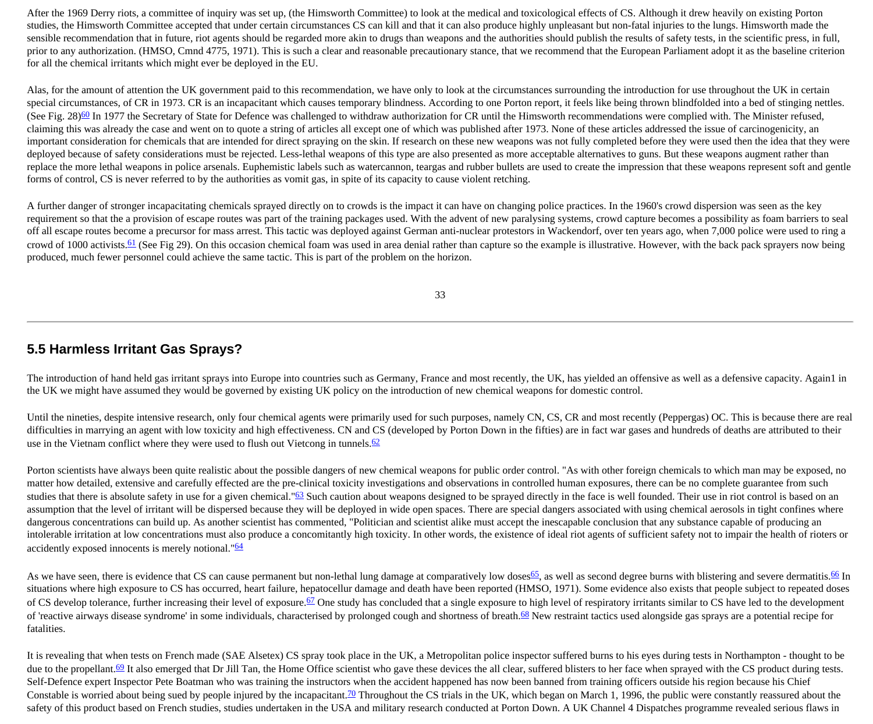After the 1969 Derry riots, a committee of inquiry was set up, (the Himsworth Committee) to look at the medical and toxicological effects of CS. Although it drew heavily on existing Porton studies, the Himsworth Committee accepted that under certain circumstances CS can kill and that it can also produce highly unpleasant but non-fatal injuries to the lungs. Himsworth made the sensible recommendation that in future, riot agents should be regarded more akin to drugs than weapons and the authorities should publish the results of safety tests, in the scientific press, in full, prior to any authorization. (HMSO, Cmnd 4775, 1971). This is such a clear and reasonable precautionary stance, that we recommend that the European Parliament adopt it as the baseline criterion for all the chemical irritants which might ever be deployed in the EU.

Alas, for the amount of attention the UK government paid to this recommendation, we have only to look at the circumstances surrounding the introduction for use throughout the UK in certain special circumstances, of CR in 1973. CR is an incapacitant which causes temporary blindness. According to one Porton report, it feels like being thrown blindfolded into a bed of stinging nettles. (See Fig. 28)<sup>60</sup> In 1977 the Secretary of State for Defence was challenged to withdraw authorization for CR until the Himsworth recommendations were complied with. The Minister refused, claiming this was already the case and went on to quote a string of articles all except one of which was published after 1973. None of these articles addressed the issue of carcinogenicity, an important consideration for chemicals that are intended for direct spraying on the skin. If research on these new weapons was not fully completed before they were used then the idea that they were deployed because of safety considerations must be rejected. Less-lethal weapons of this type are also presented as more acceptable alternatives to guns. But these weapons augment rather than replace the more lethal weapons in police arsenals. Euphemistic labels such as watercannon, teargas and rubber bullets are used to create the impression that these weapons represent soft and gentle forms of control, CS is never referred to by the authorities as vomit gas, in spite of its capacity to cause violent retching.

A further danger of stronger incapacitating chemicals sprayed directly on to crowds is the impact it can have on changing police practices. In the 1960's crowd dispersion was seen as the key requirement so that the a provision of escape routes was part of the training packages used. With the advent of new paralysing systems, crowd capture becomes a possibility as foam barriers to seal off all escape routes become a precursor for mass arrest. This tactic was deployed against German anti-nuclear protestors in Wackendorf, over ten years ago, when 7,000 police were used to ring a crowd of 1000 activists.<sup>61</sup> (See Fig 29). On this occasion chemical foam was used in area denial rather than capture so the example is illustrative. However, with the back pack sprayers now being produced, much fewer personnel could achieve the same tactic. This is part of the problem on the horizon.

33

#### **5.5 Harmless Irritant Gas Sprays?**

The introduction of hand held gas irritant sprays into Europe into countries such as Germany, France and most recently, the UK, has yielded an offensive as well as a defensive capacity. Again1 in the UK we might have assumed they would be governed by existing UK policy on the introduction of new chemical weapons for domestic control.

Until the nineties, despite intensive research, only four chemical agents were primarily used for such purposes, namely CN, CS, CR and most recently (Peppergas) OC. This is because there are real difficulties in marrying an agent with low toxicity and high effectiveness. CN and CS (developed by Porton Down in the fifties) are in fact war gases and hundreds of deaths are attributed to their use in the Vietnam conflict where they were used to flush out Vietcong in tunnels. $62$ 

Porton scientists have always been quite realistic about the possible dangers of new chemical weapons for public order control. "As with other foreign chemicals to which man may be exposed, no matter how detailed, extensive and carefully effected are the pre-clinical toxicity investigations and observations in controlled human exposures, there can be no complete guarantee from such studies that there is absolute safety in use for a given chemical."<sup>63</sup> Such caution about weapons designed to be sprayed directly in the face is well founded. Their use in riot control is based on an assumption that the level of irritant will be dispersed because they will be deployed in wide open spaces. There are special dangers associated with using chemical aerosols in tight confines where dangerous concentrations can build up. As another scientist has commented, "Politician and scientist alike must accept the inescapable conclusion that any substance capable of producing an intolerable irritation at low concentrations must also produce a concomitantly high toxicity. In other words, the existence of ideal riot agents of sufficient safety not to impair the health of rioters or accidently exposed innocents is merely notional."<sup>64</sup>

As we have seen, there is evidence that CS can cause permanent but non-lethal lung damage at comparatively low doses [65,](http://cryptome.org/stoa-atpc.htm#65) as well as second degree burns with blistering and severe dermatitis. 66 In situations where high exposure to CS has occurred, heart failure, hepatocellur damage and death have been reported (HMSO, 1971). Some evidence also exists that people subject to repeated doses of CS develop tolerance, further increasing their level of exposure.<sup>67</sup> One study has concluded that a single exposure to high level of respiratory irritants similar to CS have led to the development of 'reactive airways disease syndrome' in some individuals, characterised by prolonged cough and shortness of breath.<sup>[68](http://cryptome.org/stoa-atpc.htm#68)</sup> New restraint tactics used alongside gas sprays are a potential recipe for fatalities.

It is revealing that when tests on French made (SAE Alsetex) CS spray took place in the UK, a Metropolitan police inspector suffered burns to his eyes during tests in Northampton - thought to be due to the propellant.<sup>69</sup> It also emerged that Dr Jill Tan, the Home Office scientist who gave these devices the all clear, suffered blisters to her face when sprayed with the CS product during tests. Self-Defence expert Inspector Pete Boatman who was training the instructors when the accident happened has now been banned from training officers outside his region because his Chief Constable is worried about being sued by people injured by the incapacitant.<sup>[70](http://cryptome.org/stoa-atpc.htm#70)</sup> Throughout the CS trials in the UK, which began on March 1, 1996, the public were constantly reassured about the safety of this product based on French studies, studies undertaken in the USA and military research conducted at Porton Down. A UK Channel 4 Dispatches programme revealed serious flaws in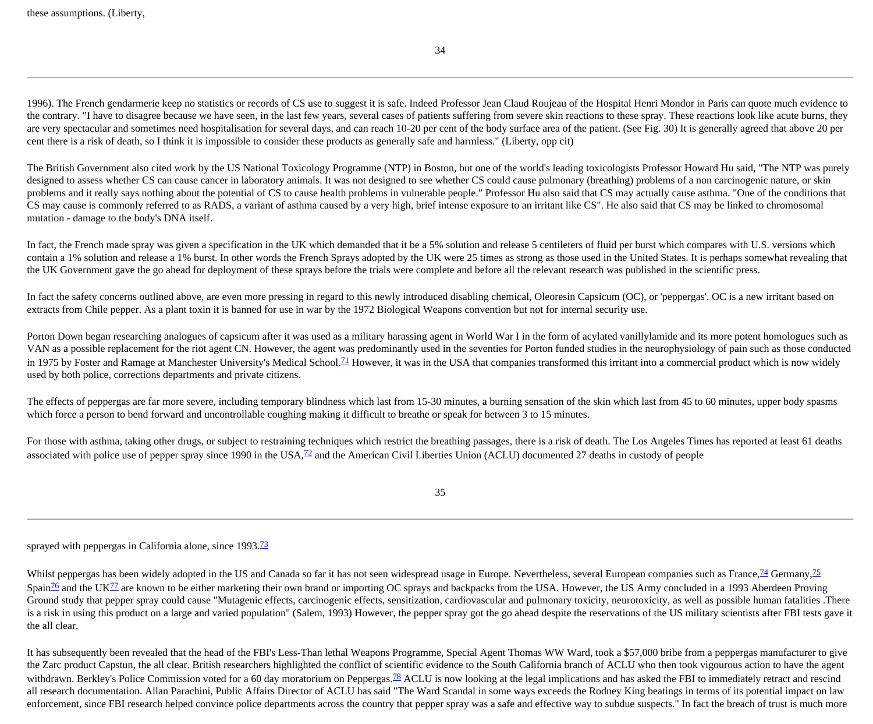34

1996). The French gendarmerie keep no statistics or records of CS use to suggest it is safe. Indeed Professor Jean Claud Roujeau of the Hospital Henri Mondor in Paris can quote much evidence to the contrary. "I have to disagree because we have seen, in the last few years, several cases of patients suffering from severe skin reactions to these spray. These reactions look like acute burns, they are very spectacular and sometimes need hospitalisation for several days, and can reach 10-20 per cent of the body surface area of the patient. (See Fig. 30) It is generally agreed that above 20 per cent there is a risk of death, so I think it is impossible to consider these products as generally safe and harmless." (Liberty, opp cit)

The British Government also cited work by the US National Toxicology Programme (NTP) in Boston, but one of the world's leading toxicologists Professor Howard Hu said, "The NTP was purely designed to assess whether CS can cause cancer in laboratory animals. It was not designed to see whether CS could cause pulmonary (breathing) problems of a non carcinogenic nature, or skin problems and it really says nothing about the potential of CS to cause health problems in vulnerable people." Professor Hu also said that CS may actually cause asthma. "One of the conditions that CS may cause is commonly referred to as RADS, a variant of asthma caused by a very high, brief intense exposure to an irritant like CS". He also said that CS may be linked to chromosomal mutation - damage to the body's DNA itself.

In fact, the French made spray was given a specification in the UK which demanded that it be a 5% solution and release 5 centileters of fluid per burst which compares with U.S. versions which contain a 1% solution and release a 1% burst. In other words the French Sprays adopted by the UK were 25 times as strong as those used in the United States. It is perhaps somewhat revealing that the UK Government gave the go ahead for deployment of these sprays before the trials were complete and before all the relevant research was published in the scientific press.

In fact the safety concerns outlined above, are even more pressing in regard to this newly introduced disabling chemical, Oleoresin Capsicum (OC), or 'peppergas'. OC is a new irritant based on extracts from Chile pepper. As a plant toxin it is banned for use in war by the 1972 Biological Weapons convention but not for internal security use.

Porton Down began researching analogues of capsicum after it was used as a military harassing agent in World War I in the form of acylated vanillylamide and its more potent homologues such as VAN as a possible replacement for the riot agent CN. However, the agent was predominantly used in the seventies for Porton funded studies in the neurophysiology of pain such as those conducted in 1975 by Foster and Ramage at Manchester University's Medical School.<sup>71</sup> However, it was in the USA that companies transformed this irritant into a commercial product which is now widely used by both police, corrections departments and private citizens.

The effects of peppergas are far more severe, including temporary blindness which last from 15-30 minutes, a burning sensation of the skin which last from 45 to 60 minutes, upper body spasms which force a person to bend forward and uncontrollable coughing making it difficult to breathe or speak for between 3 to 15 minutes.

For those with asthma, taking other drugs, or subject to restraining techniques which restrict the breathing passages, there is a risk of death. The Los Angeles Times has reported at least 61 deaths associated with police use of pepper spray since 1990 in the USA, $\frac{72}{2}$  and the American Civil Liberties Union (ACLU) documented 27 deaths in custody of people

35

sprayed with peppergas in California alone, since 1993.<sup>[73](http://cryptome.org/stoa-atpc.htm#72)</sup>

Whilst peppergas has been widely adopted in the US and Canada so far it has not seen widespread usage in Europe. Nevertheless, several European companies such as France,  $\frac{74}{15}$  $\frac{74}{15}$  $\frac{74}{15}$  Germany,  $\frac{75}{15}$  $\frac{75}{15}$  $\frac{75}{15}$ Spain<sup>[76](http://cryptome.org/stoa-atpc.htm#76)</sup> and the UK<sup>77</sup> are known to be either marketing their own brand or importing OC sprays and backpacks from the USA. However, the US Army concluded in a 1993 Aberdeen Proving Ground study that pepper spray could cause "Mutagenic effects, carcinogenic effects, sensitization, cardiovascular and pulmonary toxicity, neurotoxicity, as well as possible human fatalities .There is a risk in using this product on a large and varied population" (Salem, 1993) However, the pepper spray got the go ahead despite the reservations of the US military scientists after FBI tests gave it the all clear.

It has subsequently been revealed that the head of the FBI's Less-Than lethal Weapons Programme, Special Agent Thomas WW Ward, took a \$57,000 bribe from a peppergas manufacturer to give the Zarc product Capstun, the all clear. British researchers highlighted the conflict of scientific evidence to the South California branch of ACLU who then took vigourous action to have the agent withdrawn. Berkley's Police Commission voted for a 60 day moratorium on Peppergas.<sup>[78](http://cryptome.org/stoa-atpc.htm#78)</sup> ACLU is now looking at the legal implications and has asked the FBI to immediately retract and rescind all research documentation. Allan Parachini, Public Affairs Director of ACLU has said "The Ward Scandal in some ways exceeds the Rodney King beatings in terms of its potential impact on law enforcement, since FBI research helped convince police departments across the country that pepper spray was a safe and effective way to subdue suspects." In fact the breach of trust is much more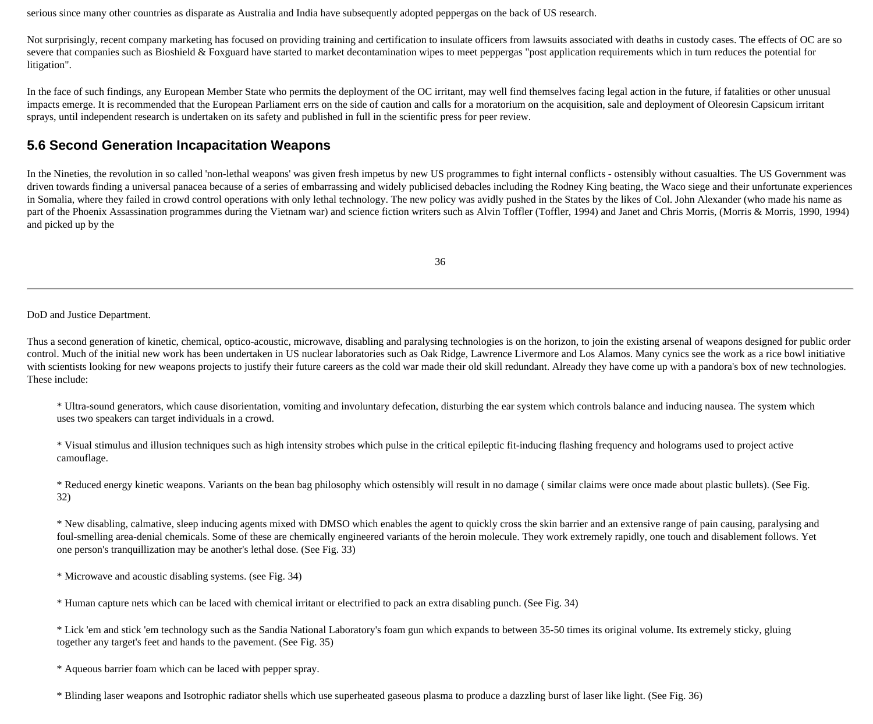serious since many other countries as disparate as Australia and India have subsequently adopted peppergas on the back of US research.

Not surprisingly, recent company marketing has focused on providing training and certification to insulate officers from lawsuits associated with deaths in custody cases. The effects of OC are so severe that companies such as Bioshield & Foxguard have started to market decontamination wipes to meet peppergas "post application requirements which in turn reduces the potential for litigation".

In the face of such findings, any European Member State who permits the deployment of the OC irritant, may well find themselves facing legal action in the future, if fatalities or other unusual impacts emerge. It is recommended that the European Parliament errs on the side of caution and calls for a moratorium on the acquisition, sale and deployment of Oleoresin Capsicum irritant sprays, until independent research is undertaken on its safety and published in full in the scientific press for peer review.

#### **5.6 Second Generation Incapacitation Weapons**

In the Nineties, the revolution in so called 'non-lethal weapons' was given fresh impetus by new US programmes to fight internal conflicts - ostensibly without casualties. The US Government was driven towards finding a universal panacea because of a series of embarrassing and widely publicised debacles including the Rodney King beating, the Waco siege and their unfortunate experiences in Somalia, where they failed in crowd control operations with only lethal technology. The new policy was avidly pushed in the States by the likes of Col. John Alexander (who made his name as part of the Phoenix Assassination programmes during the Vietnam war) and science fiction writers such as Alvin Toffler (Toffler, 1994) and Janet and Chris Morris, (Morris & Morris, 1990, 1994) and picked up by the

36

DoD and Justice Department.

Thus a second generation of kinetic, chemical, optico-acoustic, microwave, disabling and paralysing technologies is on the horizon, to join the existing arsenal of weapons designed for public order control. Much of the initial new work has been undertaken in US nuclear laboratories such as Oak Ridge, Lawrence Livermore and Los Alamos. Many cynics see the work as a rice bowl initiative with scientists looking for new weapons projects to justify their future careers as the cold war made their old skill redundant. Already they have come up with a pandora's box of new technologies. These include:

\* Ultra-sound generators, which cause disorientation, vomiting and involuntary defecation, disturbing the ear system which controls balance and inducing nausea. The system which uses two speakers can target individuals in a crowd.

\* Visual stimulus and illusion techniques such as high intensity strobes which pulse in the critical epileptic fit-inducing flashing frequency and holograms used to project active camouflage.

\* Reduced energy kinetic weapons. Variants on the bean bag philosophy which ostensibly will result in no damage ( similar claims were once made about plastic bullets). (See Fig. 32)

\* New disabling, calmative, sleep inducing agents mixed with DMSO which enables the agent to quickly cross the skin barrier and an extensive range of pain causing, paralysing and foul-smelling area-denial chemicals. Some of these are chemically engineered variants of the heroin molecule. They work extremely rapidly, one touch and disablement follows. Yet one person's tranquillization may be another's lethal dose. (See Fig. 33)

\* Microwave and acoustic disabling systems. (see Fig. 34)

\* Human capture nets which can be laced with chemical irritant or electrified to pack an extra disabling punch. (See Fig. 34)

\* Lick 'em and stick 'em technology such as the Sandia National Laboratory's foam gun which expands to between 35-50 times its original volume. Its extremely sticky, gluing together any target's feet and hands to the pavement. (See Fig. 35)

\* Aqueous barrier foam which can be laced with pepper spray.

\* Blinding laser weapons and Isotrophic radiator shells which use superheated gaseous plasma to produce a dazzling burst of laser like light. (See Fig. 36)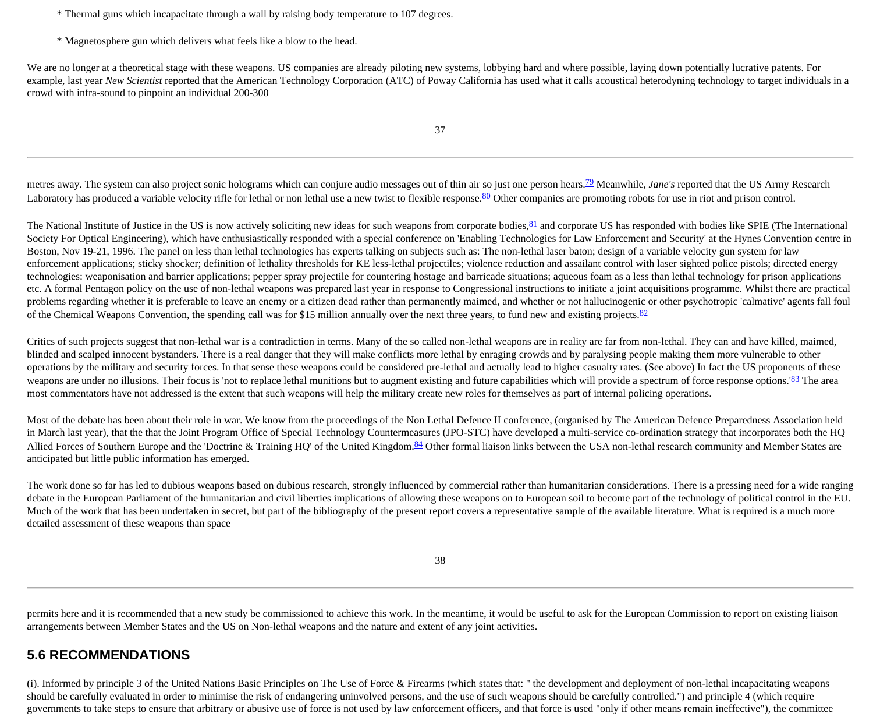\* Thermal guns which incapacitate through a wall by raising body temperature to 107 degrees.

\* Magnetosphere gun which delivers what feels like a blow to the head.

We are no longer at a theoretical stage with these weapons. US companies are already piloting new systems, lobbying hard and where possible, laying down potentially lucrative patents. For example, last year *New Scientist* reported that the American Technology Corporation (ATC) of Poway California has used what it calls acoustical heterodyning technology to target individuals in a crowd with infra-sound to pinpoint an individual 200-300

metres away. The system can also project sonic holograms which can conjure audio messages out of thin air so just one person hears.<sup>[79](http://cryptome.org/stoa-atpc.htm#79)</sup> Meanwhile, *Jane's* reported that the US Army Research Laboratory has produced a variable velocity rifle for lethal or non lethal use a new twist to flexible response.<sup>80</sup> Other companies are promoting robots for use in riot and prison control.

The National Institute of Justice in the US is now actively soliciting new ideas for such weapons from corporate bodies,  $81$  and corporate US has responded with bodies like SPIE (The International Society For Optical Engineering), which have enthusiastically responded with a special conference on 'Enabling Technologies for Law Enforcement and Security' at the Hynes Convention centre in Boston, Nov 19-21, 1996. The panel on less than lethal technologies has experts talking on subjects such as: The non-lethal laser baton; design of a variable velocity gun system for law enforcement applications; sticky shocker; definition of lethality thresholds for KE less-lethal projectiles; violence reduction and assailant control with laser sighted police pistols; directed energy technologies: weaponisation and barrier applications; pepper spray projectile for countering hostage and barricade situations; aqueous foam as a less than lethal technology for prison applications etc. A formal Pentagon policy on the use of non-lethal weapons was prepared last year in response to Congressional instructions to initiate a joint acquisitions programme. Whilst there are practical problems regarding whether it is preferable to leave an enemy or a citizen dead rather than permanently maimed, and whether or not hallucinogenic or other psychotropic 'calmative' agents fall foul of the Chemical Weapons Convention, the spending call was for \$15 million annually over the next three years, to fund new and existing projects.<sup>[82](http://cryptome.org/stoa-atpc.htm#82)</sup>

Critics of such projects suggest that non-lethal war is a contradiction in terms. Many of the so called non-lethal weapons are in reality are far from non-lethal. They can and have killed, maimed, blinded and scalped innocent bystanders. There is a real danger that they will make conflicts more lethal by enraging crowds and by paralysing people making them more vulnerable to other operations by the military and security forces. In that sense these weapons could be considered pre-lethal and actually lead to higher casualty rates. (See above) In fact the US proponents of these weapons are under no illusions. Their focus is 'not to replace lethal munitions but to augment existing and future capabilities which will provide a spectrum of force response options.'<sup>[83](http://cryptome.org/stoa-atpc.htm#83)</sup> The area most commentators have not addressed is the extent that such weapons will help the military create new roles for themselves as part of internal policing operations.

Most of the debate has been about their role in war. We know from the proceedings of the Non Lethal Defence II conference, (organised by The American Defence Preparedness Association held in March last year), that the that the Joint Program Office of Special Technology Countermeasures (JPO-STC) have developed a multi-service co-ordination strategy that incorporates both the HQ Allied Forces of Southern Europe and the 'Doctrine & Training HQ' of the United Kingdom.<sup>[84](http://cryptome.org/stoa-atpc.htm#84)</sup> Other formal liaison links between the USA non-lethal research community and Member States are anticipated but little public information has emerged.

The work done so far has led to dubious weapons based on dubious research, strongly influenced by commercial rather than humanitarian considerations. There is a pressing need for a wide ranging debate in the European Parliament of the humanitarian and civil liberties implications of allowing these weapons on to European soil to become part of the technology of political control in the EU. Much of the work that has been undertaken in secret, but part of the bibliography of the present report covers a representative sample of the available literature. What is required is a much more detailed assessment of these weapons than space

38

permits here and it is recommended that a new study be commissioned to achieve this work. In the meantime, it would be useful to ask for the European Commission to report on existing liaison arrangements between Member States and the US on Non-lethal weapons and the nature and extent of any joint activities.

#### **5.6 RECOMMENDATIONS**

(i). Informed by principle 3 of the United Nations Basic Principles on The Use of Force & Firearms (which states that: " the development and deployment of non-lethal incapacitating weapons should be carefully evaluated in order to minimise the risk of endangering uninvolved persons, and the use of such weapons should be carefully controlled.") and principle 4 (which require governments to take steps to ensure that arbitrary or abusive use of force is not used by law enforcement officers, and that force is used "only if other means remain ineffective"), the committee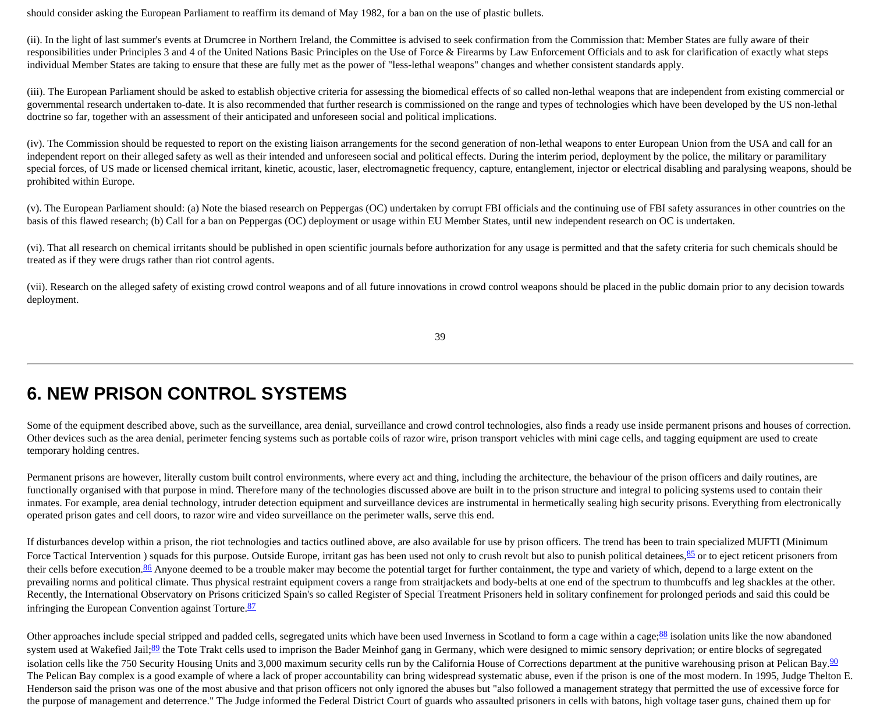should consider asking the European Parliament to reaffirm its demand of May 1982, for a ban on the use of plastic bullets.

(ii). In the light of last summer's events at Drumcree in Northern Ireland, the Committee is advised to seek confirmation from the Commission that: Member States are fully aware of their responsibilities under Principles 3 and 4 of the United Nations Basic Principles on the Use of Force & Firearms by Law Enforcement Officials and to ask for clarification of exactly what steps individual Member States are taking to ensure that these are fully met as the power of "less-lethal weapons" changes and whether consistent standards apply.

(iii). The European Parliament should be asked to establish objective criteria for assessing the biomedical effects of so called non-lethal weapons that are independent from existing commercial or governmental research undertaken to-date. It is also recommended that further research is commissioned on the range and types of technologies which have been developed by the US non-lethal doctrine so far, together with an assessment of their anticipated and unforeseen social and political implications.

(iv). The Commission should be requested to report on the existing liaison arrangements for the second generation of non-lethal weapons to enter European Union from the USA and call for an independent report on their alleged safety as well as their intended and unforeseen social and political effects. During the interim period, deployment by the police, the military or paramilitary special forces, of US made or licensed chemical irritant, kinetic, acoustic, laser, electromagnetic frequency, capture, entanglement, injector or electrical disabling and paralysing weapons, should be prohibited within Europe.

(v). The European Parliament should: (a) Note the biased research on Peppergas (OC) undertaken by corrupt FBI officials and the continuing use of FBI safety assurances in other countries on the basis of this flawed research; (b) Call for a ban on Peppergas (OC) deployment or usage within EU Member States, until new independent research on OC is undertaken.

(vi). That all research on chemical irritants should be published in open scientific journals before authorization for any usage is permitted and that the safety criteria for such chemicals should be treated as if they were drugs rather than riot control agents.

(vii). Research on the alleged safety of existing crowd control weapons and of all future innovations in crowd control weapons should be placed in the public domain prior to any decision towards deployment.

39

### **6. NEW PRISON CONTROL SYSTEMS**

Some of the equipment described above, such as the surveillance, area denial, surveillance and crowd control technologies, also finds a ready use inside permanent prisons and houses of correction. Other devices such as the area denial, perimeter fencing systems such as portable coils of razor wire, prison transport vehicles with mini cage cells, and tagging equipment are used to create temporary holding centres.

Permanent prisons are however, literally custom built control environments, where every act and thing, including the architecture, the behaviour of the prison officers and daily routines, are functionally organised with that purpose in mind. Therefore many of the technologies discussed above are built in to the prison structure and integral to policing systems used to contain their inmates. For example, area denial technology, intruder detection equipment and surveillance devices are instrumental in hermetically sealing high security prisons. Everything from electronically operated prison gates and cell doors, to razor wire and video surveillance on the perimeter walls, serve this end.

If disturbances develop within a prison, the riot technologies and tactics outlined above, are also available for use by prison officers. The trend has been to train specialized MUFTI (Minimum Force Tactical Intervention ) squads for this purpose. Outside Europe, irritant gas has been used not only to crush revolt but also to punish political detainees, [85](http://cryptome.org/stoa-atpc.htm#85) or to eject reticent prisoners from their cells before execution.<sup>86</sup> Anyone deemed to be a trouble maker may become the potential target for further containment, the type and variety of which, depend to a large extent on the prevailing norms and political climate. Thus physical restraint equipment covers a range from straitjackets and body-belts at one end of the spectrum to thumbcuffs and leg shackles at the other. Recently, the International Observatory on Prisons criticized Spain's so called Register of Special Treatment Prisoners held in solitary confinement for prolonged periods and said this could be infringing the European Convention against Torture.<sup>[87](http://cryptome.org/stoa-atpc.htm#87)</sup>

Other approaches include special stripped and padded cells, segregated units which have been used Inverness in Scotland to form a cage within a cage; $88$  isolation units like the now abandoned system used at Wakefied Jail;<sup>80</sup> the Tote Trakt cells used to imprison the Bader Meinhof gang in Germany, which were designed to mimic sensory deprivation; or entire blocks of segregated isolation cells like the 750 Security Housing Units and 3,000 maximum security cells run by the California House of Corrections department at the punitive warehousing prison at Pelican Bay.<sup>[90](http://cryptome.org/stoa-atpc.htm#90)</sup> The Pelican Bay complex is a good example of where a lack of proper accountability can bring widespread systematic abuse, even if the prison is one of the most modern. In 1995, Judge Thelton E. Henderson said the prison was one of the most abusive and that prison officers not only ignored the abuses but "also followed a management strategy that permitted the use of excessive force for the purpose of management and deterrence." The Judge informed the Federal District Court of guards who assaulted prisoners in cells with batons, high voltage taser guns, chained them up for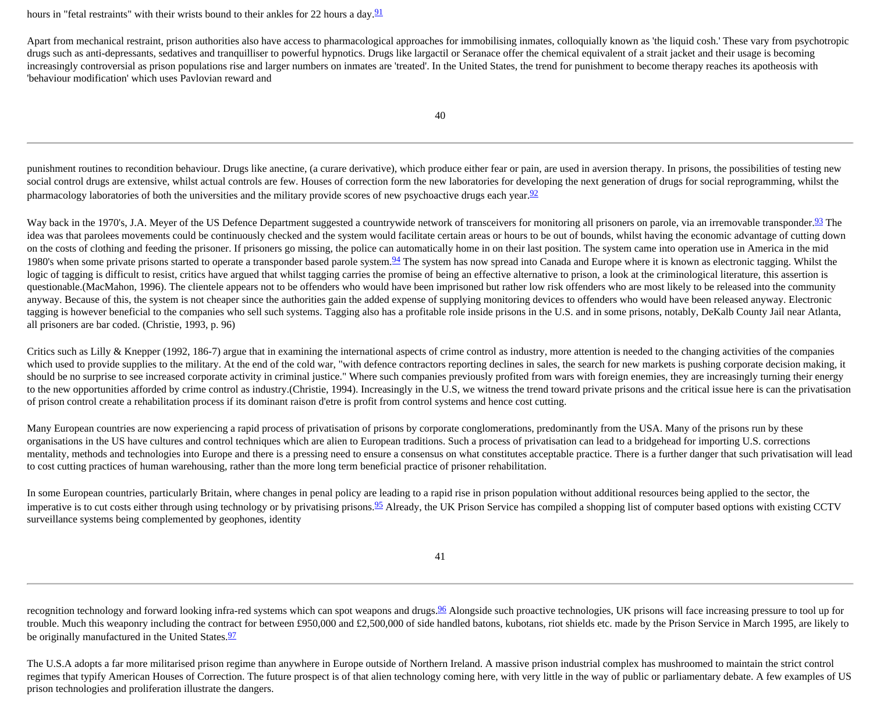hours in "fetal restraints" with their wrists bound to their ankles for 22 hours a day.  $91$ 

Apart from mechanical restraint, prison authorities also have access to pharmacological approaches for immobilising inmates, colloquially known as 'the liquid cosh.' These vary from psychotropic drugs such as anti-depressants, sedatives and tranquilliser to powerful hypnotics. Drugs like largactil or Seranace offer the chemical equivalent of a strait jacket and their usage is becoming increasingly controversial as prison populations rise and larger numbers on inmates are 'treated'. In the United States, the trend for punishment to become therapy reaches its apotheosis with 'behaviour modification' which uses Pavlovian reward and

40

punishment routines to recondition behaviour. Drugs like anectine, (a curare derivative), which produce either fear or pain, are used in aversion therapy. In prisons, the possibilities of testing new social control drugs are extensive, whilst actual controls are few. Houses of correction form the new laboratories for developing the next generation of drugs for social reprogramming, whilst the pharmacology laboratories of both the universities and the military provide scores of new psychoactive drugs each year.<sup>[92](http://cryptome.org/stoa-atpc.htm#92)</sup>

Way back in the 1970's, J.A. Meyer of the US Defence Department suggested a countrywide network of transceivers for monitoring all prisoners on parole, via an irremovable transponder.<sup>93</sup> The idea was that parolees movements could be continuously checked and the system would facilitate certain areas or hours to be out of bounds, whilst having the economic advantage of cutting down on the costs of clothing and feeding the prisoner. If prisoners go missing, the police can automatically home in on their last position. The system came into operation use in America in the mid 1980's when some private prisons started to operate a transponder based parole system. <sup>94</sup> The system has now spread into Canada and Europe where it is known as electronic tagging. Whilst the logic of tagging is difficult to resist, critics have argued that whilst tagging carries the promise of being an effective alternative to prison, a look at the criminological literature, this assertion is questionable.(MacMahon, 1996). The clientele appears not to be offenders who would have been imprisoned but rather low risk offenders who are most likely to be released into the community anyway. Because of this, the system is not cheaper since the authorities gain the added expense of supplying monitoring devices to offenders who would have been released anyway. Electronic tagging is however beneficial to the companies who sell such systems. Tagging also has a profitable role inside prisons in the U.S. and in some prisons, notably, DeKalb County Jail near Atlanta, all prisoners are bar coded. (Christie, 1993, p. 96)

Critics such as Lilly & Knepper (1992, 186-7) argue that in examining the international aspects of crime control as industry, more attention is needed to the changing activities of the companies which used to provide supplies to the military. At the end of the cold war, "with defence contractors reporting declines in sales, the search for new markets is pushing corporate decision making, it should be no surprise to see increased corporate activity in criminal justice." Where such companies previously profited from wars with foreign enemies, they are increasingly turning their energy to the new opportunities afforded by crime control as industry.(Christie, 1994). Increasingly in the U.S, we witness the trend toward private prisons and the critical issue here is can the privatisation of prison control create a rehabilitation process if its dominant raison d'etre is profit from control systems and hence cost cutting.

Many European countries are now experiencing a rapid process of privatisation of prisons by corporate conglomerations, predominantly from the USA. Many of the prisons run by these organisations in the US have cultures and control techniques which are alien to European traditions. Such a process of privatisation can lead to a bridgehead for importing U.S. corrections mentality, methods and technologies into Europe and there is a pressing need to ensure a consensus on what constitutes acceptable practice. There is a further danger that such privatisation will lead to cost cutting practices of human warehousing, rather than the more long term beneficial practice of prisoner rehabilitation.

In some European countries, particularly Britain, where changes in penal policy are leading to a rapid rise in prison population without additional resources being applied to the sector, the imperative is to cut costs either through using technology or by privatising prisons.<sup>95</sup> Already, the UK Prison Service has compiled a shopping list of computer based options with existing CCTV surveillance systems being complemented by geophones, identity

41

recognition technology and forward looking infra-red systems which can spot weapons and drugs.<sup>[96](http://cryptome.org/stoa-atpc.htm#96)</sup> Alongside such proactive technologies, UK prisons will face increasing pressure to tool up for trouble. Much this weaponry including the contract for between £950,000 and £2,500,000 of side handled batons, kubotans, riot shields etc. made by the Prison Service in March 1995, are likely to be originally manufactured in the United States.<sup>97</sup>

The U.S.A adopts a far more militarised prison regime than anywhere in Europe outside of Northern Ireland. A massive prison industrial complex has mushroomed to maintain the strict control regimes that typify American Houses of Correction. The future prospect is of that alien technology coming here, with very little in the way of public or parliamentary debate. A few examples of US prison technologies and proliferation illustrate the dangers.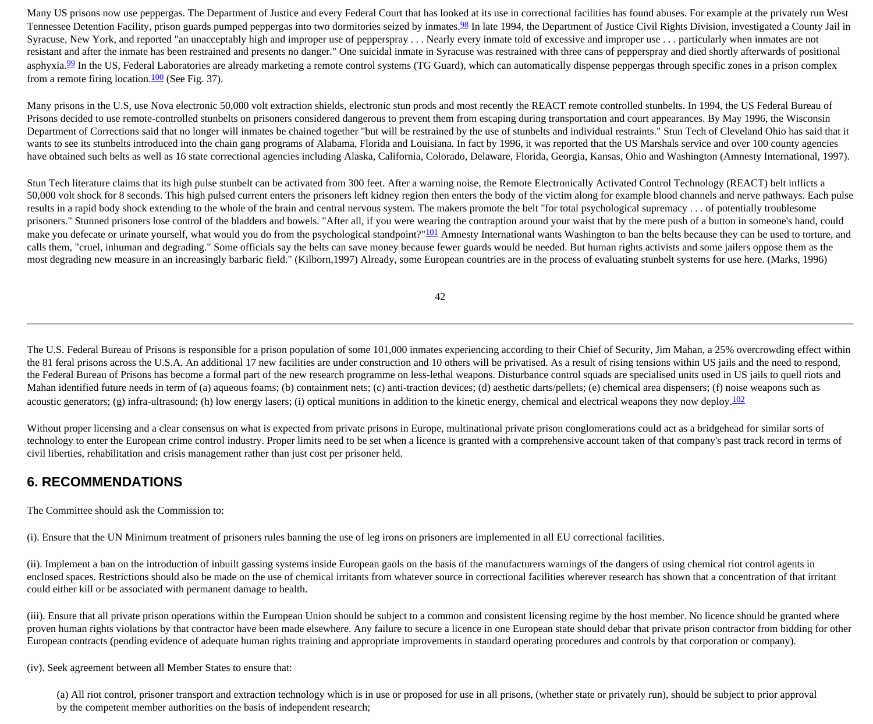Many US prisons now use peppergas. The Department of Justice and every Federal Court that has looked at its use in correctional facilities has found abuses. For example at the privately run West Tennessee Detention Facility, prison guards pumped peppergas into two dormitories seized by inmates.<sup>98</sup> In late 1994, the Department of Justice Civil Rights Division, investigated a County Jail in Syracuse, New York, and reported "an unacceptably high and improper use of pepperspray . . . Nearly every inmate told of excessive and improper use . . . particularly when inmates are not resistant and after the inmate has been restrained and presents no danger." One suicidal inmate in Syracuse was restrained with three cans of pepperspray and died shortly afterwards of positional asphyxia. $99$  In the US, Federal Laboratories are already marketing a remote control systems (TG Guard), which can automatically dispense peppergas through specific zones in a prison complex from a remote firing location. $\frac{100}{100}$  (See Fig. 37).

Many prisons in the U.S, use Nova electronic 50,000 volt extraction shields, electronic stun prods and most recently the REACT remote controlled stunbelts. In 1994, the US Federal Bureau of Prisons decided to use remote-controlled stunbelts on prisoners considered dangerous to prevent them from escaping during transportation and court appearances. By May 1996, the Wisconsin Department of Corrections said that no longer will inmates be chained together "but will be restrained by the use of stunbelts and individual restraints." Stun Tech of Cleveland Ohio has said that it wants to see its stunbelts introduced into the chain gang programs of Alabama, Florida and Louisiana. In fact by 1996, it was reported that the US Marshals service and over 100 county agencies have obtained such belts as well as 16 state correctional agencies including Alaska, California, Colorado, Delaware, Florida, Georgia, Kansas, Ohio and Washington (Amnesty International, 1997).

Stun Tech literature claims that its high pulse stunbelt can be activated from 300 feet. After a warning noise, the Remote Electronically Activated Control Technology (REACT) belt inflicts a 50,000 volt shock for 8 seconds. This high pulsed current enters the prisoners left kidney region then enters the body of the victim along for example blood channels and nerve pathways. Each pulse results in a rapid body shock extending to the whole of the brain and central nervous system. The makers promote the belt "for total psychological supremacy . . . of potentially troublesome prisoners." Stunned prisoners lose control of the bladders and bowels. "After all, if you were wearing the contraption around your waist that by the mere push of a button in someone's hand, could make you defecate or urinate yourself, what would you do from the psychological standpoint?"<sup>[101](http://cryptome.org/stoa-atpc.htm#101)</sup> Amnesty International wants Washington to ban the belts because they can be used to torture, and calls them, "cruel, inhuman and degrading." Some officials say the belts can save money because fewer guards would be needed. But human rights activists and some jailers oppose them as the most degrading new measure in an increasingly barbaric field." (Kilborn,1997) Already, some European countries are in the process of evaluating stunbelt systems for use here. (Marks, 1996)

42

The U.S. Federal Bureau of Prisons is responsible for a prison population of some 101,000 inmates experiencing according to their Chief of Security, Jim Mahan, a 25% overcrowding effect within the 81 feral prisons across the U.S.A. An additional 17 new facilities are under construction and 10 others will be privatised. As a result of rising tensions within US jails and the need to respond, the Federal Bureau of Prisons has become a formal part of the new research programme on less-lethal weapons. Disturbance control squads are specialised units used in US jails to quell riots and Mahan identified future needs in term of (a) aqueous foams; (b) containment nets; (c) anti-traction devices; (d) aesthetic darts/pellets; (e) chemical area dispensers; (f) noise weapons such as acoustic generators; (g) infra-ultrasound; (h) low energy lasers; (i) optical munitions in addition to the kinetic energy, chemical and electrical weapons they now deploy.<sup>[102](http://cryptome.org/stoa-atpc.htm#102)</sup>

Without proper licensing and a clear consensus on what is expected from private prisons in Europe, multinational private prison conglomerations could act as a bridgehead for similar sorts of technology to enter the European crime control industry. Proper limits need to be set when a licence is granted with a comprehensive account taken of that company's past track record in terms of civil liberties, rehabilitation and crisis management rather than just cost per prisoner held.

### **6. RECOMMENDATIONS**

The Committee should ask the Commission to:

(i). Ensure that the UN Minimum treatment of prisoners rules banning the use of leg irons on prisoners are implemented in all EU correctional facilities.

(ii). Implement a ban on the introduction of inbuilt gassing systems inside European gaols on the basis of the manufacturers warnings of the dangers of using chemical riot control agents in enclosed spaces. Restrictions should also be made on the use of chemical irritants from whatever source in correctional facilities wherever research has shown that a concentration of that irritant could either kill or be associated with permanent damage to health.

(iii). Ensure that all private prison operations within the European Union should be subject to a common and consistent licensing regime by the host member. No licence should be granted where proven human rights violations by that contractor have been made elsewhere. Any failure to secure a licence in one European state should debar that private prison contractor from bidding for other European contracts (pending evidence of adequate human rights training and appropriate improvements in standard operating procedures and controls by that corporation or company).

(iv). Seek agreement between all Member States to ensure that:

(a) All riot control, prisoner transport and extraction technology which is in use or proposed for use in all prisons, (whether state or privately run), should be subject to prior approval by the competent member authorities on the basis of independent research;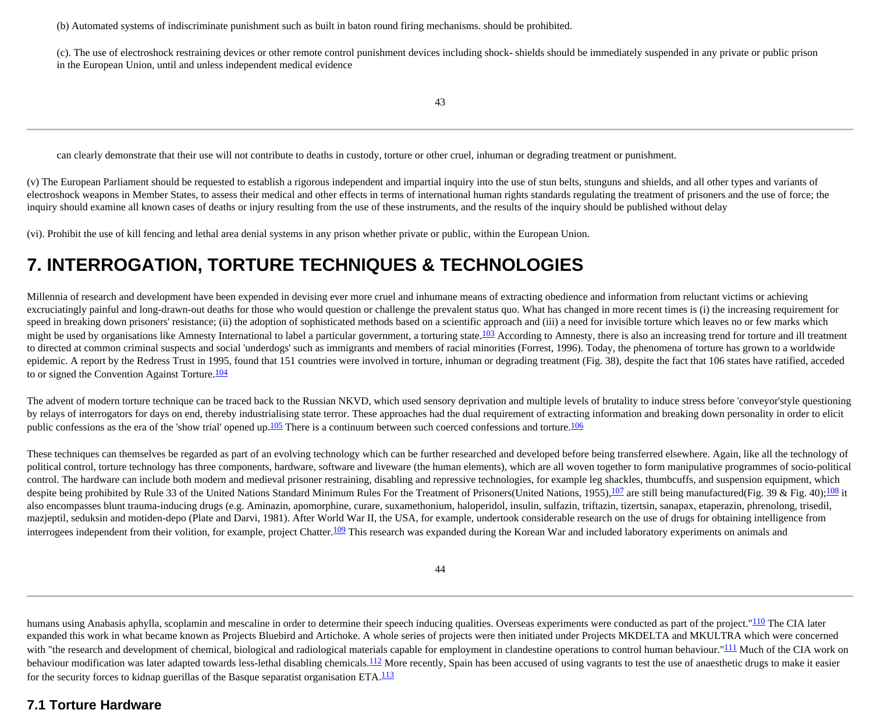(b) Automated systems of indiscriminate punishment such as built in baton round firing mechanisms. should be prohibited.

(c). The use of electroshock restraining devices or other remote control punishment devices including shock- shields should be immediately suspended in any private or public prison in the European Union, until and unless independent medical evidence

can clearly demonstrate that their use will not contribute to deaths in custody, torture or other cruel, inhuman or degrading treatment or punishment.

(v) The European Parliament should be requested to establish a rigorous independent and impartial inquiry into the use of stun belts, stunguns and shields, and all other types and variants of electroshock weapons in Member States, to assess their medical and other effects in terms of international human rights standards regulating the treatment of prisoners and the use of force; the inquiry should examine all known cases of deaths or injury resulting from the use of these instruments, and the results of the inquiry should be published without delay

(vi). Prohibit the use of kill fencing and lethal area denial systems in any prison whether private or public, within the European Union.

### **7. INTERROGATION, TORTURE TECHNIQUES & TECHNOLOGIES**

Millennia of research and development have been expended in devising ever more cruel and inhumane means of extracting obedience and information from reluctant victims or achieving excruciatingly painful and long-drawn-out deaths for those who would question or challenge the prevalent status quo. What has changed in more recent times is (i) the increasing requirement for speed in breaking down prisoners' resistance; (ii) the adoption of sophisticated methods based on a scientific approach and (iii) a need for invisible torture which leaves no or few marks which might be used by organisations like Amnesty International to label a particular government, a torturing state.<sup>[103](http://cryptome.org/stoa-atpc.htm#103)</sup> According to Amnesty, there is also an increasing trend for torture and ill treatment to directed at common criminal suspects and social 'underdogs' such as immigrants and members of racial minorities (Forrest, 1996). Today, the phenomena of torture has grown to a worldwide epidemic. A report by the Redress Trust in 1995, found that 151 countries were involved in torture, inhuman or degrading treatment (Fig. 38), despite the fact that 106 states have ratified, acceded to or signed the Convention Against Torture.<sup>104</sup>

The advent of modern torture technique can be traced back to the Russian NKVD, which used sensory deprivation and multiple levels of brutality to induce stress before 'conveyor'style questioning by relays of interrogators for days on end, thereby industrialising state terror. These approaches had the dual requirement of extracting information and breaking down personality in order to elicit public confessions as the era of the 'show trial' opened up.<sup>105</sup> There is a continuum between such coerced confessions and torture.<sup>106</sup>

These techniques can themselves be regarded as part of an evolving technology which can be further researched and developed before being transferred elsewhere. Again, like all the technology of political control, torture technology has three components, hardware, software and liveware (the human elements), which are all woven together to form manipulative programmes of socio-political control. The hardware can include both modern and medieval prisoner restraining, disabling and repressive technologies, for example leg shackles, thumbcuffs, and suspension equipment, which despite being prohibited by Rule 33 of the United Nations Standard Minimum Rules For the Treatment of Prisoners(United Nations, 1955),  $\frac{107}{2}$  are still being manufactured(Fig. 39 & Fig. 40); $\frac{108}{2}$  it also encompasses blunt trauma-inducing drugs (e.g. Aminazin, apomorphine, curare, suxamethonium, haloperidol, insulin, sulfazin, triftazin, tizertsin, sanapax, etaperazin, phrenolong, trisedil, mazjeptil, seduksin and motiden-depo (Plate and Darvi, 1981). After World War II, the USA, for example, undertook considerable research on the use of drugs for obtaining intelligence from interrogees independent from their volition, for example, project Chatter.<sup>[109](http://cryptome.org/stoa-atpc.htm#109)</sup> This research was expanded during the Korean War and included laboratory experiments on animals and

44

humans using Anabasis aphylla, scoplamin and mescaline in order to determine their speech inducing qualities. Overseas experiments were conducted as part of the project."<sup>110</sup> The CIA later expanded this work in what became known as Projects Bluebird and Artichoke. A whole series of projects were then initiated under Projects MKDELTA and MKULTRA which were concerned with "the research and development of chemical, biological and radiological materials capable for employment in clandestine operations to control human behaviour."<sup>111</sup> Much of the CIA work on behaviour modification was later adapted towards less-lethal disabling chemicals.<sup>112</sup> More recently, Spain has been accused of using vagrants to test the use of anaesthetic drugs to make it easier for the security forces to kidnap guerillas of the Basque separatist organisation ETA.<sup>[113](http://cryptome.org/stoa-atpc.htm#113)</sup>

### **7.1 Torture Hardware**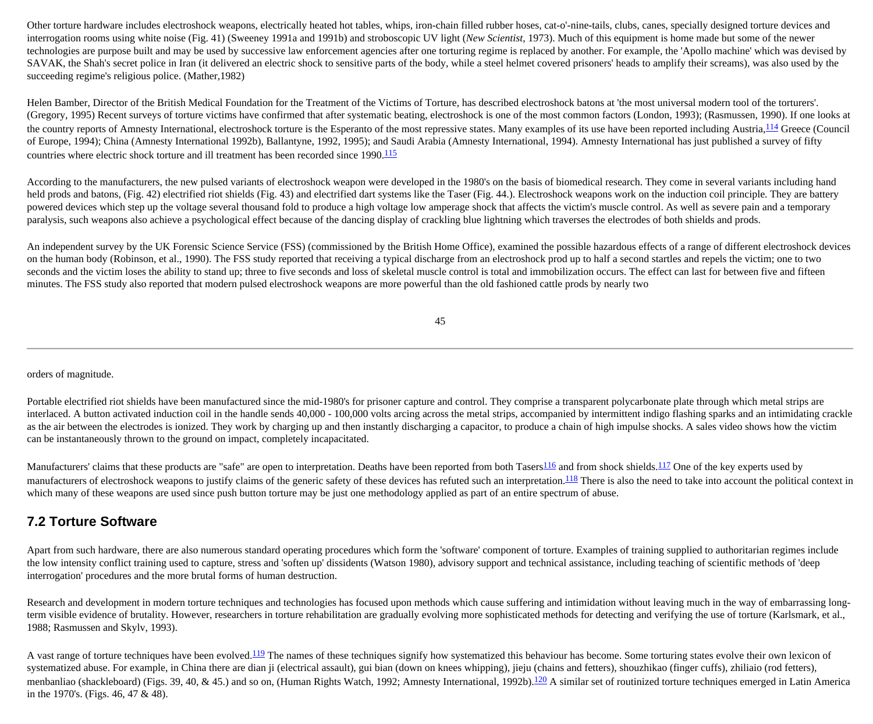Other torture hardware includes electroshock weapons, electrically heated hot tables, whips, iron-chain filled rubber hoses, cat-o'-nine-tails, clubs, canes, specially designed torture devices and interrogation rooms using white noise (Fig. 41) (Sweeney 1991a and 1991b) and stroboscopic UV light (*New Scientist*, 1973). Much of this equipment is home made but some of the newer technologies are purpose built and may be used by successive law enforcement agencies after one torturing regime is replaced by another. For example, the 'Apollo machine' which was devised by SAVAK, the Shah's secret police in Iran (it delivered an electric shock to sensitive parts of the body, while a steel helmet covered prisoners' heads to amplify their screams), was also used by the succeeding regime's religious police. (Mather,1982)

Helen Bamber, Director of the British Medical Foundation for the Treatment of the Victims of Torture, has described electroshock batons at 'the most universal modern tool of the torturers'. (Gregory, 1995) Recent surveys of torture victims have confirmed that after systematic beating, electroshock is one of the most common factors (London, 1993); (Rasmussen, 1990). If one looks at the country reports of Amnesty International, electroshock torture is the Esperanto of the most repressive states. Many examples of its use have been reported including Austria, <sup>114</sup> Greece (Council of Europe, 1994); China (Amnesty International 1992b), Ballantyne, 1992, 1995); and Saudi Arabia (Amnesty International, 1994). Amnesty International has just published a survey of fifty countries where electric shock torture and ill treatment has been recorded since 1990.<sup>[115](http://cryptome.org/stoa-atpc.htm#115)</sup>

According to the manufacturers, the new pulsed variants of electroshock weapon were developed in the 1980's on the basis of biomedical research. They come in several variants including hand held prods and batons, (Fig. 42) electrified riot shields (Fig. 43) and electrified dart systems like the Taser (Fig. 44.). Electroshock weapons work on the induction coil principle. They are battery powered devices which step up the voltage several thousand fold to produce a high voltage low amperage shock that affects the victim's muscle control. As well as severe pain and a temporary paralysis, such weapons also achieve a psychological effect because of the dancing display of crackling blue lightning which traverses the electrodes of both shields and prods.

An independent survey by the UK Forensic Science Service (FSS) (commissioned by the British Home Office), examined the possible hazardous effects of a range of different electroshock devices on the human body (Robinson, et al., 1990). The FSS study reported that receiving a typical discharge from an electroshock prod up to half a second startles and repels the victim; one to two seconds and the victim loses the ability to stand up; three to five seconds and loss of skeletal muscle control is total and immobilization occurs. The effect can last for between five and fifteen minutes. The FSS study also reported that modern pulsed electroshock weapons are more powerful than the old fashioned cattle prods by nearly two

45

orders of magnitude.

Portable electrified riot shields have been manufactured since the mid-1980's for prisoner capture and control. They comprise a transparent polycarbonate plate through which metal strips are interlaced. A button activated induction coil in the handle sends 40,000 - 100,000 volts arcing across the metal strips, accompanied by intermittent indigo flashing sparks and an intimidating crackle as the air between the electrodes is ionized. They work by charging up and then instantly discharging a capacitor, to produce a chain of high impulse shocks. A sales video shows how the victim can be instantaneously thrown to the ground on impact, completely incapacitated.

Manufacturers' claims that these products are "safe" are open to interpretation. Deaths have been reported from both Tasers<sup>[116](http://cryptome.org/stoa-atpc.htm#116)</sup> and from shock shields.<sup>117</sup> One of the key experts used by manufacturers of electroshock weapons to justify claims of the generic safety of these devices has refuted such an interpretation.<sup>[118](http://cryptome.org/stoa-atpc.htm#118)</sup> There is also the need to take into account the political context in which many of these weapons are used since push button torture may be just one methodology applied as part of an entire spectrum of abuse.

#### **7.2 Torture Software**

Apart from such hardware, there are also numerous standard operating procedures which form the 'software' component of torture. Examples of training supplied to authoritarian regimes include the low intensity conflict training used to capture, stress and 'soften up' dissidents (Watson 1980), advisory support and technical assistance, including teaching of scientific methods of 'deep interrogation' procedures and the more brutal forms of human destruction.

Research and development in modern torture techniques and technologies has focused upon methods which cause suffering and intimidation without leaving much in the way of embarrassing longterm visible evidence of brutality. However, researchers in torture rehabilitation are gradually evolving more sophisticated methods for detecting and verifying the use of torture (Karlsmark, et al., 1988; Rasmussen and Skylv, 1993).

A vast range of torture techniques have been evolved.<sup>[119](http://cryptome.org/stoa-atpc.htm#119)</sup> The names of these techniques signify how systematized this behaviour has become. Some torturing states evolve their own lexicon of systematized abuse. For example, in China there are dian ji (electrical assault), gui bian (down on knees whipping), jieju (chains and fetters), shouzhikao (finger cuffs), zhiliaio (rod fetters), menbanliao (shackleboard) (Figs. 39, 40, & 45.) and so on, (Human Rights Watch, 1992; Amnesty International, 1992b).<sup>120</sup> A similar set of routinized torture techniques emerged in Latin America in the 1970's. (Figs. 46, 47 & 48).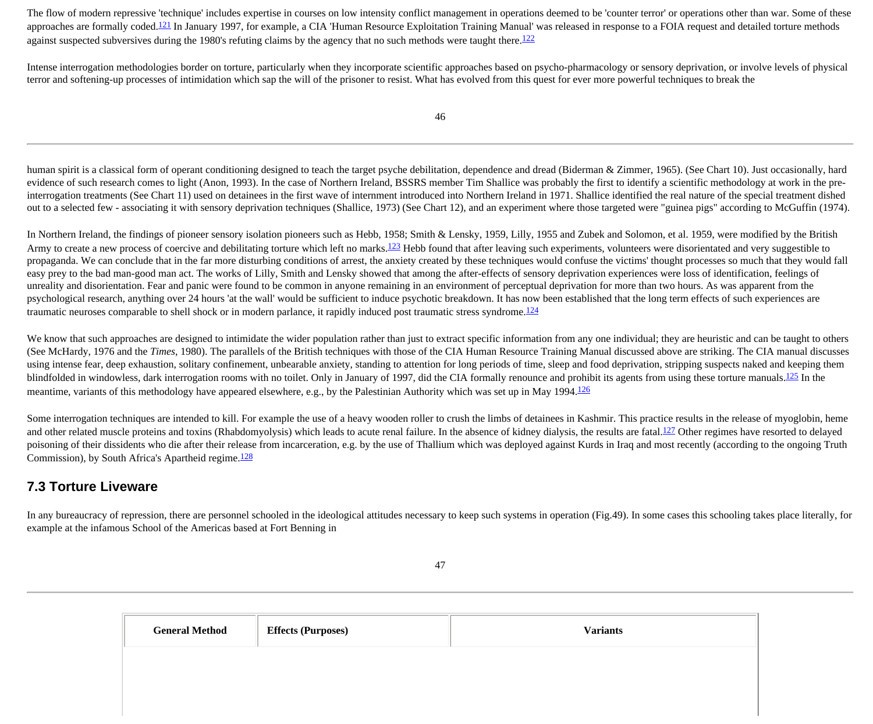The flow of modern repressive 'technique' includes expertise in courses on low intensity conflict management in operations deemed to be 'counter terror' or operations other than war. Some of these approaches are formally coded.<sup>[121](http://cryptome.org/stoa-atpc.htm#120)</sup> In January 1997, for example, a CIA 'Human Resource Exploitation Training Manual' was released in response to a FOIA request and detailed torture methods against suspected subversives during the 1980's refuting claims by the agency that no such methods were taught there.<sup>[122](http://cryptome.org/stoa-atpc.htm#122)</sup>

Intense interrogation methodologies border on torture, particularly when they incorporate scientific approaches based on psycho-pharmacology or sensory deprivation, or involve levels of physical terror and softening-up processes of intimidation which sap the will of the prisoner to resist. What has evolved from this quest for ever more powerful techniques to break the

human spirit is a classical form of operant conditioning designed to teach the target psyche debilitation, dependence and dread (Biderman & Zimmer, 1965). (See Chart 10). Just occasionally, hard evidence of such research comes to light (Anon, 1993). In the case of Northern Ireland, BSSRS member Tim Shallice was probably the first to identify a scientific methodology at work in the preinterrogation treatments (See Chart 11) used on detainees in the first wave of internment introduced into Northern Ireland in 1971. Shallice identified the real nature of the special treatment dished out to a selected few - associating it with sensory deprivation techniques (Shallice, 1973) (See Chart 12), and an experiment where those targeted were "guinea pigs" according to McGuffin (1974).

In Northern Ireland, the findings of pioneer sensory isolation pioneers such as Hebb, 1958; Smith & Lensky, 1959, Lilly, 1955 and Zubek and Solomon, et al. 1959, were modified by the British Army to create a new process of coercive and debilitating torture which left no marks.<sup>123</sup> Hebb found that after leaving such experiments, volunteers were disorientated and very suggestible to propaganda. We can conclude that in the far more disturbing conditions of arrest, the anxiety created by these techniques would confuse the victims' thought processes so much that they would fall easy prey to the bad man-good man act. The works of Lilly, Smith and Lensky showed that among the after-effects of sensory deprivation experiences were loss of identification, feelings of unreality and disorientation. Fear and panic were found to be common in anyone remaining in an environment of perceptual deprivation for more than two hours. As was apparent from the psychological research, anything over 24 hours 'at the wall' would be sufficient to induce psychotic breakdown. It has now been established that the long term effects of such experiences are traumatic neuroses comparable to shell shock or in modern parlance, it rapidly induced post traumatic stress syndrome.<sup>[124](http://cryptome.org/stoa-atpc.htm#124)</sup>

We know that such approaches are designed to intimidate the wider population rather than just to extract specific information from any one individual; they are heuristic and can be taught to others (See McHardy, 1976 and the *Times*, 1980). The parallels of the British techniques with those of the CIA Human Resource Training Manual discussed above are striking. The CIA manual discusses using intense fear, deep exhaustion, solitary confinement, unbearable anxiety, standing to attention for long periods of time, sleep and food deprivation, stripping suspects naked and keeping them blindfolded in windowless, dark interrogation rooms with no toilet. Only in January of 1997, did the CIA formally renounce and prohibit its agents from using these torture manuals.<sup>[125](http://cryptome.org/stoa-atpc.htm#125)</sup> In the meantime, variants of this methodology have appeared elsewhere, e.g., by the Palestinian Authority which was set up in May 1994.<sup>126</sup>

Some interrogation techniques are intended to kill. For example the use of a heavy wooden roller to crush the limbs of detainees in Kashmir. This practice results in the release of myoglobin, heme and other related muscle proteins and toxins (Rhabdomyolysis) which leads to acute renal failure. In the absence of kidney dialysis, the results are fatal.<sup>127</sup> Other regimes have resorted to delayed poisoning of their dissidents who die after their release from incarceration, e.g. by the use of Thallium which was deployed against Kurds in Iraq and most recently (according to the ongoing Truth Commission), by South Africa's Apartheid regime.<sup>128</sup>

### **7.3 Torture Liveware**

In any bureaucracy of repression, there are personnel schooled in the ideological attitudes necessary to keep such systems in operation (Fig.49). In some cases this schooling takes place literally, for example at the infamous School of the Americas based at Fort Benning in

| <b>General Method</b> | <b>Effects (Purposes)</b> | <b>Variants</b> |
|-----------------------|---------------------------|-----------------|
|                       |                           |                 |
|                       |                           |                 |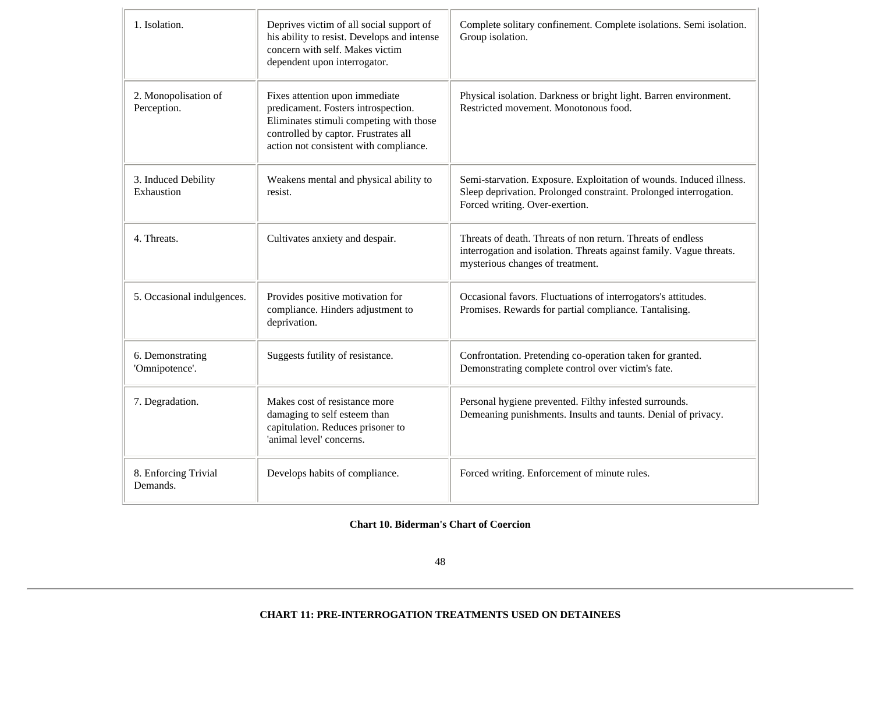| 1. Isolation.                       | Deprives victim of all social support of<br>his ability to resist. Develops and intense<br>concern with self. Makes victim<br>dependent upon interrogator.                                         | Complete solitary confinement. Complete isolations. Semi isolation.<br>Group isolation.                                                                                    |
|-------------------------------------|----------------------------------------------------------------------------------------------------------------------------------------------------------------------------------------------------|----------------------------------------------------------------------------------------------------------------------------------------------------------------------------|
| 2. Monopolisation of<br>Perception. | Fixes attention upon immediate<br>predicament. Fosters introspection.<br>Eliminates stimuli competing with those<br>controlled by captor. Frustrates all<br>action not consistent with compliance. | Physical isolation. Darkness or bright light. Barren environment.<br>Restricted movement. Monotonous food.                                                                 |
| 3. Induced Debility<br>Exhaustion   | Weakens mental and physical ability to<br>resist.                                                                                                                                                  | Semi-starvation. Exposure. Exploitation of wounds. Induced illness.<br>Sleep deprivation. Prolonged constraint. Prolonged interrogation.<br>Forced writing. Over-exertion. |
| 4. Threats.                         | Cultivates anxiety and despair.                                                                                                                                                                    | Threats of death. Threats of non return. Threats of endless<br>interrogation and isolation. Threats against family. Vague threats.<br>mysterious changes of treatment.     |
| 5. Occasional indulgences.          | Provides positive motivation for<br>compliance. Hinders adjustment to<br>deprivation.                                                                                                              | Occasional favors. Fluctuations of interrogators's attitudes.<br>Promises. Rewards for partial compliance. Tantalising.                                                    |
| 6. Demonstrating<br>'Omnipotence'.  | Suggests futility of resistance.                                                                                                                                                                   | Confrontation. Pretending co-operation taken for granted.<br>Demonstrating complete control over victim's fate.                                                            |
| 7. Degradation.                     | Makes cost of resistance more<br>damaging to self esteem than<br>capitulation. Reduces prisoner to<br>'animal level' concerns.                                                                     | Personal hygiene prevented. Filthy infested surrounds.<br>Demeaning punishments. Insults and taunts. Denial of privacy.                                                    |
| 8. Enforcing Trivial<br>Demands.    | Develops habits of compliance.                                                                                                                                                                     | Forced writing. Enforcement of minute rules.                                                                                                                               |

#### **Chart 10. Biderman's Chart of Coercion**

48

#### **CHART 11: PRE-INTERROGATION TREATMENTS USED ON DETAINEES**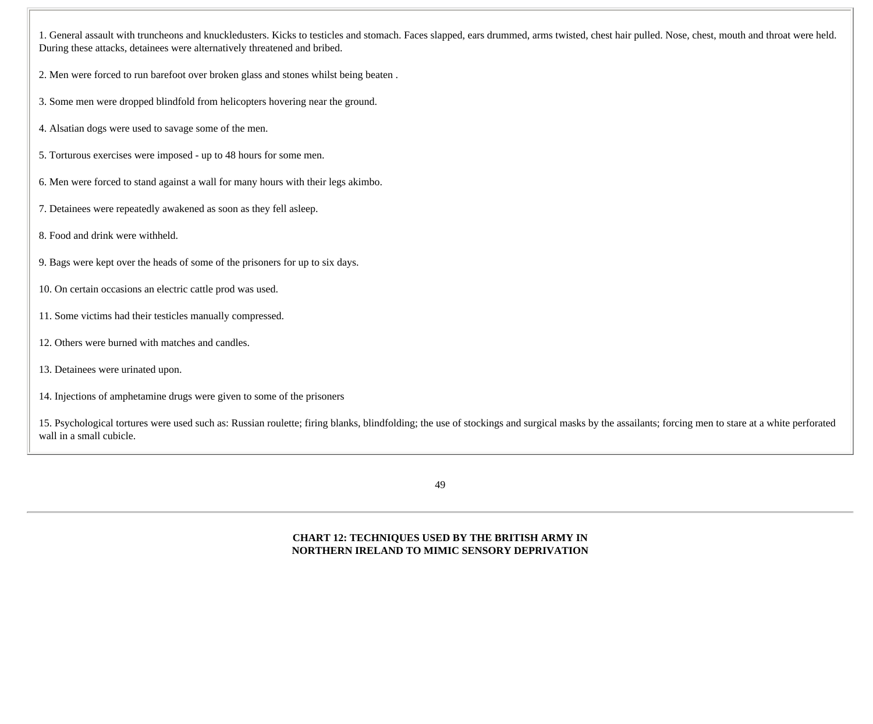1. General assault with truncheons and knuckledusters. Kicks to testicles and stomach. Faces slapped, ears drummed, arms twisted, chest hair pulled. Nose, chest, mouth and throat were held. During these attacks, detainees were alternatively threatened and bribed.

2. Men were forced to run barefoot over broken glass and stones whilst being beaten .

3. Some men were dropped blindfold from helicopters hovering near the ground.

- 4. Alsatian dogs were used to savage some of the men.
- 5. Torturous exercises were imposed up to 48 hours for some men.
- 6. Men were forced to stand against a wall for many hours with their legs akimbo.
- 7. Detainees were repeatedly awakened as soon as they fell asleep.
- 8. Food and drink were withheld.
- 9. Bags were kept over the heads of some of the prisoners for up to six days.
- 10. On certain occasions an electric cattle prod was used.
- 11. Some victims had their testicles manually compressed.
- 12. Others were burned with matches and candles.
- 13. Detainees were urinated upon.
- 14. Injections of amphetamine drugs were given to some of the prisoners

15. Psychological tortures were used such as: Russian roulette; firing blanks, blindfolding; the use of stockings and surgical masks by the assailants; forcing men to stare at a white perforated wall in a small cubicle.

49

**CHART 12: TECHNIQUES USED BY THE BRITISH ARMY IN NORTHERN IRELAND TO MIMIC SENSORY DEPRIVATION**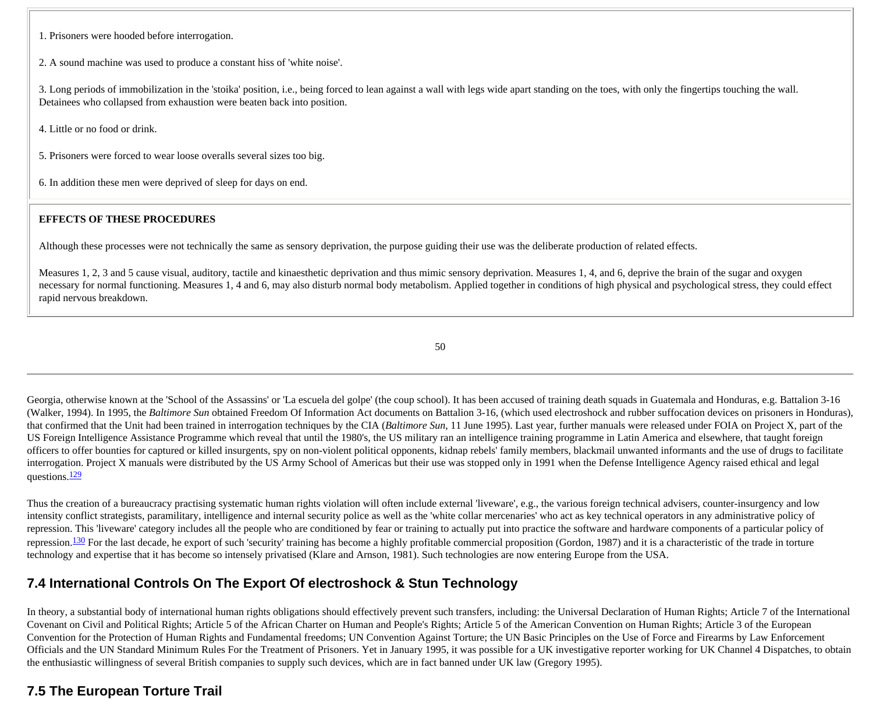1. Prisoners were hooded before interrogation.

2. A sound machine was used to produce a constant hiss of 'white noise'.

3. Long periods of immobilization in the 'stoika' position, i.e., being forced to lean against a wall with legs wide apart standing on the toes, with only the fingertips touching the wall. Detainees who collapsed from exhaustion were beaten back into position.

4. Little or no food or drink.

5. Prisoners were forced to wear loose overalls several sizes too big.

6. In addition these men were deprived of sleep for days on end.

#### **EFFECTS OF THESE PROCEDURES**

Although these processes were not technically the same as sensory deprivation, the purpose guiding their use was the deliberate production of related effects.

Measures 1, 2, 3 and 5 cause visual, auditory, tactile and kinaesthetic deprivation and thus mimic sensory deprivation. Measures 1, 4, and 6, deprive the brain of the sugar and oxygen necessary for normal functioning. Measures 1, 4 and 6, may also disturb normal body metabolism. Applied together in conditions of high physical and psychological stress, they could effect rapid nervous breakdown.

50

Georgia, otherwise known at the 'School of the Assassins' or 'La escuela del golpe' (the coup school). It has been accused of training death squads in Guatemala and Honduras, e.g. Battalion 3-16 (Walker, 1994). In 1995, the *Baltimore Sun* obtained Freedom Of Information Act documents on Battalion 3-16, (which used electroshock and rubber suffocation devices on prisoners in Honduras), that confirmed that the Unit had been trained in interrogation techniques by the CIA (*Baltimore Sun*, 11 June 1995). Last year, further manuals were released under FOIA on Project X, part of the US Foreign Intelligence Assistance Programme which reveal that until the 1980's, the US military ran an intelligence training programme in Latin America and elsewhere, that taught foreign officers to offer bounties for captured or killed insurgents, spy on non-violent political opponents, kidnap rebels' family members, blackmail unwanted informants and the use of drugs to facilitate interrogation. Project X manuals were distributed by the US Army School of Americas but their use was stopped only in 1991 when the Defense Intelligence Agency raised ethical and legal questions.<sup>[129](http://cryptome.org/stoa-atpc.htm#129)</sup>

Thus the creation of a bureaucracy practising systematic human rights violation will often include external 'liveware', e.g., the various foreign technical advisers, counter-insurgency and low intensity conflict strategists, paramilitary, intelligence and internal security police as well as the 'white collar mercenaries' who act as key technical operators in any administrative policy of repression. This 'liveware' category includes all the people who are conditioned by fear or training to actually put into practice the software and hardware components of a particular policy of repression.<sup>130</sup> For the last decade, he export of such 'security' training has become a highly profitable commercial proposition (Gordon, 1987) and it is a characteristic of the trade in torture technology and expertise that it has become so intensely privatised (Klare and Arnson, 1981). Such technologies are now entering Europe from the USA.

### **7.4 International Controls On The Export Of electroshock & Stun Technology**

In theory, a substantial body of international human rights obligations should effectively prevent such transfers, including: the Universal Declaration of Human Rights; Article 7 of the International Covenant on Civil and Political Rights; Article 5 of the African Charter on Human and People's Rights; Article 5 of the American Convention on Human Rights; Article 3 of the European Convention for the Protection of Human Rights and Fundamental freedoms; UN Convention Against Torture; the UN Basic Principles on the Use of Force and Firearms by Law Enforcement Officials and the UN Standard Minimum Rules For the Treatment of Prisoners. Yet in January 1995, it was possible for a UK investigative reporter working for UK Channel 4 Dispatches, to obtain the enthusiastic willingness of several British companies to supply such devices, which are in fact banned under UK law (Gregory 1995).

### **7.5 The European Torture Trail**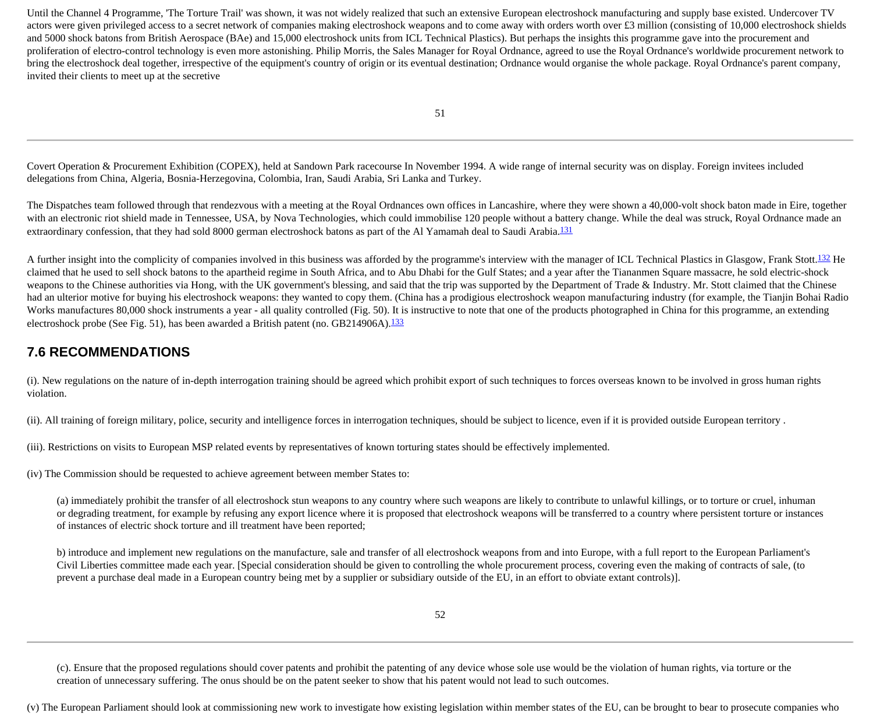Until the Channel 4 Programme, 'The Torture Trail' was shown, it was not widely realized that such an extensive European electroshock manufacturing and supply base existed. Undercover TV actors were given privileged access to a secret network of companies making electroshock weapons and to come away with orders worth over £3 million (consisting of 10,000 electroshock shields and 5000 shock batons from British Aerospace (BAe) and 15,000 electroshock units from ICL Technical Plastics). But perhaps the insights this programme gave into the procurement and proliferation of electro-control technology is even more astonishing. Philip Morris, the Sales Manager for Royal Ordnance, agreed to use the Royal Ordnance's worldwide procurement network to bring the electroshock deal together, irrespective of the equipment's country of origin or its eventual destination; Ordnance would organise the whole package. Royal Ordnance's parent company, invited their clients to meet up at the secretive

Covert Operation & Procurement Exhibition (COPEX), held at Sandown Park racecourse In November 1994. A wide range of internal security was on display. Foreign invitees included delegations from China, Algeria, Bosnia-Herzegovina, Colombia, Iran, Saudi Arabia, Sri Lanka and Turkey.

The Dispatches team followed through that rendezvous with a meeting at the Royal Ordnances own offices in Lancashire, where they were shown a 40,000-volt shock baton made in Eire, together with an electronic riot shield made in Tennessee, USA, by Nova Technologies, which could immobilise 120 people without a battery change. While the deal was struck, Royal Ordnance made an extraordinary confession, that they had sold 8000 german electroshock batons as part of the Al Yamamah deal to Saudi Arabia.<sup>[131](http://cryptome.org/stoa-atpc.htm#133)</sup>

A further insight into the complicity of companies involved in this business was afforded by the programme's interview with the manager of ICL Technical Plastics in Glasgow, Frank Stott.<sup>132</sup> He claimed that he used to sell shock batons to the apartheid regime in South Africa, and to Abu Dhabi for the Gulf States; and a year after the Tiananmen Square massacre, he sold electric-shock weapons to the Chinese authorities via Hong, with the UK government's blessing, and said that the trip was supported by the Department of Trade & Industry. Mr. Stott claimed that the Chinese had an ulterior motive for buying his electroshock weapons: they wanted to copy them. (China has a prodigious electroshock weapon manufacturing industry (for example, the Tianjin Bohai Radio Works manufactures 80,000 shock instruments a year - all quality controlled (Fig. 50). It is instructive to note that one of the products photographed in China for this programme, an extending electroshock probe (See Fig. 51), has been awarded a British patent (no. GB214906A).[133](http://cryptome.org/stoa-atpc.htm#133)

#### **7.6 RECOMMENDATIONS**

(i). New regulations on the nature of in-depth interrogation training should be agreed which prohibit export of such techniques to forces overseas known to be involved in gross human rights violation.

(ii). All training of foreign military, police, security and intelligence forces in interrogation techniques, should be subject to licence, even if it is provided outside European territory .

(iii). Restrictions on visits to European MSP related events by representatives of known torturing states should be effectively implemented.

(iv) The Commission should be requested to achieve agreement between member States to:

(a) immediately prohibit the transfer of all electroshock stun weapons to any country where such weapons are likely to contribute to unlawful killings, or to torture or cruel, inhuman or degrading treatment, for example by refusing any export licence where it is proposed that electroshock weapons will be transferred to a country where persistent torture or instances of instances of electric shock torture and ill treatment have been reported;

b) introduce and implement new regulations on the manufacture, sale and transfer of all electroshock weapons from and into Europe, with a full report to the European Parliament's Civil Liberties committee made each year. [Special consideration should be given to controlling the whole procurement process, covering even the making of contracts of sale, (to prevent a purchase deal made in a European country being met by a supplier or subsidiary outside of the EU, in an effort to obviate extant controls)].

(c). Ensure that the proposed regulations should cover patents and prohibit the patenting of any device whose sole use would be the violation of human rights, via torture or the creation of unnecessary suffering. The onus should be on the patent seeker to show that his patent would not lead to such outcomes.

(v) The European Parliament should look at commissioning new work to investigate how existing legislation within member states of the EU, can be brought to bear to prosecute companies who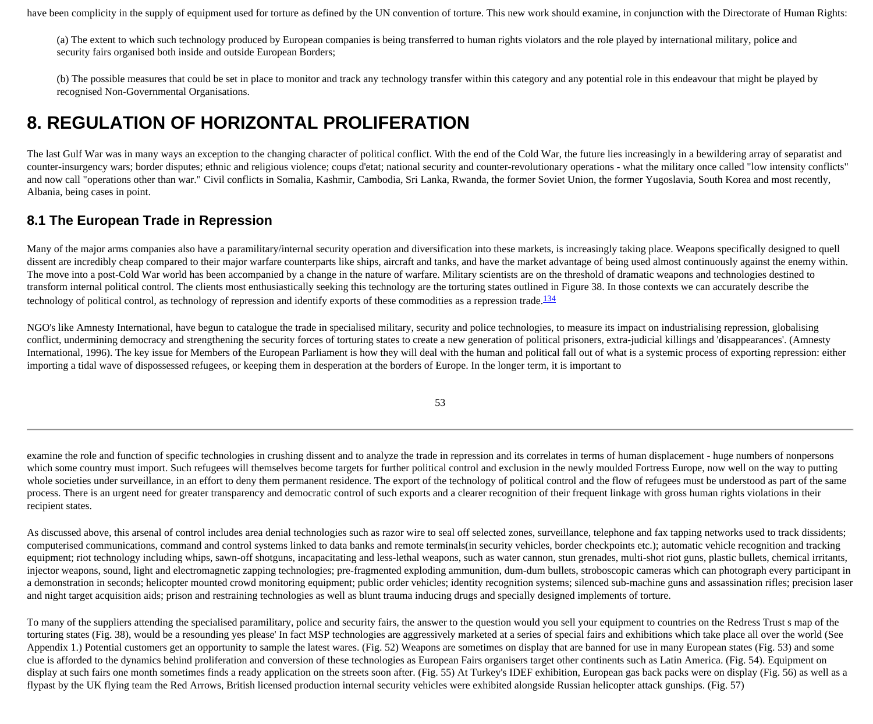have been complicity in the supply of equipment used for torture as defined by the UN convention of torture. This new work should examine, in conjunction with the Directorate of Human Rights:

(a) The extent to which such technology produced by European companies is being transferred to human rights violators and the role played by international military, police and security fairs organised both inside and outside European Borders;

(b) The possible measures that could be set in place to monitor and track any technology transfer within this category and any potential role in this endeavour that might be played by recognised Non-Governmental Organisations.

### **8. REGULATION OF HORIZONTAL PROLIFERATION**

The last Gulf War was in many ways an exception to the changing character of political conflict. With the end of the Cold War, the future lies increasingly in a bewildering array of separatist and counter-insurgency wars; border disputes; ethnic and religious violence; coups d'etat; national security and counter-revolutionary operations - what the military once called "low intensity conflicts" and now call "operations other than war." Civil conflicts in Somalia, Kashmir, Cambodia, Sri Lanka, Rwanda, the former Soviet Union, the former Yugoslavia, South Korea and most recently, Albania, being cases in point.

#### **8.1 The European Trade in Repression**

Many of the major arms companies also have a paramilitary/internal security operation and diversification into these markets, is increasingly taking place. Weapons specifically designed to quell dissent are incredibly cheap compared to their major warfare counterparts like ships, aircraft and tanks, and have the market advantage of being used almost continuously against the enemy within. The move into a post-Cold War world has been accompanied by a change in the nature of warfare. Military scientists are on the threshold of dramatic weapons and technologies destined to transform internal political control. The clients most enthusiastically seeking this technology are the torturing states outlined in Figure 38. In those contexts we can accurately describe the technology of political control, as technology of repression and identify exports of these commodities as a repression trade.<sup>[134](http://cryptome.org/stoa-atpc.htm#134)</sup>

NGO's like Amnesty International, have begun to catalogue the trade in specialised military, security and police technologies, to measure its impact on industrialising repression, globalising conflict, undermining democracy and strengthening the security forces of torturing states to create a new generation of political prisoners, extra-judicial killings and 'disappearances'. (Amnesty International, 1996). The key issue for Members of the European Parliament is how they will deal with the human and political fall out of what is a systemic process of exporting repression: either importing a tidal wave of dispossessed refugees, or keeping them in desperation at the borders of Europe. In the longer term, it is important to

53

examine the role and function of specific technologies in crushing dissent and to analyze the trade in repression and its correlates in terms of human displacement - huge numbers of nonpersons which some country must import. Such refugees will themselves become targets for further political control and exclusion in the newly moulded Fortress Europe, now well on the way to putting whole societies under surveillance, in an effort to deny them permanent residence. The export of the technology of political control and the flow of refugees must be understood as part of the same process. There is an urgent need for greater transparency and democratic control of such exports and a clearer recognition of their frequent linkage with gross human rights violations in their recipient states.

As discussed above, this arsenal of control includes area denial technologies such as razor wire to seal off selected zones, surveillance, telephone and fax tapping networks used to track dissidents; computerised communications, command and control systems linked to data banks and remote terminals(in security vehicles, border checkpoints etc.); automatic vehicle recognition and tracking equipment; riot technology including whips, sawn-off shotguns, incapacitating and less-lethal weapons, such as water cannon, stun grenades, multi-shot riot guns, plastic bullets, chemical irritants, injector weapons, sound, light and electromagnetic zapping technologies; pre-fragmented exploding ammunition, dum-dum bullets, stroboscopic cameras which can photograph every participant in a demonstration in seconds; helicopter mounted crowd monitoring equipment; public order vehicles; identity recognition systems; silenced sub-machine guns and assassination rifles; precision laser and night target acquisition aids; prison and restraining technologies as well as blunt trauma inducing drugs and specially designed implements of torture.

To many of the suppliers attending the specialised paramilitary, police and security fairs, the answer to the question would you sell your equipment to countries on the Redress Trust s map of the torturing states (Fig. 38), would be a resounding yes please' In fact MSP technologies are aggressively marketed at a series of special fairs and exhibitions which take place all over the world (See Appendix 1.) Potential customers get an opportunity to sample the latest wares. (Fig. 52) Weapons are sometimes on display that are banned for use in many European states (Fig. 53) and some clue is afforded to the dynamics behind proliferation and conversion of these technologies as European Fairs organisers target other continents such as Latin America. (Fig. 54). Equipment on display at such fairs one month sometimes finds a ready application on the streets soon after. (Fig. 55) At Turkey's IDEF exhibition, European gas back packs were on display (Fig. 56) as well as a flypast by the UK flying team the Red Arrows, British licensed production internal security vehicles were exhibited alongside Russian helicopter attack gunships. (Fig. 57)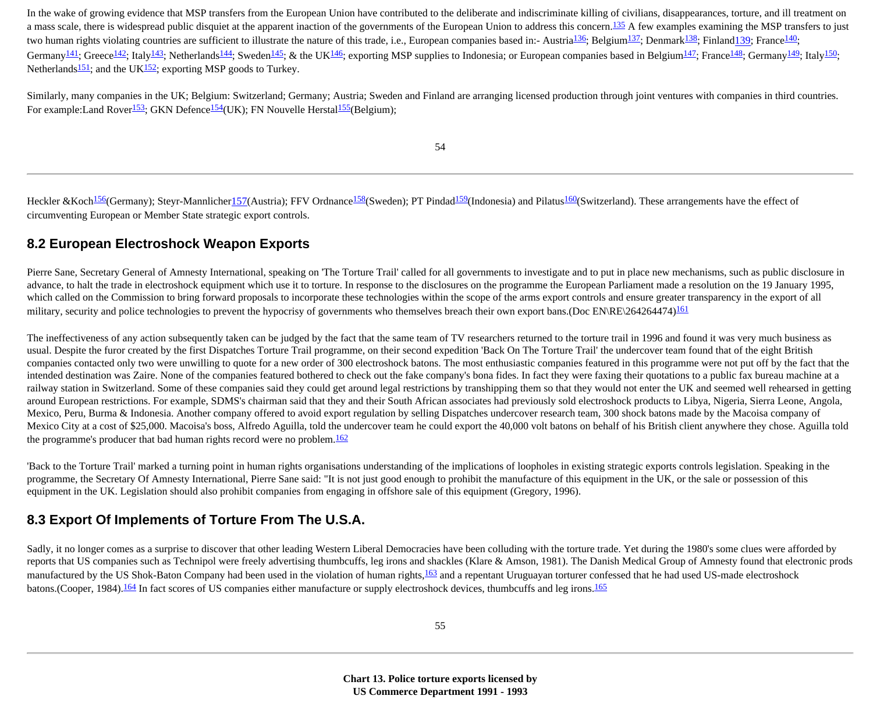In the wake of growing evidence that MSP transfers from the European Union have contributed to the deliberate and indiscriminate killing of civilians, disappearances, torture, and ill treatment on a mass scale, there is widespread public disquiet at the apparent inaction of the governments of the European Union to address this concern.<sup>[135](http://cryptome.org/stoa-atpc.htm#135)</sup> A few examples examining the MSP transfers to just two human rights violating countries are sufficient to illustrate the nature of this trade, i.e., European companies based in:- Austria<sup>136</sup>; Belgium<sup>[137](http://cryptome.org/stoa-atpc.htm#137)</sup>; Denmark<sup>138</sup>; Finlan[d139;](http://cryptome.org/stoa-atpc.htm#139) France<sup>140</sup>; Germany<sup>141</sup>; Greece<sup>142</sup>; Italy<sup>143</sup>; Netherlands<sup>144</sup>; Sweden<sup>[145](http://cryptome.org/stoa-atpc.htm#145)</sup>; & the UK<sup>146</sup>; exporting MSP supplies to Indonesia; or European companies based in Belgium<sup>147</sup>; France<sup>148</sup>; Germany<sup>149</sup>; Italy<sup>150</sup>; Netherlands $151$ ; and the UK $152$ ; exporting MSP goods to Turkey.

Similarly, many companies in the UK; Belgium: Switzerland; Germany; Austria; Sweden and Finland are arranging licensed production through joint ventures with companies in third countries. For example: Land Rover<sup>[153](http://cryptome.org/stoa-atpc.htm#153)</sup>; GKN Defence<sup>154</sup>(UK); FN Nouvelle Hersta<sup>155</sup>(Belgium);

54

Heckler &Koch<sup>156</sup>(Germany); Steyr-Mannliche[r157](http://cryptome.org/stoa-atpc.htm#157)(Austria); FFV Ordnance<sup>158</sup>(Sweden); PT Pindad<sup>159</sup>(Indonesia) and Pilatus<sup>160</sup>(Switzerland). These arrangements have the effect of circumventing European or Member State strategic export controls.

#### **8.2 European Electroshock Weapon Exports**

Pierre Sane, Secretary General of Amnesty International, speaking on 'The Torture Trail' called for all governments to investigate and to put in place new mechanisms, such as public disclosure in advance, to halt the trade in electroshock equipment which use it to torture. In response to the disclosures on the programme the European Parliament made a resolution on the 19 January 1995, which called on the Commission to bring forward proposals to incorporate these technologies within the scope of the arms export controls and ensure greater transparency in the export of all military, security and police technologies to prevent the hypocrisy of governments who themselves breach their own export bans.(Doc EN\RE\264264474)<sup>[161](http://cryptome.org/stoa-atpc.htm#161)</sup>

The ineffectiveness of any action subsequently taken can be judged by the fact that the same team of TV researchers returned to the torture trail in 1996 and found it was very much business as usual. Despite the furor created by the first Dispatches Torture Trail programme, on their second expedition 'Back On The Torture Trail' the undercover team found that of the eight British companies contacted only two were unwilling to quote for a new order of 300 electroshock batons. The most enthusiastic companies featured in this programme were not put off by the fact that the intended destination was Zaire. None of the companies featured bothered to check out the fake company's bona fides. In fact they were faxing their quotations to a public fax bureau machine at a railway station in Switzerland. Some of these companies said they could get around legal restrictions by transhipping them so that they would not enter the UK and seemed well rehearsed in getting around European restrictions. For example, SDMS's chairman said that they and their South African associates had previously sold electroshock products to Libya, Nigeria, Sierra Leone, Angola, Mexico, Peru, Burma & Indonesia. Another company offered to avoid export regulation by selling Dispatches undercover research team, 300 shock batons made by the Macoisa company of Mexico City at a cost of \$25,000. Macoisa's boss, Alfredo Aguilla, told the undercover team he could export the 40,000 volt batons on behalf of his British client anywhere they chose. Aguilla told the programme's producer that bad human rights record were no problem. $162$ 

'Back to the Torture Trail' marked a turning point in human rights organisations understanding of the implications of loopholes in existing strategic exports controls legislation. Speaking in the programme, the Secretary Of Amnesty International, Pierre Sane said: "It is not just good enough to prohibit the manufacture of this equipment in the UK, or the sale or possession of this equipment in the UK. Legislation should also prohibit companies from engaging in offshore sale of this equipment (Gregory, 1996).

#### **8.3 Export Of Implements of Torture From The U.S.A.**

Sadly, it no longer comes as a surprise to discover that other leading Western Liberal Democracies have been colluding with the torture trade. Yet during the 1980's some clues were afforded by reports that US companies such as Technipol were freely advertising thumbcuffs, leg irons and shackles (Klare & Amson, 1981). The Danish Medical Group of Amnesty found that electronic prods manufactured by the US Shok-Baton Company had been used in the violation of human rights,  $\frac{163}{2}$  and a repentant Uruguayan torturer confessed that he had used US-made electroshock batons.(Cooper, 1984).<sup>164</sup> In fact scores of US companies either manufacture or supply electroshock devices, thumbcuffs and leg irons.<sup>[165](http://cryptome.org/stoa-atpc.htm#165)</sup>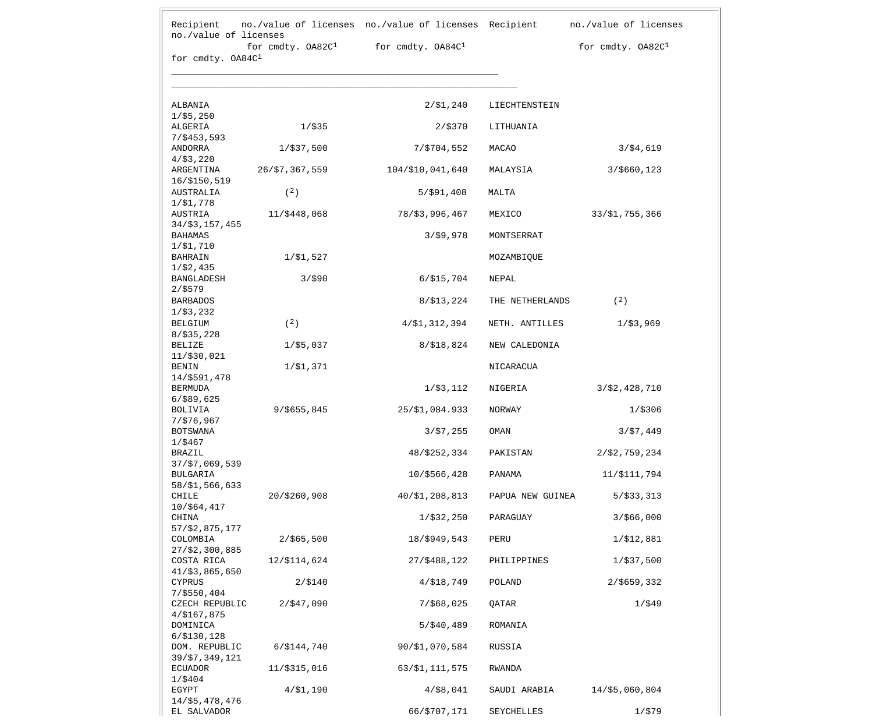|                                  | for $cmdty. 0A82C1$ | for cmdty. OA84C <sup>1</sup> |                  | for cmdty. OA82C1 |
|----------------------------------|---------------------|-------------------------------|------------------|-------------------|
| for cmdty. OA84C1                |                     |                               |                  |                   |
|                                  |                     |                               |                  |                   |
| ALBANIA                          |                     | $2/\$1,240$                   | LIECHTENSTEIN    |                   |
| 1/55,250<br>ALGERIA              | $1/$ \$35           | 2/\$370                       | LITHUANIA        |                   |
| $7/$ \$453,593<br>ANDORRA        | $1/\$37,500$        | 7/\$704,552                   | MACAO            | 3/54,619          |
| 4/53,220<br>ARGENTINA            | 26/\$7,367,559      | 104/\$10,041,640              | MALAYSIA         | 3/\$660,123       |
| 16/\$150,519                     |                     |                               |                  |                   |
| AUSTRALIA<br>1/\$1,778           | (2)                 | $5/$ \$91,408                 | MALTA            |                   |
| AUSTRIA                          | 11/\$448,068        | 78/\$3,996,467                | MEXICO           | 33/\$1,755,366    |
| 34/\$3,157,455<br><b>BAHAMAS</b> |                     | 3/59,978                      | MONTSERRAT       |                   |
| 1/51,710<br>BAHRAIN              | $1/\$1,527$         |                               | MOZAMBIQUE       |                   |
| 1/52,435<br>BANGLADESH           | 3/590               | 6/ \$15,704                   | NEPAL            |                   |
| $2/$ \$579<br><b>BARBADOS</b>    |                     | 8/\$13,224                    | THE NETHERLANDS  | (2)               |
| 1/53,232<br><b>BELGIUM</b>       | (2)                 | 4/\$1,312,394                 | NETH. ANTILLES   | 1/53,969          |
| 8/535,228<br><b>BELIZE</b>       | $1/\$5,037$         | 8/ \$18,824                   | NEW CALEDONIA    |                   |
| 11/\$30,021<br><b>BENIN</b>      | $1/\$1,371$         |                               | NICARACUA        |                   |
| 14/\$591,478                     |                     |                               |                  |                   |
| <b>BERMUDA</b><br>$6/$ \$89,625  |                     | 1/\$3,112                     | NIGERIA          | 3/52,428,710      |
| <b>BOLIVIA</b><br>7/576,967      | $9/$ \$655,845      | 25/\$1,084.933                | NORWAY           | $1/$ \$306        |
| <b>BOTSWANA</b>                  |                     | 3/57,255                      | OMAN             | 3/57,449          |
| 1/\$467<br>BRAZIL                |                     | 48/\$252,334                  | PAKISTAN         | 2/52,759,234      |
| $37/\$7,069,539$<br>BULGARIA     |                     | 10/\$566,428                  | PANAMA           | 11/\$111,794      |
| 58/\$1,566,633<br>CHILE          | 20/\$260,908        | 40/\$1,208,813                | PAPUA NEW GUINEA | $5/$ \$33,313     |
| 10/\$64,417<br>CHINA             |                     | 1/\$32,250                    | PARAGUAY         | 3/566,000         |
| 57/\$2,875,177                   |                     |                               |                  |                   |
| COLOMBIA<br>$27/\$2,300,885$     | $2/$ \$65,500       | 18/\$949,543                  | PERU             | 1/\$12,881        |
| COSTA RICA<br>41/\$3,865,650     | 12/\$114,624        | 27/\$488,122                  | PHILIPPINES      | 1/\$37,500        |
| CYPRUS                           | 2/ \$140            | 4/ \$18,749                   | POLAND           | $2/$ \$659,332    |
| $7/$ \$550,404<br>CZECH REPUBLIC | 2/547,090           | $7/$ \$68,025                 | QATAR            | $1/$ \$49         |
| 4/ \$167,875<br>DOMINICA         |                     | $5/$ \$40,489                 | ROMANIA          |                   |
| 6/ \$130, 128<br>DOM. REPUBLIC   | 6/\$144,740         | 90/\$1,070,584                | RUSSIA           |                   |
| 39/\$7,349,121<br><b>ECUADOR</b> | 11/\$315,016        | 63/\$1,111,575                | RWANDA           |                   |
| $1/$ \$404<br>EGYPT              | 4/51,190            | $4/$ \$8,041                  | SAUDI ARABIA     | $14$ /\$5,060,804 |
| 14/\$5,478,476                   |                     |                               |                  |                   |
| EL SALVADOR                      |                     | 66/\$707,171                  | SEYCHELLES       | 1/\$79            |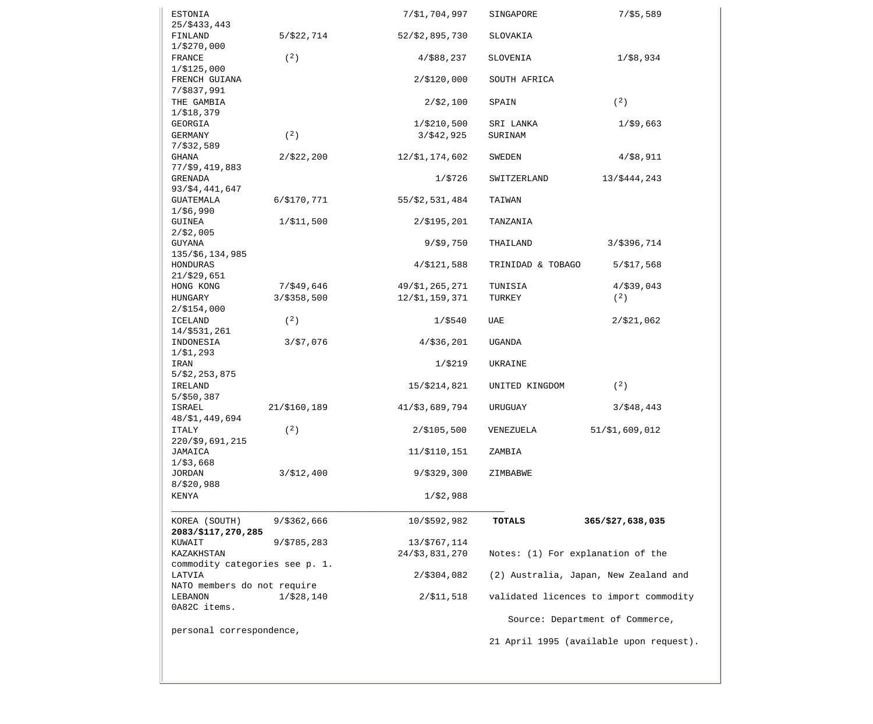| ESTONIA                        |                | 7/\$1,704,997  | SINGAPORE                         | $7/$ \$5,589                            |
|--------------------------------|----------------|----------------|-----------------------------------|-----------------------------------------|
| 25/\$433,443                   |                |                |                                   |                                         |
| FINLAND                        | 5/\$22,714     | 52/\$2,895,730 | SLOVAKIA                          |                                         |
| 1/\$270,000                    |                |                |                                   |                                         |
| FRANCE                         | (2)            | 4/\$88,237     | SLOVENIA                          | $1/$ \$8,934                            |
| 1/\$125,000                    |                |                |                                   |                                         |
| FRENCH GUIANA<br>7/\$837,991   |                | $2/\$120,000$  | SOUTH AFRICA                      |                                         |
| THE GAMBIA                     |                | $2/\$2,100$    | SPAIN                             | (2)                                     |
| 1/\$18,379                     |                |                |                                   |                                         |
| GEORGIA                        |                | 1/\$210,500    | SRI LANKA                         | $1/$ \$9,663                            |
| GERMANY                        | (2)            | $3/$ \$42,925  | SURINAM                           |                                         |
| 7/532,589                      |                |                |                                   |                                         |
| GHANA                          | 2/\$22,200     | 12/\$1,174,602 | SWEDEN                            | $4/$ \$8,911                            |
| 77/\$9,419,883                 |                |                |                                   |                                         |
| <b>GRENADA</b>                 |                | 1/\$726        | SWITZERLAND                       | 13/\$444,243                            |
| 93/\$4,441,647                 |                |                |                                   |                                         |
| GUATEMALA                      | $6/$ \$170,771 | 55/\$2,531,484 | TAIWAN                            |                                         |
| 1/56,990                       |                |                |                                   |                                         |
| GUINEA                         | $1/\$11,500$   | $2/\$195,201$  | TANZANIA                          |                                         |
| 2/52,005                       |                |                |                                   |                                         |
| GUYANA                         |                | $9/$ \$9,750   | THAILAND                          | 3/\$396,714                             |
| 135/\$6,134,985                |                |                |                                   |                                         |
| HONDURAS                       |                | 4/5121,588     | TRINIDAD & TOBAGO                 | 5/517,568                               |
| 21/529,651                     |                |                |                                   |                                         |
| HONG KONG                      | $7/$ \$49,646  | 49/\$1,265,271 | TUNISIA                           | $4/$ \$39,043                           |
| HUNGARY                        | $3/$ \$358,500 | 12/\$1,159,371 | TURKEY                            | (2)                                     |
| $2/$ \$154,000                 |                |                |                                   |                                         |
| <b>ICELAND</b>                 | (2)            | $1/$ \$540     | UAE                               | $2/$ \$21,062                           |
| 14/\$531,261                   |                |                |                                   |                                         |
| INDONESIA                      | 3/57,076       | $4/$ \$36,201  | UGANDA                            |                                         |
| $1/\$1,293$                    |                |                |                                   |                                         |
| IRAN                           |                | 1/\$219        | UKRAINE                           |                                         |
| $5/\$2,253,875$                |                |                |                                   |                                         |
| IRELAND                        |                | 15/\$214,821   | UNITED KINGDOM                    | (2)                                     |
| $5/$ \$50,387                  |                |                |                                   |                                         |
| ISRAEL                         | 21/\$160,189   | 41/53,689,794  | URUGUAY                           | $3/$ \$48,443                           |
| 48/\$1,449,694                 |                |                |                                   |                                         |
| <b>ITALY</b>                   | (2)            | $2/$ \$105,500 | VENEZUELA                         | 51/\$1,609,012                          |
| 220/\$9,691,215                |                |                |                                   |                                         |
| JAMAICA                        |                | 11/\$110,151   | ZAMBIA                            |                                         |
| $1/$ \$3,668                   |                |                |                                   |                                         |
| <b>JORDAN</b>                  | 3/512,400      | 9/\$329,300    | ZIMBABWE                          |                                         |
| 8/520,988                      |                |                |                                   |                                         |
| KENYA                          |                | $1/\$2,988$    |                                   |                                         |
| KOREA (SOUTH)                  | $9/$ \$362,666 | 10/\$592,982   | <b>TOTALS</b>                     | 365/\$27,638,035                        |
| 2083/\$117,270,285             |                |                |                                   |                                         |
| KUWAIT                         | 9/\$785,283    | 13/\$767,114   |                                   |                                         |
| KAZAKHSTAN                     |                | 24/\$3,831,270 | Notes: (1) For explanation of the |                                         |
| commodity categories see p. 1. |                |                |                                   |                                         |
| LATVIA                         |                | 2/\$304,082    |                                   | (2) Australia, Japan, New Zealand and   |
| NATO members do not require    |                |                |                                   |                                         |
| <b>LEBANON</b>                 | 1/\$28,140     | 2/\$11,518     |                                   | validated licences to import commodity  |
| 0A82C items.                   |                |                |                                   |                                         |
|                                |                |                |                                   | Source: Department of Commerce,         |
| personal correspondence,       |                |                |                                   |                                         |
|                                |                |                |                                   | 21 April 1995 (available upon request). |
|                                |                |                |                                   |                                         |
|                                |                |                |                                   |                                         |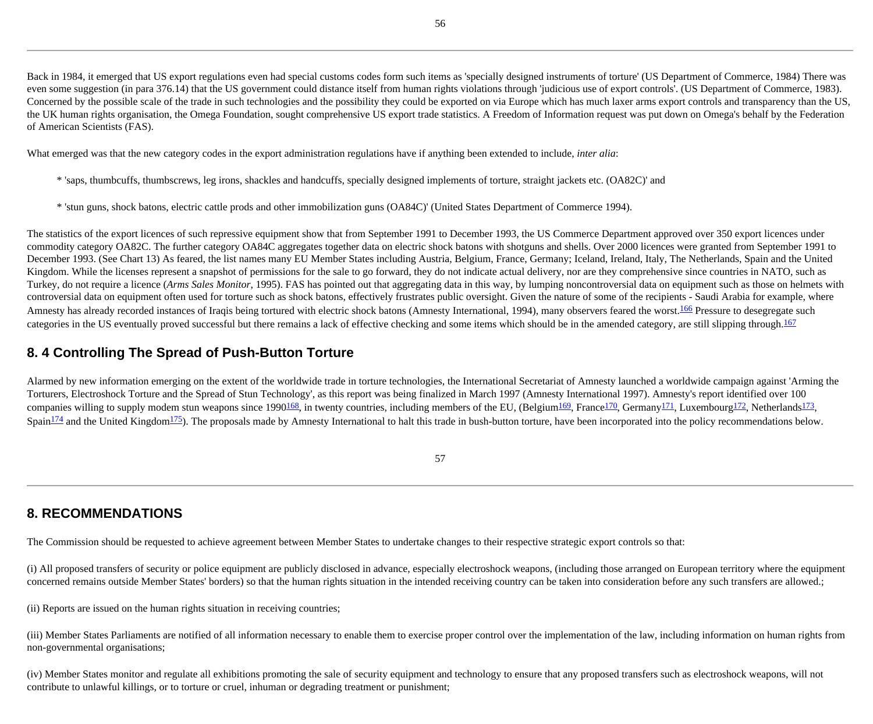Back in 1984, it emerged that US export regulations even had special customs codes form such items as 'specially designed instruments of torture' (US Department of Commerce, 1984) There was even some suggestion (in para 376.14) that the US government could distance itself from human rights violations through 'judicious use of export controls'. (US Department of Commerce, 1983). Concerned by the possible scale of the trade in such technologies and the possibility they could be exported on via Europe which has much laxer arms export controls and transparency than the US, the UK human rights organisation, the Omega Foundation, sought comprehensive US export trade statistics. A Freedom of Information request was put down on Omega's behalf by the Federation of American Scientists (FAS).

What emerged was that the new category codes in the export administration regulations have if anything been extended to include, *inter alia*:

- \* 'saps, thumbcuffs, thumbscrews, leg irons, shackles and handcuffs, specially designed implements of torture, straight jackets etc. (OA82C)' and
- \* 'stun guns, shock batons, electric cattle prods and other immobilization guns (OA84C)' (United States Department of Commerce 1994).

The statistics of the export licences of such repressive equipment show that from September 1991 to December 1993, the US Commerce Department approved over 350 export licences under commodity category OA82C. The further category OA84C aggregates together data on electric shock batons with shotguns and shells. Over 2000 licences were granted from September 1991 to December 1993. (See Chart 13) As feared, the list names many EU Member States including Austria, Belgium, France, Germany; Iceland, Ireland, Italy, The Netherlands, Spain and the United Kingdom. While the licenses represent a snapshot of permissions for the sale to go forward, they do not indicate actual delivery, nor are they comprehensive since countries in NATO, such as Turkey, do not require a licence (Arms Sales Monitor, 1995). FAS has pointed out that aggregating data in this way, by lumping noncontroversial data on equipment such as those on helmets with controversial data on equipment often used for torture such as shock batons, effectively frustrates public oversight. Given the nature of some of the recipients - Saudi Arabia for example, where Amnesty has already recorded instances of Iraqis being tortured with electric shock batons (Amnesty International, 1994), many observers feared the worst.<sup>166</sup> Pressure to desegregate such categories in the US eventually proved successful but there remains a lack of effective checking and some items which should be in the amended category, are still slipping through.<sup>[167](http://cryptome.org/stoa-atpc.htm#167)</sup>

#### **8. 4 Controlling The Spread of Push-Button Torture**

Alarmed by new information emerging on the extent of the worldwide trade in torture technologies, the International Secretariat of Amnesty launched a worldwide campaign against 'Arming the Torturers, Electroshock Torture and the Spread of Stun Technology', as this report was being finalized in March 1997 (Amnesty International 1997). Amnesty's report identified over 100 companies willing to supply modem stun weapons since 1990<sup>168</sup>, in twenty countries, including members of the EU, (Belgium<sup>169</sup>, France<sup>170</sup>, Germany<sup>171</sup>, Luxembourg<sup>172</sup>, Netherlands<sup>173</sup>, Spain<sup>174</sup> and the United Kingdom<sup>175</sup>). The proposals made by Amnesty International to halt this trade in bush-button torture, have been incorporated into the policy recommendations below.

### **8. RECOMMENDATIONS**

The Commission should be requested to achieve agreement between Member States to undertake changes to their respective strategic export controls so that:

(i) All proposed transfers of security or police equipment are publicly disclosed in advance, especially electroshock weapons, (including those arranged on European territory where the equipment concerned remains outside Member States' borders) so that the human rights situation in the intended receiving country can be taken into consideration before any such transfers are allowed.;

(ii) Reports are issued on the human rights situation in receiving countries;

(iii) Member States Parliaments are notified of all information necessary to enable them to exercise proper control over the implementation of the law, including information on human rights from non-governmental organisations;

(iv) Member States monitor and regulate all exhibitions promoting the sale of security equipment and technology to ensure that any proposed transfers such as electroshock weapons, will not contribute to unlawful killings, or to torture or cruel, inhuman or degrading treatment or punishment;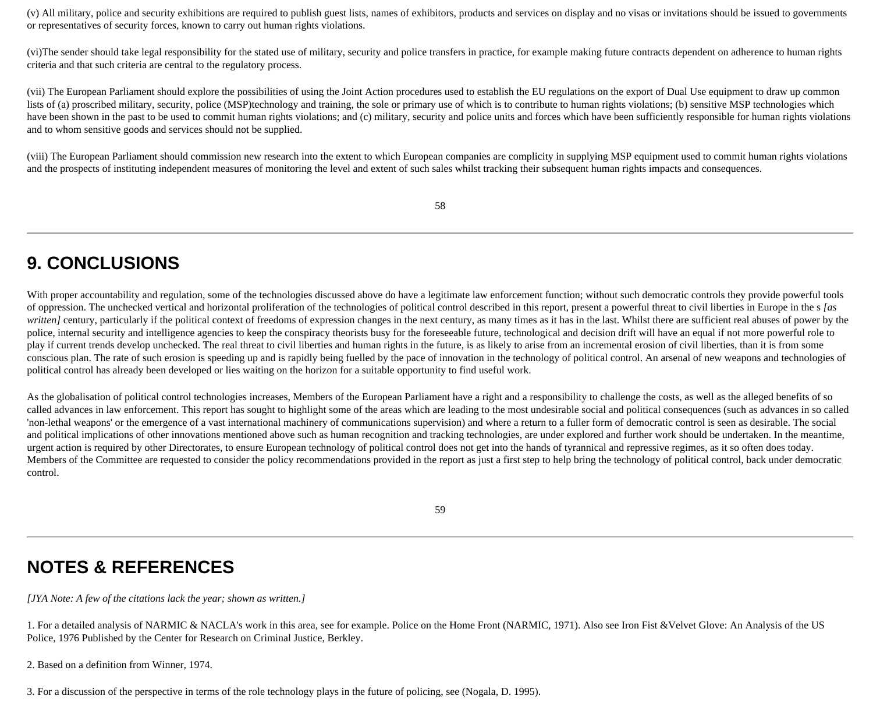(v) All military, police and security exhibitions are required to publish guest lists, names of exhibitors, products and services on display and no visas or invitations should be issued to governments or representatives of security forces, known to carry out human rights violations.

(vi)The sender should take legal responsibility for the stated use of military, security and police transfers in practice, for example making future contracts dependent on adherence to human rights criteria and that such criteria are central to the regulatory process.

(vii) The European Parliament should explore the possibilities of using the Joint Action procedures used to establish the EU regulations on the export of Dual Use equipment to draw up common lists of (a) proscribed military, security, police (MSP)technology and training, the sole or primary use of which is to contribute to human rights violations; (b) sensitive MSP technologies which have been shown in the past to be used to commit human rights violations; and (c) military, security and police units and forces which have been sufficiently responsible for human rights violations and to whom sensitive goods and services should not be supplied.

(viii) The European Parliament should commission new research into the extent to which European companies are complicity in supplying MSP equipment used to commit human rights violations and the prospects of instituting independent measures of monitoring the level and extent of such sales whilst tracking their subsequent human rights impacts and consequences.

58

# **9. CONCLUSIONS**

With proper accountability and regulation, some of the technologies discussed above do have a legitimate law enforcement function; without such democratic controls they provide powerful tools of oppression. The unchecked vertical and horizontal proliferation of the technologies of political control described in this report, present a powerful threat to civil liberties in Europe in the s *[as written]* century, particularly if the political context of freedoms of expression changes in the next century, as many times as it has in the last. Whilst there are sufficient real abuses of power by the police, internal security and intelligence agencies to keep the conspiracy theorists busy for the foreseeable future, technological and decision drift will have an equal if not more powerful role to play if current trends develop unchecked. The real threat to civil liberties and human rights in the future, is as likely to arise from an incremental erosion of civil liberties, than it is from some conscious plan. The rate of such erosion is speeding up and is rapidly being fuelled by the pace of innovation in the technology of political control. An arsenal of new weapons and technologies of political control has already been developed or lies waiting on the horizon for a suitable opportunity to find useful work.

As the globalisation of political control technologies increases, Members of the European Parliament have a right and a responsibility to challenge the costs, as well as the alleged benefits of so called advances in law enforcement. This report has sought to highlight some of the areas which are leading to the most undesirable social and political consequences (such as advances in so called 'non-lethal weapons' or the emergence of a vast international machinery of communications supervision) and where a return to a fuller form of democratic control is seen as desirable. The social and political implications of other innovations mentioned above such as human recognition and tracking technologies, are under explored and further work should be undertaken. In the meantime, urgent action is required by other Directorates, to ensure European technology of political control does not get into the hands of tyrannical and repressive regimes, as it so often does today. Members of the Committee are requested to consider the policy recommendations provided in the report as just a first step to help bring the technology of political control, back under democratic control.

59

### **NOTES & REFERENCES**

*[JYA Note: A few of the citations lack the year; shown as written.]*

1. For a detailed analysis of NARMIC & NACLA's work in this area, see for example. Police on the Home Front (NARMIC, 1971). Also see Iron Fist &Velvet Glove: An Analysis of the US Police, 1976 Published by the Center for Research on Criminal Justice, Berkley.

2. Based on a definition from Winner, 1974.

3. For a discussion of the perspective in terms of the role technology plays in the future of policing, see (Nogala, D. 1995).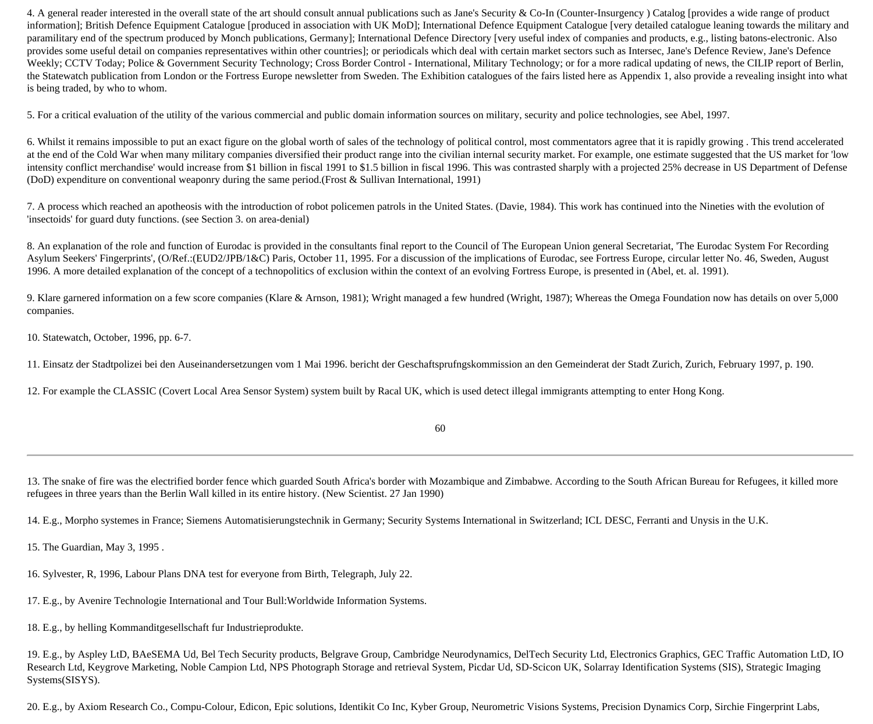4. A general reader interested in the overall state of the art should consult annual publications such as Jane's Security & Co-In (Counter-Insurgency) Catalog [provides a wide range of product information]; British Defence Equipment Catalogue [produced in association with UK MoD]; International Defence Equipment Catalogue [very detailed catalogue leaning towards the military and paramilitary end of the spectrum produced by Monch publications, Germany]; International Defence Directory [very useful index of companies and products, e.g., listing batons-electronic. Also provides some useful detail on companies representatives within other countries]; or periodicals which deal with certain market sectors such as Intersec, Jane's Defence Review, Jane's Defence Weekly; CCTV Today; Police & Government Security Technology; Cross Border Control - International, Military Technology; or for a more radical updating of news, the CILIP report of Berlin, the Statewatch publication from London or the Fortress Europe newsletter from Sweden. The Exhibition catalogues of the fairs listed here as Appendix 1, also provide a revealing insight into what is being traded, by who to whom.

5. For a critical evaluation of the utility of the various commercial and public domain information sources on military, security and police technologies, see Abel, 1997.

6. Whilst it remains impossible to put an exact figure on the global worth of sales of the technology of political control, most commentators agree that it is rapidly growing . This trend accelerated at the end of the Cold War when many military companies diversified their product range into the civilian internal security market. For example, one estimate suggested that the US market for 'low intensity conflict merchandise' would increase from \$1 billion in fiscal 1991 to \$1.5 billion in fiscal 1996. This was contrasted sharply with a projected 25% decrease in US Department of Defense (DoD) expenditure on conventional weaponry during the same period.(Frost & Sullivan International, 1991)

7. A process which reached an apotheosis with the introduction of robot policemen patrols in the United States. (Davie, 1984). This work has continued into the Nineties with the evolution of 'insectoids' for guard duty functions. (see Section 3. on area-denial)

8. An explanation of the role and function of Eurodac is provided in the consultants final report to the Council of The European Union general Secretariat, 'The Eurodac System For Recording Asylum Seekers' Fingerprints', (O/Ref.:(EUD2/JPB/1&C) Paris, October 11, 1995. For a discussion of the implications of Eurodac, see Fortress Europe, circular letter No. 46, Sweden, August 1996. A more detailed explanation of the concept of a technopolitics of exclusion within the context of an evolving Fortress Europe, is presented in (Abel, et. al. 1991).

9. Klare garnered information on a few score companies (Klare & Arnson, 1981); Wright managed a few hundred (Wright, 1987); Whereas the Omega Foundation now has details on over 5,000 companies.

10. Statewatch, October, 1996, pp. 6-7.

11. Einsatz der Stadtpolizei bei den Auseinandersetzungen vom 1 Mai 1996. bericht der Geschaftsprufngskommission an den Gemeinderat der Stadt Zurich, Zurich, February 1997, p. 190.

12. For example the CLASSIC (Covert Local Area Sensor System) system built by Racal UK, which is used detect illegal immigrants attempting to enter Hong Kong.

60

13. The snake of fire was the electrified border fence which guarded South Africa's border with Mozambique and Zimbabwe. According to the South African Bureau for Refugees, it killed more refugees in three years than the Berlin Wall killed in its entire history. (New Scientist. 27 Jan 1990)

14. E.g., Morpho systemes in France; Siemens Automatisierungstechnik in Germany; Security Systems International in Switzerland; ICL DESC, Ferranti and Unysis in the U.K.

15. The Guardian, May 3, 1995 .

16. Sylvester, R, 1996, Labour Plans DNA test for everyone from Birth, Telegraph, July 22.

17. E.g., by Avenire Technologie International and Tour Bull:Worldwide Information Systems.

18. E.g., by helling Kommanditgesellschaft fur Industrieprodukte.

19. E.g., by Aspley LtD, BAeSEMA Ud, Bel Tech Security products, Belgrave Group, Cambridge Neurodynamics, DelTech Security Ltd, Electronics Graphics, GEC Traffic Automation LtD, IO Research Ltd, Keygrove Marketing, Noble Campion Ltd, NPS Photograph Storage and retrieval System, Picdar Ud, SD-Scicon UK, Solarray Identification Systems (SIS), Strategic Imaging Systems(SISYS).

20. E.g., by Axiom Research Co., Compu-Colour, Edicon, Epic solutions, Identikit Co Inc, Kyber Group, Neurometric Visions Systems, Precision Dynamics Corp, Sirchie Fingerprint Labs,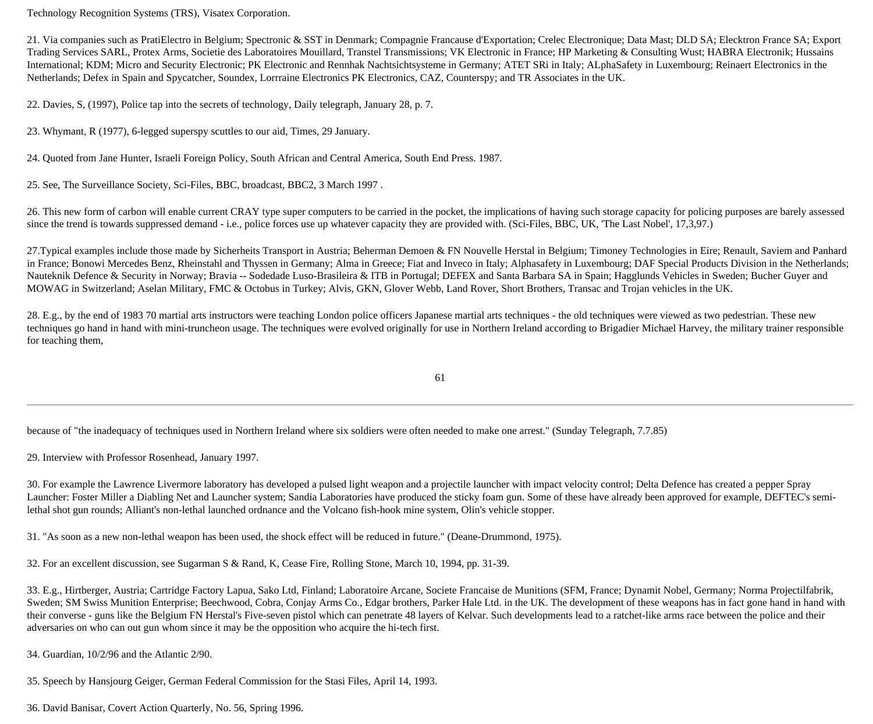Technology Recognition Systems (TRS), Visatex Corporation.

21. Via companies such as PratiElectro in Belgium; Spectronic & SST in Denmark; Compagnie Francause d'Exportation; Crelec Electronique; Data Mast; DLD SA; Elecktron France SA; Export Trading Services SARL, Protex Arms, Societie des Laboratoires Mouillard, Transtel Transmissions; VK Electronic in France; HP Marketing & Consulting Wust; HABRA Electronik; Hussains International; KDM; Micro and Security Electronic; PK Electronic and Rennhak Nachtsichtsysteme in Germany; ATET SRi in Italy; ALphaSafety in Luxembourg; Reinaert Electronics in the Netherlands; Defex in Spain and Spycatcher, Soundex, Lorrraine Electronics PK Electronics, CAZ, Counterspy; and TR Associates in the UK.

22. Davies, S, (1997), Police tap into the secrets of technology, Daily telegraph, January 28, p. 7.

23. Whymant, R (1977), 6-legged superspy scuttles to our aid, Times, 29 January.

24. Quoted from Jane Hunter, Israeli Foreign Policy, South African and Central America, South End Press. 1987.

25. See, The Surveillance Society, Sci-Files, BBC, broadcast, BBC2, 3 March 1997 .

26. This new form of carbon will enable current CRAY type super computers to be carried in the pocket, the implications of having such storage capacity for policing purposes are barely assessed since the trend is towards suppressed demand - i.e., police forces use up whatever capacity they are provided with. (Sci-Files, BBC, UK, 'The Last Nobel', 17,3,97.)

27.Typical examples include those made by Sicherheits Transport in Austria; Beherman Demoen & FN Nouvelle Herstal in Belgium; Timoney Technologies in Eire; Renault, Saviem and Panhard in France; Bonowi Mercedes Benz, Rheinstahl and Thyssen in Germany; Alma in Greece; Fiat and Inveco in Italy; Alphasafety in Luxembourg; DAF Special Products Division in the Netherlands; Nauteknik Defence & Security in Norway; Bravia -- Sodedade Luso-Brasileira & ITB in Portugal; DEFEX and Santa Barbara SA in Spain; Hagglunds Vehicles in Sweden; Bucher Guyer and MOWAG in Switzerland; Aselan Military, FMC & Octobus in Turkey; Alvis, GKN, Glover Webb, Land Rover, Short Brothers, Transac and Trojan vehicles in the UK.

28. E.g., by the end of 1983 70 martial arts instructors were teaching London police officers Japanese martial arts techniques - the old techniques were viewed as two pedestrian. These new techniques go hand in hand with mini-truncheon usage. The techniques were evolved originally for use in Northern Ireland according to Brigadier Michael Harvey, the military trainer responsible for teaching them,

61

because of "the inadequacy of techniques used in Northern Ireland where six soldiers were often needed to make one arrest." (Sunday Telegraph, 7.7.85)

29. Interview with Professor Rosenhead, January 1997.

30. For example the Lawrence Livermore laboratory has developed a pulsed light weapon and a projectile launcher with impact velocity control; Delta Defence has created a pepper Spray Launcher: Foster Miller a Diabling Net and Launcher system; Sandia Laboratories have produced the sticky foam gun. Some of these have already been approved for example, DEFTEC's semilethal shot gun rounds; Alliant's non-lethal launched ordnance and the Volcano fish-hook mine system, Olin's vehicle stopper.

31. "As soon as a new non-lethal weapon has been used, the shock effect will be reduced in future." (Deane-Drummond, 1975).

32. For an excellent discussion, see Sugarman S & Rand, K, Cease Fire, Rolling Stone, March 10, 1994, pp. 31-39.

33. E.g., Hirtberger, Austria; Cartridge Factory Lapua, Sako Ltd, Finland; Laboratoire Arcane, Societe Francaise de Munitions (SFM, France; Dynamit Nobel, Germany; Norma Projectilfabrik, Sweden; SM Swiss Munition Enterprise; Beechwood, Cobra, Conjay Arms Co., Edgar brothers, Parker Hale Ltd. in the UK. The development of these weapons has in fact gone hand in hand with their converse - guns like the Belgium FN Herstal's Five-seven pistol which can penetrate 48 layers of Kelvar. Such developments lead to a ratchet-like arms race between the police and their adversaries on who can out gun whom since it may be the opposition who acquire the hi-tech first.

34. Guardian, 10/2/96 and the Atlantic 2/90.

35. Speech by Hansjourg Geiger, German Federal Commission for the Stasi Files, April 14, 1993.

36. David Banisar, Covert Action Quarterly, No. 56, Spring 1996.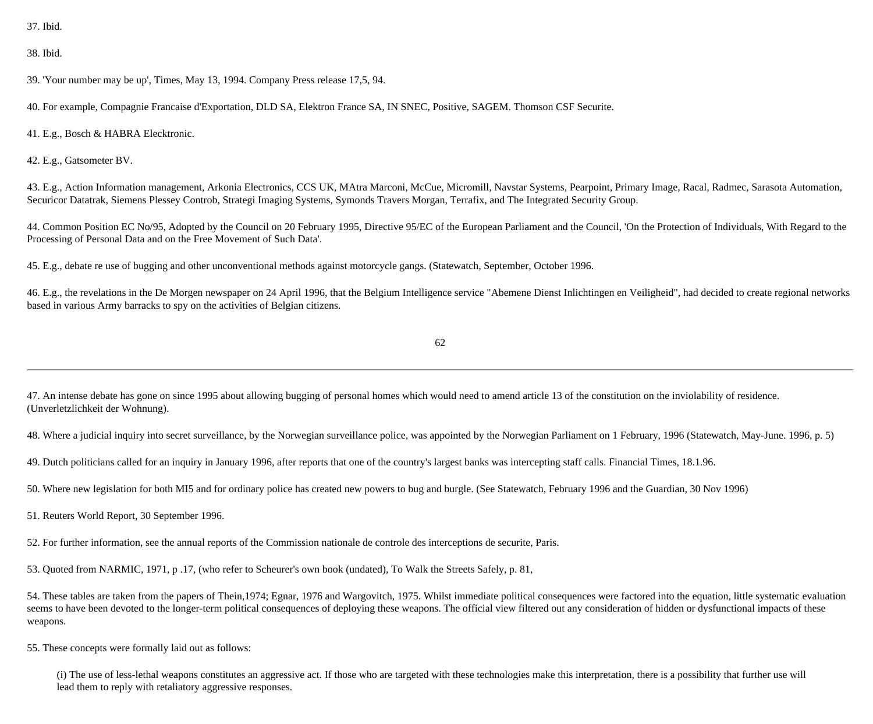37. Ibid.

#### 38. Ibid.

39. 'Your number may be up', Times, May 13, 1994. Company Press release 17,5, 94.

40. For example, Compagnie Francaise d'Exportation, DLD SA, Elektron France SA, IN SNEC, Positive, SAGEM. Thomson CSF Securite.

41. E.g., Bosch & HABRA Elecktronic.

42. E.g., Gatsometer BV.

43. E.g., Action Information management, Arkonia Electronics, CCS UK, MAtra Marconi, McCue, Micromill, Navstar Systems, Pearpoint, Primary Image, Racal, Radmec, Sarasota Automation, Securicor Datatrak, Siemens Plessey Controb, Strategi Imaging Systems, Symonds Travers Morgan, Terrafix, and The Integrated Security Group.

44. Common Position EC No/95, Adopted by the Council on 20 February 1995, Directive 95/EC of the European Parliament and the Council, 'On the Protection of Individuals, With Regard to the Processing of Personal Data and on the Free Movement of Such Data'.

45. E.g., debate re use of bugging and other unconventional methods against motorcycle gangs. (Statewatch, September, October 1996.

46. E.g., the revelations in the De Morgen newspaper on 24 April 1996, that the Belgium Intelligence service "Abemene Dienst Inlichtingen en Veiligheid", had decided to create regional networks based in various Army barracks to spy on the activities of Belgian citizens.

62

47. An intense debate has gone on since 1995 about allowing bugging of personal homes which would need to amend article 13 of the constitution on the inviolability of residence. (Unverletzlichkeit der Wohnung).

48. Where a judicial inquiry into secret surveillance, by the Norwegian surveillance police, was appointed by the Norwegian Parliament on 1 February, 1996 (Statewatch, May-June. 1996, p. 5)

49. Dutch politicians called for an inquiry in January 1996, after reports that one of the country's largest banks was intercepting staff calls. Financial Times, 18.1.96.

50. Where new legislation for both MI5 and for ordinary police has created new powers to bug and burgle. (See Statewatch, February 1996 and the Guardian, 30 Nov 1996)

51. Reuters World Report, 30 September 1996.

52. For further information, see the annual reports of the Commission nationale de controle des interceptions de securite, Paris.

53. Quoted from NARMIC, 1971, p .17, (who refer to Scheurer's own book (undated), To Walk the Streets Safely, p. 81,

54. These tables are taken from the papers of Thein,1974; Egnar, 1976 and Wargovitch, 1975. Whilst immediate political consequences were factored into the equation, little systematic evaluation seems to have been devoted to the longer-term political consequences of deploying these weapons. The official view filtered out any consideration of hidden or dysfunctional impacts of these weapons.

55. These concepts were formally laid out as follows:

(i) The use of less-lethal weapons constitutes an aggressive act. If those who are targeted with these technologies make this interpretation, there is a possibility that further use will lead them to reply with retaliatory aggressive responses.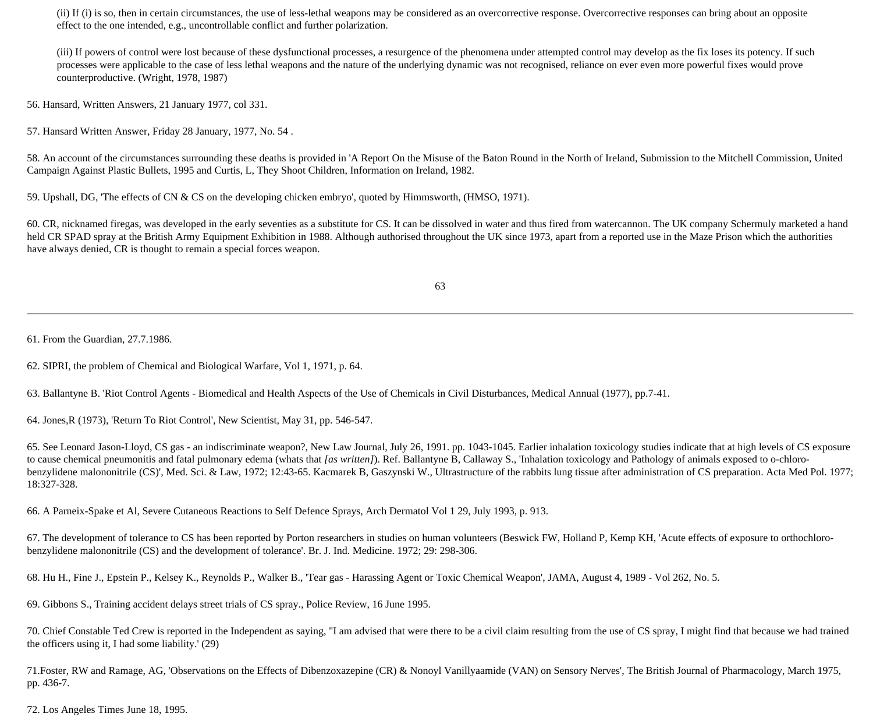(ii) If (i) is so, then in certain circumstances, the use of less-lethal weapons may be considered as an overcorrective response. Overcorrective responses can bring about an opposite effect to the one intended, e.g., uncontrollable conflict and further polarization.

(iii) If powers of control were lost because of these dysfunctional processes, a resurgence of the phenomena under attempted control may develop as the fix loses its potency. If such processes were applicable to the case of less lethal weapons and the nature of the underlying dynamic was not recognised, reliance on ever even more powerful fixes would prove counterproductive. (Wright, 1978, 1987)

56. Hansard, Written Answers, 21 January 1977, col 331.

57. Hansard Written Answer, Friday 28 January, 1977, No. 54 .

58. An account of the circumstances surrounding these deaths is provided in 'A Report On the Misuse of the Baton Round in the North of Ireland, Submission to the Mitchell Commission, United Campaign Against Plastic Bullets, 1995 and Curtis, L, They Shoot Children, Information on Ireland, 1982.

59. Upshall, DG, 'The effects of CN & CS on the developing chicken embryo', quoted by Himmsworth, (HMSO, 1971).

60. CR, nicknamed firegas, was developed in the early seventies as a substitute for CS. It can be dissolved in water and thus fired from watercannon. The UK company Schermuly marketed a hand held CR SPAD spray at the British Army Equipment Exhibition in 1988. Although authorised throughout the UK since 1973, apart from a reported use in the Maze Prison which the authorities have always denied, CR is thought to remain a special forces weapon.

63

61. From the Guardian, 27.7.1986.

62. SIPRI, the problem of Chemical and Biological Warfare, Vol 1, 1971, p. 64.

63. Ballantyne B. 'Riot Control Agents - Biomedical and Health Aspects of the Use of Chemicals in Civil Disturbances, Medical Annual (1977), pp.7-41.

64. Jones,R (1973), 'Return To Riot Control', New Scientist, May 31, pp. 546-547.

65. See Leonard Jason-Lloyd, CS gas - an indiscriminate weapon?, New Law Journal, July 26, 1991. pp. 1043-1045. Earlier inhalation toxicology studies indicate that at high levels of CS exposure to cause chemical pneumonitis and fatal pulmonary edema (whats that *[as written]*). Ref. Ballantyne B, Callaway S., 'Inhalation toxicology and Pathology of animals exposed to o-chlorobenzylidene malononitrile (CS)', Med. Sci. & Law, 1972; 12:43-65. Kacmarek B, Gaszynski W., Ultrastructure of the rabbits lung tissue after administration of CS preparation. Acta Med Pol. 1977; 18:327-328.

66. A Parneix-Spake et Al, Severe Cutaneous Reactions to Self Defence Sprays, Arch Dermatol Vol 1 29, July 1993, p. 913.

67. The development of tolerance to CS has been reported by Porton researchers in studies on human volunteers (Beswick FW, Holland P, Kemp KH, 'Acute effects of exposure to orthochlorobenzylidene malononitrile (CS) and the development of tolerance'. Br. J. Ind. Medicine. 1972; 29: 298-306.

68. Hu H., Fine J., Epstein P., Kelsey K., Reynolds P., Walker B., 'Tear gas - Harassing Agent or Toxic Chemical Weapon', JAMA, August 4, 1989 - Vol 262, No. 5.

69. Gibbons S., Training accident delays street trials of CS spray., Police Review, 16 June 1995.

70. Chief Constable Ted Crew is reported in the Independent as saying, "I am advised that were there to be a civil claim resulting from the use of CS spray, I might find that because we had trained the officers using it, I had some liability.' (29)

71.Foster, RW and Ramage, AG, 'Observations on the Effects of Dibenzoxazepine (CR) & Nonoyl Vanillyaamide (VAN) on Sensory Nerves', The British Journal of Pharmacology, March 1975, pp. 436-7.

72. Los Angeles Times June 18, 1995.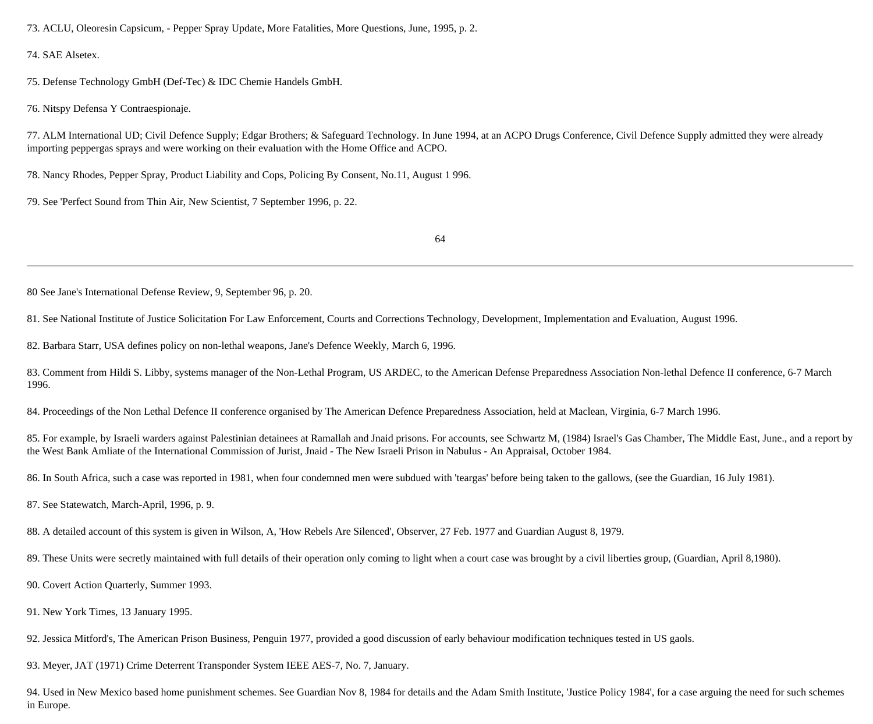73. ACLU, Oleoresin Capsicum, - Pepper Spray Update, More Fatalities, More Questions, June, 1995, p. 2.

74. SAE Alsetex.

75. Defense Technology GmbH (Def-Tec) & IDC Chemie Handels GmbH.

76. Nitspy Defensa Y Contraespionaje.

77. ALM International UD; Civil Defence Supply; Edgar Brothers; & Safeguard Technology. In June 1994, at an ACPO Drugs Conference, Civil Defence Supply admitted they were already importing peppergas sprays and were working on their evaluation with the Home Office and ACPO.

78. Nancy Rhodes, Pepper Spray, Product Liability and Cops, Policing By Consent, No.11, August 1 996.

79. See 'Perfect Sound from Thin Air, New Scientist, 7 September 1996, p. 22.

64

80 See Jane's International Defense Review, 9, September 96, p. 20.

81. See National Institute of Justice Solicitation For Law Enforcement, Courts and Corrections Technology, Development, Implementation and Evaluation, August 1996.

82. Barbara Starr, USA defines policy on non-lethal weapons, Jane's Defence Weekly, March 6, 1996.

83. Comment from Hildi S. Libby, systems manager of the Non-Lethal Program, US ARDEC, to the American Defense Preparedness Association Non-lethal Defence II conference, 6-7 March 1996.

84. Proceedings of the Non Lethal Defence II conference organised by The American Defence Preparedness Association, held at Maclean, Virginia, 6-7 March 1996.

85. For example, by Israeli warders against Palestinian detainees at Ramallah and Jnaid prisons. For accounts, see Schwartz M, (1984) Israel's Gas Chamber, The Middle East, June., and a report by the West Bank Amliate of the International Commission of Jurist, Jnaid - The New Israeli Prison in Nabulus - An Appraisal, October 1984.

86. In South Africa, such a case was reported in 1981, when four condemned men were subdued with 'teargas' before being taken to the gallows, (see the Guardian, 16 July 1981).

87. See Statewatch, March-April, 1996, p. 9.

88. A detailed account of this system is given in Wilson, A, 'How Rebels Are Silenced', Observer, 27 Feb. 1977 and Guardian August 8, 1979.

89. These Units were secretly maintained with full details of their operation only coming to light when a court case was brought by a civil liberties group, (Guardian, April 8,1980).

90. Covert Action Quarterly, Summer 1993.

91. New York Times, 13 January 1995.

92. Jessica Mitford's, The American Prison Business, Penguin 1977, provided a good discussion of early behaviour modification techniques tested in US gaols.

93. Meyer, JAT (1971) Crime Deterrent Transponder System IEEE AES-7, No. 7, January.

94. Used in New Mexico based home punishment schemes. See Guardian Nov 8, 1984 for details and the Adam Smith Institute, 'Justice Policy 1984', for a case arguing the need for such schemes in Europe.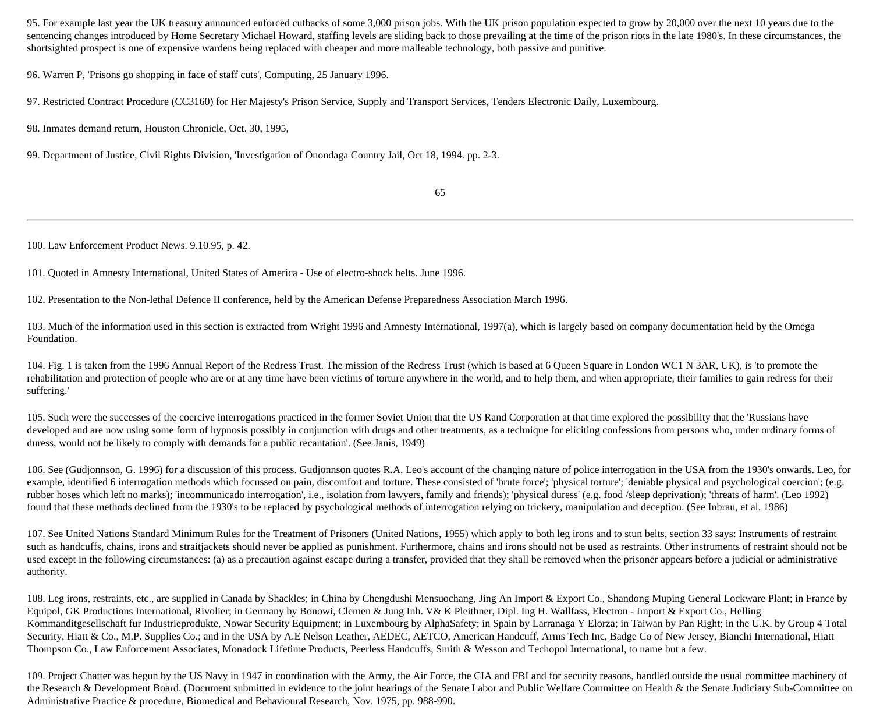95. For example last year the UK treasury announced enforced cutbacks of some 3,000 prison jobs. With the UK prison population expected to grow by 20,000 over the next 10 years due to the sentencing changes introduced by Home Secretary Michael Howard, staffing levels are sliding back to those prevailing at the time of the prison riots in the late 1980's. In these circumstances, the shortsighted prospect is one of expensive wardens being replaced with cheaper and more malleable technology, both passive and punitive.

96. Warren P, 'Prisons go shopping in face of staff cuts', Computing, 25 January 1996.

97. Restricted Contract Procedure (CC3160) for Her Majesty's Prison Service, Supply and Transport Services, Tenders Electronic Daily, Luxembourg.

98. Inmates demand return, Houston Chronicle, Oct. 30, 1995,

99. Department of Justice, Civil Rights Division, 'Investigation of Onondaga Country Jail, Oct 18, 1994. pp. 2-3.

65

100. Law Enforcement Product News. 9.10.95, p. 42.

101. Quoted in Amnesty International, United States of America - Use of electro-shock belts. June 1996.

102. Presentation to the Non-lethal Defence II conference, held by the American Defense Preparedness Association March 1996.

103. Much of the information used in this section is extracted from Wright 1996 and Amnesty International, 1997(a), which is largely based on company documentation held by the Omega Foundation.

104. Fig. 1 is taken from the 1996 Annual Report of the Redress Trust. The mission of the Redress Trust (which is based at 6 Queen Square in London WC1 N 3AR, UK), is 'to promote the rehabilitation and protection of people who are or at any time have been victims of torture anywhere in the world, and to help them, and when appropriate, their families to gain redress for their suffering.'

105. Such were the successes of the coercive interrogations practiced in the former Soviet Union that the US Rand Corporation at that time explored the possibility that the 'Russians have developed and are now using some form of hypnosis possibly in conjunction with drugs and other treatments, as a technique for eliciting confessions from persons who, under ordinary forms of duress, would not be likely to comply with demands for a public recantation'. (See Janis, 1949)

106. See (Gudjonnson, G. 1996) for a discussion of this process. Gudjonnson quotes R.A. Leo's account of the changing nature of police interrogation in the USA from the 1930's onwards. Leo, for example, identified 6 interrogation methods which focussed on pain, discomfort and torture. These consisted of 'brute force'; 'physical torture'; 'deniable physical and psychological coercion'; (e.g. rubber hoses which left no marks); 'incommunicado interrogation', i.e., isolation from lawyers, family and friends); 'physical duress' (e.g. food /sleep deprivation); 'threats of harm'. (Leo 1992) found that these methods declined from the 1930's to be replaced by psychological methods of interrogation relying on trickery, manipulation and deception. (See Inbrau, et al. 1986)

107. See United Nations Standard Minimum Rules for the Treatment of Prisoners (United Nations, 1955) which apply to both leg irons and to stun belts, section 33 says: Instruments of restraint such as handcuffs, chains, irons and straitjackets should never be applied as punishment. Furthermore, chains and irons should not be used as restraints. Other instruments of restraint should not be used except in the following circumstances: (a) as a precaution against escape during a transfer, provided that they shall be removed when the prisoner appears before a judicial or administrative authority.

108. Leg irons, restraints, etc., are supplied in Canada by Shackles; in China by Chengdushi Mensuochang, Jing An Import & Export Co., Shandong Muping General Lockware Plant; in France by Equipol, GK Productions International, Rivolier; in Germany by Bonowi, Clemen & Jung Inh. V& K Pleithner, Dipl. Ing H. Wallfass, Electron - Import & Export Co., Helling Kommanditgesellschaft fur Industrieprodukte, Nowar Security Equipment; in Luxembourg by AlphaSafety; in Spain by Larranaga Y Elorza; in Taiwan by Pan Right; in the U.K. by Group 4 Total Security, Hiatt & Co., M.P. Supplies Co.; and in the USA by A.E Nelson Leather, AEDEC, AETCO, American Handcuff, Arms Tech Inc, Badge Co of New Jersey, Bianchi International, Hiatt Thompson Co., Law Enforcement Associates, Monadock Lifetime Products, Peerless Handcuffs, Smith & Wesson and Techopol International, to name but a few.

109. Project Chatter was begun by the US Navy in 1947 in coordination with the Army, the Air Force, the CIA and FBI and for security reasons, handled outside the usual committee machinery of the Research & Development Board. (Document submitted in evidence to the joint hearings of the Senate Labor and Public Welfare Committee on Health & the Senate Judiciary Sub-Committee on Administrative Practice & procedure, Biomedical and Behavioural Research, Nov. 1975, pp. 988-990.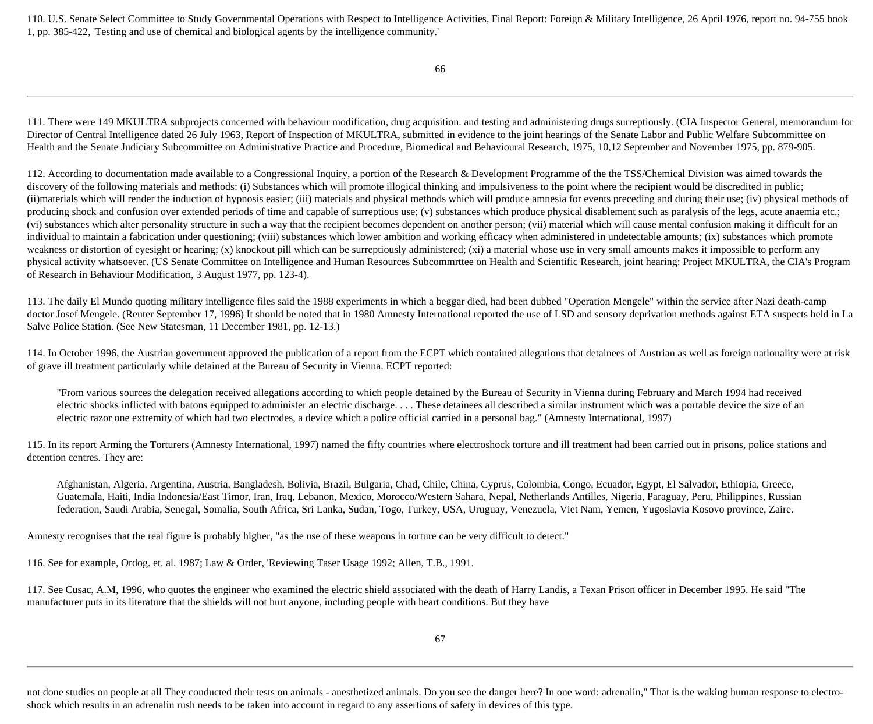110. U.S. Senate Select Committee to Study Governmental Operations with Respect to Intelligence Activities, Final Report: Foreign & Military Intelligence, 26 April 1976, report no. 94-755 book 1, pp. 385-422, 'Testing and use of chemical and biological agents by the intelligence community.'

66

111. There were 149 MKULTRA subprojects concerned with behaviour modification, drug acquisition. and testing and administering drugs surreptiously. (CIA Inspector General, memorandum for Director of Central Intelligence dated 26 July 1963, Report of Inspection of MKULTRA, submitted in evidence to the joint hearings of the Senate Labor and Public Welfare Subcommittee on Health and the Senate Judiciary Subcommittee on Administrative Practice and Procedure, Biomedical and Behavioural Research, 1975, 10,12 September and November 1975, pp. 879-905.

112. According to documentation made available to a Congressional Inquiry, a portion of the Research & Development Programme of the the TSS/Chemical Division was aimed towards the discovery of the following materials and methods: (i) Substances which will promote illogical thinking and impulsiveness to the point where the recipient would be discredited in public; (ii)materials which will render the induction of hypnosis easier; (iii) materials and physical methods which will produce amnesia for events preceding and during their use; (iv) physical methods of producing shock and confusion over extended periods of time and capable of surreptious use; (v) substances which produce physical disablement such as paralysis of the legs, acute anaemia etc.; (vi) substances which alter personality structure in such a way that the recipient becomes dependent on another person; (vii) material which will cause mental confusion making it difficult for an individual to maintain a fabrication under questioning; (viii) substances which lower ambition and working efficacy when administered in undetectable amounts; (ix) substances which promote weakness or distortion of eyesight or hearing; (x) knockout pill which can be surreptiously administered; (xi) a material whose use in very small amounts makes it impossible to perform any physical activity whatsoever. (US Senate Committee on Intelligence and Human Resources Subcommrttee on Health and Scientific Research, joint hearing: Project MKULTRA, the CIA's Program of Research in Behaviour Modification, 3 August 1977, pp. 123-4).

113. The daily El Mundo quoting military intelligence files said the 1988 experiments in which a beggar died, had been dubbed "Operation Mengele" within the service after Nazi death-camp doctor Josef Mengele. (Reuter September 17, 1996) It should be noted that in 1980 Amnesty International reported the use of LSD and sensory deprivation methods against ETA suspects held in La Salve Police Station. (See New Statesman, 11 December 1981, pp. 12-13.)

114. In October 1996, the Austrian government approved the publication of a report from the ECPT which contained allegations that detainees of Austrian as well as foreign nationality were at risk of grave ill treatment particularly while detained at the Bureau of Security in Vienna. ECPT reported:

"From various sources the delegation received allegations according to which people detained by the Bureau of Security in Vienna during February and March 1994 had received electric shocks inflicted with batons equipped to administer an electric discharge. . . . These detainees all described a similar instrument which was a portable device the size of an electric razor one extremity of which had two electrodes, a device which a police official carried in a personal bag." (Amnesty International, 1997)

115. In its report Arming the Torturers (Amnesty International, 1997) named the fifty countries where electroshock torture and ill treatment had been carried out in prisons, police stations and detention centres. They are:

Afghanistan, Algeria, Argentina, Austria, Bangladesh, Bolivia, Brazil, Bulgaria, Chad, Chile, China, Cyprus, Colombia, Congo, Ecuador, Egypt, El Salvador, Ethiopia, Greece, Guatemala, Haiti, India Indonesia/East Timor, Iran, Iraq, Lebanon, Mexico, Morocco/Western Sahara, Nepal, Netherlands Antilles, Nigeria, Paraguay, Peru, Philippines, Russian federation, Saudi Arabia, Senegal, Somalia, South Africa, Sri Lanka, Sudan, Togo, Turkey, USA, Uruguay, Venezuela, Viet Nam, Yemen, Yugoslavia Kosovo province, Zaire.

Amnesty recognises that the real figure is probably higher, "as the use of these weapons in torture can be very difficult to detect."

116. See for example, Ordog. et. al. 1987; Law & Order, 'Reviewing Taser Usage 1992; Allen, T.B., 1991.

117. See Cusac, A.M, 1996, who quotes the engineer who examined the electric shield associated with the death of Harry Landis, a Texan Prison officer in December 1995. He said "The manufacturer puts in its literature that the shields will not hurt anyone, including people with heart conditions. But they have

not done studies on people at all They conducted their tests on animals - anesthetized animals. Do you see the danger here? In one word: adrenalin," That is the waking human response to electroshock which results in an adrenalin rush needs to be taken into account in regard to any assertions of safety in devices of this type.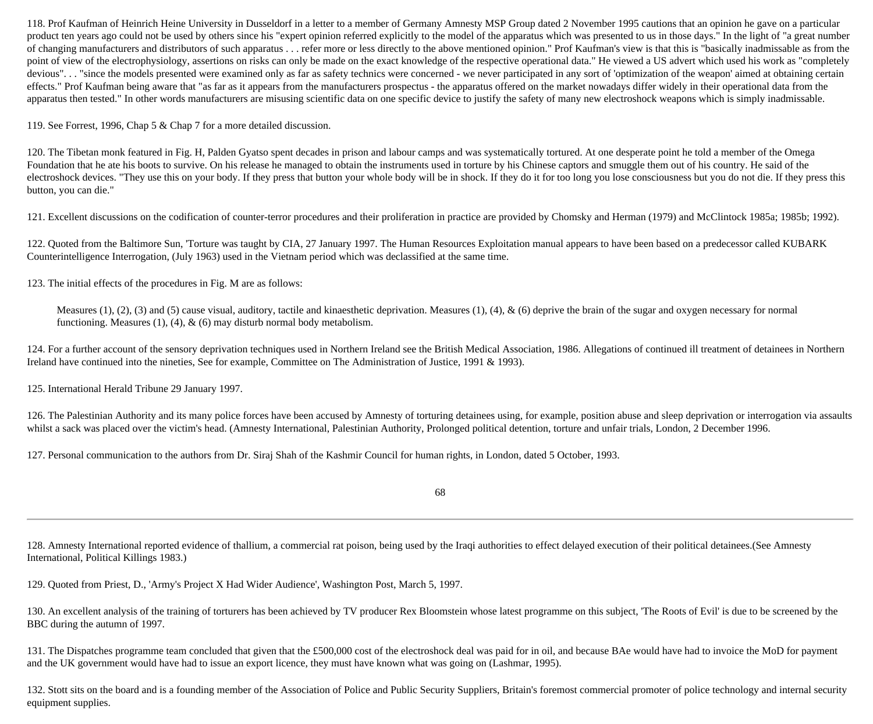118. Prof Kaufman of Heinrich Heine University in Dusseldorf in a letter to a member of Germany Amnesty MSP Group dated 2 November 1995 cautions that an opinion he gave on a particular product ten years ago could not be used by others since his "expert opinion referred explicitly to the model of the apparatus which was presented to us in those days." In the light of "a great number of changing manufacturers and distributors of such apparatus . . . refer more or less directly to the above mentioned opinion." Prof Kaufman's view is that this is "basically inadmissable as from the point of view of the electrophysiology, assertions on risks can only be made on the exact knowledge of the respective operational data." He viewed a US advert which used his work as "completely devious". . . "since the models presented were examined only as far as safety technics were concerned - we never participated in any sort of 'optimization of the weapon' aimed at obtaining certain effects." Prof Kaufman being aware that "as far as it appears from the manufacturers prospectus - the apparatus offered on the market nowadays differ widely in their operational data from the apparatus then tested." In other words manufacturers are misusing scientific data on one specific device to justify the safety of many new electroshock weapons which is simply inadmissable.

119. See Forrest, 1996, Chap 5 & Chap 7 for a more detailed discussion.

120. The Tibetan monk featured in Fig. H, Palden Gyatso spent decades in prison and labour camps and was systematically tortured. At one desperate point he told a member of the Omega Foundation that he ate his boots to survive. On his release he managed to obtain the instruments used in torture by his Chinese captors and smuggle them out of his country. He said of the electroshock devices. "They use this on your body. If they press that button your whole body will be in shock. If they do it for too long you lose consciousness but you do not die. If they press this button, you can die."

121. Excellent discussions on the codification of counter-terror procedures and their proliferation in practice are provided by Chomsky and Herman (1979) and McClintock 1985a; 1985b; 1992).

122. Quoted from the Baltimore Sun, 'Torture was taught by CIA, 27 January 1997. The Human Resources Exploitation manual appears to have been based on a predecessor called KUBARK Counterintelligence Interrogation, (July 1963) used in the Vietnam period which was declassified at the same time.

123. The initial effects of the procedures in Fig. M are as follows:

Measures  $(1)$ ,  $(2)$ ,  $(3)$  and  $(5)$  cause visual, auditory, tactile and kinaesthetic deprivation. Measures  $(1)$ ,  $(4)$ ,  $\&$   $(6)$  deprive the brain of the sugar and oxygen necessary for normal functioning. Measures (1), (4),  $\&$  (6) may disturb normal body metabolism.

124. For a further account of the sensory deprivation techniques used in Northern Ireland see the British Medical Association, 1986. Allegations of continued ill treatment of detainees in Northern Ireland have continued into the nineties, See for example, Committee on The Administration of Justice, 1991 & 1993).

125. International Herald Tribune 29 January 1997.

126. The Palestinian Authority and its many police forces have been accused by Amnesty of torturing detainees using, for example, position abuse and sleep deprivation or interrogation via assaults whilst a sack was placed over the victim's head. (Amnesty International, Palestinian Authority, Prolonged political detention, torture and unfair trials, London, 2 December 1996.

127. Personal communication to the authors from Dr. Siraj Shah of the Kashmir Council for human rights, in London, dated 5 October, 1993.

68

128. Amnesty International reported evidence of thallium, a commercial rat poison, being used by the Iraqi authorities to effect delayed execution of their political detainees.(See Amnesty International, Political Killings 1983.)

129. Quoted from Priest, D., 'Army's Project X Had Wider Audience', Washington Post, March 5, 1997.

130. An excellent analysis of the training of torturers has been achieved by TV producer Rex Bloomstein whose latest programme on this subject, 'The Roots of Evil' is due to be screened by the BBC during the autumn of 1997.

131. The Dispatches programme team concluded that given that the £500,000 cost of the electroshock deal was paid for in oil, and because BAe would have had to invoice the MoD for payment and the UK government would have had to issue an export licence, they must have known what was going on (Lashmar, 1995).

132. Stott sits on the board and is a founding member of the Association of Police and Public Security Suppliers, Britain's foremost commercial promoter of police technology and internal security equipment supplies.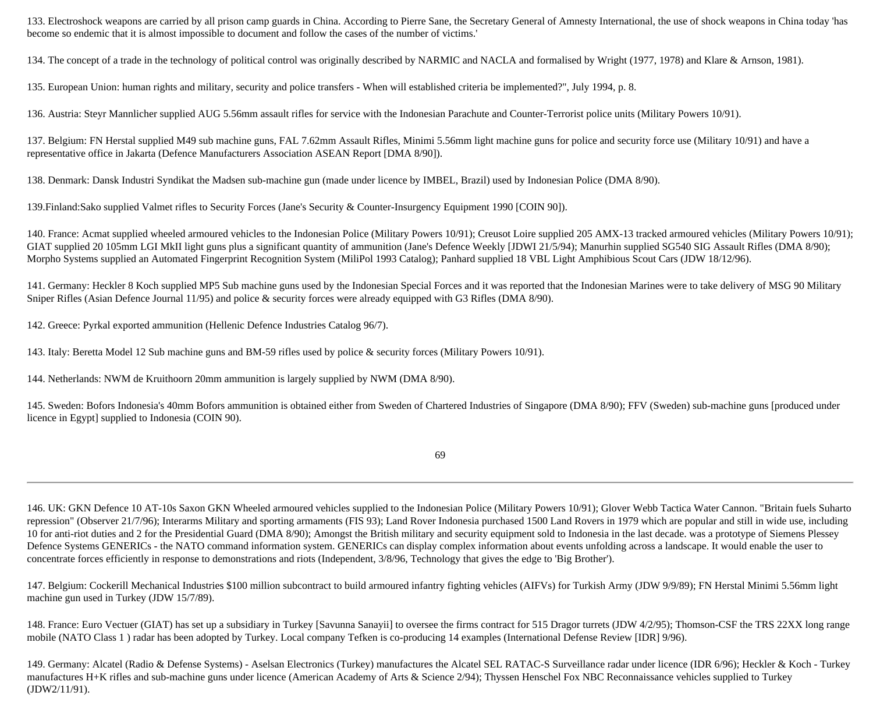133. Electroshock weapons are carried by all prison camp guards in China. According to Pierre Sane, the Secretary General of Amnesty International, the use of shock weapons in China today 'has become so endemic that it is almost impossible to document and follow the cases of the number of victims.'

134. The concept of a trade in the technology of political control was originally described by NARMIC and NACLA and formalised by Wright (1977, 1978) and Klare & Arnson, 1981).

135. European Union: human rights and military, security and police transfers - When will established criteria be implemented?", July 1994, p. 8.

136. Austria: Steyr Mannlicher supplied AUG 5.56mm assault rifles for service with the Indonesian Parachute and Counter-Terrorist police units (Military Powers 10/91).

137. Belgium: FN Herstal supplied M49 sub machine guns, FAL 7.62mm Assault Rifles, Minimi 5.56mm light machine guns for police and security force use (Military 10/91) and have a representative office in Jakarta (Defence Manufacturers Association ASEAN Report [DMA 8/90]).

138. Denmark: Dansk Industri Syndikat the Madsen sub-machine gun (made under licence by IMBEL, Brazil) used by Indonesian Police (DMA 8/90).

139.Finland:Sako supplied Valmet rifles to Security Forces (Jane's Security & Counter-Insurgency Equipment 1990 [COIN 90]).

140. France: Acmat supplied wheeled armoured vehicles to the Indonesian Police (Military Powers 10/91); Creusot Loire supplied 205 AMX-13 tracked armoured vehicles (Military Powers 10/91); GIAT supplied 20 105mm LGI MkII light guns plus a significant quantity of ammunition (Jane's Defence Weekly [JDWI 21/5/94); Manurhin supplied SG540 SIG Assault Rifles (DMA 8/90); Morpho Systems supplied an Automated Fingerprint Recognition System (MiliPol 1993 Catalog); Panhard supplied 18 VBL Light Amphibious Scout Cars (JDW 18/12/96).

141. Germany: Heckler 8 Koch supplied MP5 Sub machine guns used by the Indonesian Special Forces and it was reported that the Indonesian Marines were to take delivery of MSG 90 Military Sniper Rifles (Asian Defence Journal 11/95) and police & security forces were already equipped with G3 Rifles (DMA 8/90).

142. Greece: Pyrkal exported ammunition (Hellenic Defence Industries Catalog 96/7).

143. Italy: Beretta Model 12 Sub machine guns and BM-59 rifles used by police & security forces (Military Powers 10/91).

144. Netherlands: NWM de Kruithoorn 20mm ammunition is largely supplied by NWM (DMA 8/90).

145. Sweden: Bofors Indonesia's 40mm Bofors ammunition is obtained either from Sweden of Chartered Industries of Singapore (DMA 8/90); FFV (Sweden) sub-machine guns [produced under licence in Egypt] supplied to Indonesia (COIN 90).

69

146. UK: GKN Defence 10 AT-10s Saxon GKN Wheeled armoured vehicles supplied to the Indonesian Police (Military Powers 10/91); Glover Webb Tactica Water Cannon. "Britain fuels Suharto repression" (Observer 21/7/96); Interarms Military and sporting armaments (FIS 93); Land Rover Indonesia purchased 1500 Land Rovers in 1979 which are popular and still in wide use, including 10 for anti-riot duties and 2 for the Presidential Guard (DMA 8/90); Amongst the British military and security equipment sold to Indonesia in the last decade. was a prototype of Siemens Plessey Defence Systems GENERICs - the NATO command information system. GENERICs can display complex information about events unfolding across a landscape. It would enable the user to concentrate forces efficiently in response to demonstrations and riots (Independent, 3/8/96, Technology that gives the edge to 'Big Brother').

147. Belgium: Cockerill Mechanical Industries \$100 million subcontract to build armoured infantry fighting vehicles (AIFVs) for Turkish Army (JDW 9/9/89); FN Herstal Minimi 5.56mm light machine gun used in Turkey (JDW 15/7/89).

148. France: Euro Vectuer (GIAT) has set up a subsidiary in Turkey [Savunna Sanayii] to oversee the firms contract for 515 Dragor turrets (JDW 4/2/95); Thomson-CSF the TRS 22XX long range mobile (NATO Class 1 ) radar has been adopted by Turkey. Local company Tefken is co-producing 14 examples (International Defense Review [IDR] 9/96).

149. Germany: Alcatel (Radio & Defense Systems) - Aselsan Electronics (Turkey) manufactures the Alcatel SEL RATAC-S Surveillance radar under licence (IDR 6/96); Heckler & Koch - Turkey manufactures H+K rifles and sub-machine guns under licence (American Academy of Arts & Science 2/94); Thyssen Henschel Fox NBC Reconnaissance vehicles supplied to Turkey (JDW2/11/91).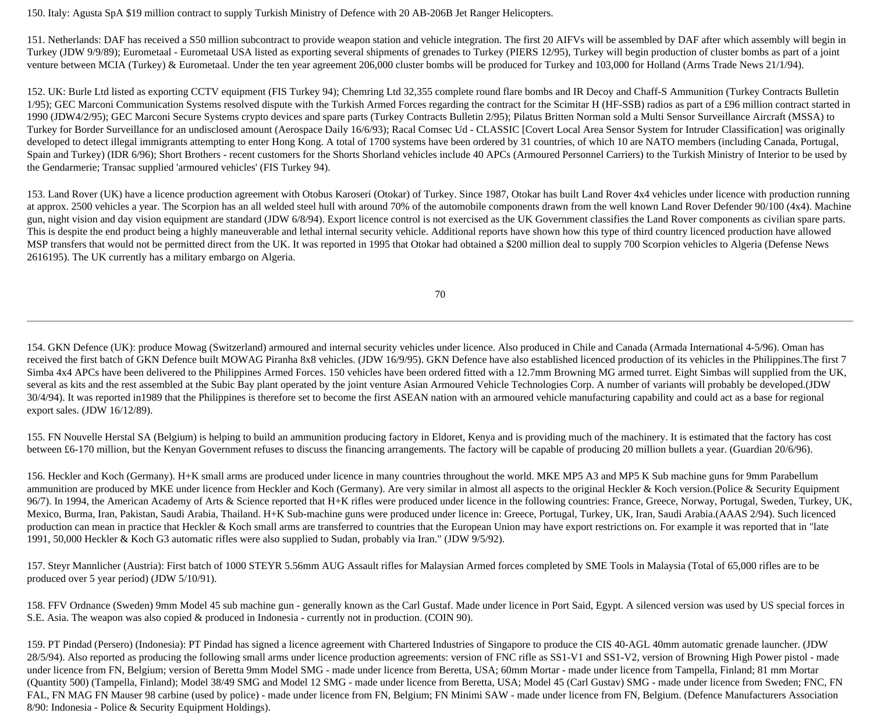150. Italy: Agusta SpA \$19 million contract to supply Turkish Ministry of Defence with 20 AB-206B Jet Ranger Helicopters.

151. Netherlands: DAF has received a S50 million subcontract to provide weapon station and vehicle integration. The first 20 AIFVs will be assembled by DAF after which assembly will begin in Turkey (JDW 9/9/89); Eurometaal - Eurometaal USA listed as exporting several shipments of grenades to Turkey (PIERS 12/95), Turkey will begin production of cluster bombs as part of a joint venture between MCIA (Turkey) & Eurometaal. Under the ten year agreement 206,000 cluster bombs will be produced for Turkey and 103,000 for Holland (Arms Trade News 21/1/94).

152. UK: Burle Ltd listed as exporting CCTV equipment (FIS Turkey 94); Chemring Ltd 32,355 complete round flare bombs and IR Decoy and Chaff-S Ammunition (Turkey Contracts Bulletin  $1/95$ ; GEC Marconi Communication Systems resolved dispute with the Turkish Armed Forces regarding the contract for the Scimitar H (HF-SSB) radios as part of a £96 million contract started in 1990 (JDW4/2/95); GEC Marconi Secure Systems crypto devices and spare parts (Turkey Contracts Bulletin 2/95); Pilatus Britten Norman sold a Multi Sensor Surveillance Aircraft (MSSA) to Turkey for Border Surveillance for an undisclosed amount (Aerospace Daily 16/6/93); Racal Comsec Ud - CLASSIC [Covert Local Area Sensor System for Intruder Classification] was originally developed to detect illegal immigrants attempting to enter Hong Kong. A total of 1700 systems have been ordered by 31 countries, of which 10 are NATO members (including Canada, Portugal, Spain and Turkey) (IDR 6/96); Short Brothers - recent customers for the Shorts Shorland vehicles include 40 APCs (Armoured Personnel Carriers) to the Turkish Ministry of Interior to be used by the Gendarmerie; Transac supplied 'armoured vehicles' (FIS Turkey 94).

153. Land Rover (UK) have a licence production agreement with Otobus Karoseri (Otokar) of Turkey. Since 1987, Otokar has built Land Rover 4x4 vehicles under licence with production running at approx. 2500 vehicles a year. The Scorpion has an all welded steel hull with around 70% of the automobile components drawn from the well known Land Rover Defender 90/100 (4x4). Machine gun, night vision and day vision equipment are standard (JDW 6/8/94). Export licence control is not exercised as the UK Government classifies the Land Rover components as civilian spare parts. This is despite the end product being a highly maneuverable and lethal internal security vehicle. Additional reports have shown how this type of third country licenced production have allowed MSP transfers that would not be permitted direct from the UK. It was reported in 1995 that Otokar had obtained a \$200 million deal to supply 700 Scorpion vehicles to Algeria (Defense News 2616195). The UK currently has a military embargo on Algeria.

70

154. GKN Defence (UK): produce Mowag (Switzerland) armoured and internal security vehicles under licence. Also produced in Chile and Canada (Armada International 4-5/96). Oman has received the first batch of GKN Defence built MOWAG Piranha 8x8 vehicles. (JDW 16/9/95). GKN Defence have also established licenced production of its vehicles in the Philippines. The first 7 Simba 4x4 APCs have been delivered to the Philippines Armed Forces. 150 vehicles have been ordered fitted with a 12.7mm Browning MG armed turret. Eight Simbas will supplied from the UK, several as kits and the rest assembled at the Subic Bay plant operated by the joint venture Asian Armoured Vehicle Technologies Corp. A number of variants will probably be developed.(JDW 30/4/94). It was reported in1989 that the Philippines is therefore set to become the first ASEAN nation with an armoured vehicle manufacturing capability and could act as a base for regional export sales. (JDW 16/12/89).

155. FN Nouvelle Herstal SA (Belgium) is helping to build an ammunition producing factory in Eldoret, Kenya and is providing much of the machinery. It is estimated that the factory has cost between £6-170 million, but the Kenyan Government refuses to discuss the financing arrangements. The factory will be capable of producing 20 million bullets a year. (Guardian 20/6/96).

156. Heckler and Koch (Germany). H+K small arms are produced under licence in many countries throughout the world. MKE MP5 A3 and MP5 K Sub machine guns for 9mm Parabellum ammunition are produced by MKE under licence from Heckler and Koch (Germany). Are very similar in almost all aspects to the original Heckler & Koch version.(Police & Security Equipment 96/7). In 1994, the American Academy of Arts & Science reported that H+K rifles were produced under licence in the following countries: France, Greece, Norway, Portugal, Sweden, Turkey, UK, Mexico, Burma, Iran, Pakistan, Saudi Arabia, Thailand. H+K Sub-machine guns were produced under licence in: Greece, Portugal, Turkey, UK, Iran, Saudi Arabia.(AAAS 2/94). Such licenced production can mean in practice that Heckler & Koch small arms are transferred to countries that the European Union may have export restrictions on. For example it was reported that in "late 1991, 50,000 Heckler & Koch G3 automatic rifles were also supplied to Sudan, probably via Iran." (JDW 9/5/92).

157. Steyr Mannlicher (Austria): First batch of 1000 STEYR 5.56mm AUG Assault rifles for Malaysian Armed forces completed by SME Tools in Malaysia (Total of 65,000 rifles are to be produced over 5 year period) (JDW 5/10/91).

158. FFV Ordnance (Sweden) 9mm Model 45 sub machine gun - generally known as the Carl Gustaf. Made under licence in Port Said, Egypt. A silenced version was used by US special forces in S.E. Asia. The weapon was also copied & produced in Indonesia - currently not in production. (COIN 90).

159. PT Pindad (Persero) (Indonesia): PT Pindad has signed a licence agreement with Chartered Industries of Singapore to produce the CIS 40-AGL 40mm automatic grenade launcher. (JDW 28/5/94). Also reported as producing the following small arms under licence production agreements: version of FNC rifle as SS1-V1 and SS1-V2, version of Browning High Power pistol - made under licence from FN, Belgium; version of Beretta 9mm Model SMG - made under licence from Beretta, USA; 60mm Mortar - made under licence from Tampella, Finland; 81 mm Mortar (Quantity 500) (Tampella, Finland); Model 38/49 SMG and Model 12 SMG - made under licence from Beretta, USA; Model 45 (Carl Gustav) SMG - made under licence from Sweden; FNC, FN FAL, FN MAG FN Mauser 98 carbine (used by police) - made under licence from FN, Belgium; FN Minimi SAW - made under licence from FN, Belgium. (Defence Manufacturers Association 8/90: Indonesia - Police & Security Equipment Holdings).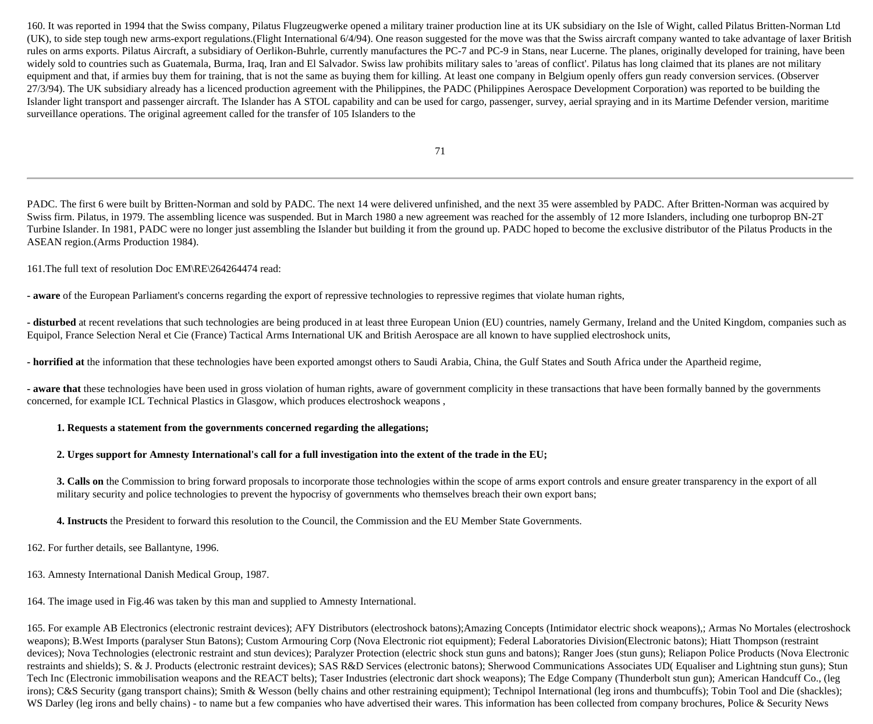160. It was reported in 1994 that the Swiss company, Pilatus Flugzeugwerke opened a military trainer production line at its UK subsidiary on the Isle of Wight, called Pilatus Britten-Norman Ltd (UK), to side step tough new arms-export regulations.(Flight International 6/4/94). One reason suggested for the move was that the Swiss aircraft company wanted to take advantage of laxer British rules on arms exports. Pilatus Aircraft, a subsidiary of Oerlikon-Buhrle, currently manufactures the PC-7 and PC-9 in Stans, near Lucerne. The planes, originally developed for training, have been widely sold to countries such as Guatemala, Burma, Iraq, Iran and El Salvador. Swiss law prohibits military sales to 'areas of conflict'. Pilatus has long claimed that its planes are not military equipment and that, if armies buy them for training, that is not the same as buying them for killing. At least one company in Belgium openly offers gun ready conversion services. (Observer 27/3/94). The UK subsidiary already has a licenced production agreement with the Philippines, the PADC (Philippines Aerospace Development Corporation) was reported to be building the Islander light transport and passenger aircraft. The Islander has A STOL capability and can be used for cargo, passenger, survey, aerial spraying and in its Martime Defender version, maritime surveillance operations. The original agreement called for the transfer of 105 Islanders to the

71

PADC. The first 6 were built by Britten-Norman and sold by PADC. The next 14 were delivered unfinished, and the next 35 were assembled by PADC. After Britten-Norman was acquired by Swiss firm. Pilatus, in 1979. The assembling licence was suspended. But in March 1980 a new agreement was reached for the assembly of 12 more Islanders, including one turboprop BN-2T Turbine Islander. In 1981, PADC were no longer just assembling the Islander but building it from the ground up. PADC hoped to become the exclusive distributor of the Pilatus Products in the ASEAN region.(Arms Production 1984).

161.The full text of resolution Doc EM\RE\264264474 read:

**- aware** of the European Parliament's concerns regarding the export of repressive technologies to repressive regimes that violate human rights,

**- disturbed** at recent revelations that such technologies are being produced in at least three European Union (EU) countries, namely Germany, Ireland and the United Kingdom, companies such as Equipol, France Selection Neral et Cie (France) Tactical Arms International UK and British Aerospace are all known to have supplied electroshock units,

**- horrified at** the information that these technologies have been exported amongst others to Saudi Arabia, China, the Gulf States and South Africa under the Apartheid regime,

**- aware that** these technologies have been used in gross violation of human rights, aware of government complicity in these transactions that have been formally banned by the governments concerned, for example ICL Technical Plastics in Glasgow, which produces electroshock weapons ,

#### **1. Requests a statement from the governments concerned regarding the allegations;**

#### **2. Urges support for Amnesty International's call for a full investigation into the extent of the trade in the EU;**

**3. Calls on** the Commission to bring forward proposals to incorporate those technologies within the scope of arms export controls and ensure greater transparency in the export of all military security and police technologies to prevent the hypocrisy of governments who themselves breach their own export bans;

**4. Instructs** the President to forward this resolution to the Council, the Commission and the EU Member State Governments.

162. For further details, see Ballantyne, 1996.

163. Amnesty International Danish Medical Group, 1987.

164. The image used in Fig.46 was taken by this man and supplied to Amnesty International.

165. For example AB Electronics (electronic restraint devices); AFY Distributors (electroshock batons);Amazing Concepts (Intimidator electric shock weapons),; Armas No Mortales (electroshock weapons); B.West Imports (paralyser Stun Batons); Custom Armouring Corp (Nova Electronic riot equipment); Federal Laboratories Division(Electronic batons); Hiatt Thompson (restraint devices); Nova Technologies (electronic restraint and stun devices); Paralyzer Protection (electric shock stun guns and batons); Ranger Joes (stun guns); Reliapon Police Products (Nova Electronic restraints and shields); S. & J. Products (electronic restraint devices); SAS R&D Services (electronic batons); Sherwood Communications Associates UD( Equaliser and Lightning stun guns); Stun Tech Inc (Electronic immobilisation weapons and the REACT belts); Taser Industries (electronic dart shock weapons); The Edge Company (Thunderbolt stun gun); American Handcuff Co., (leg irons); C&S Security (gang transport chains); Smith & Wesson (belly chains and other restraining equipment); Technipol International (leg irons and thumbcuffs); Tobin Tool and Die (shackles); WS Darley (leg irons and belly chains) - to name but a few companies who have advertised their wares. This information has been collected from company brochures, Police & Security News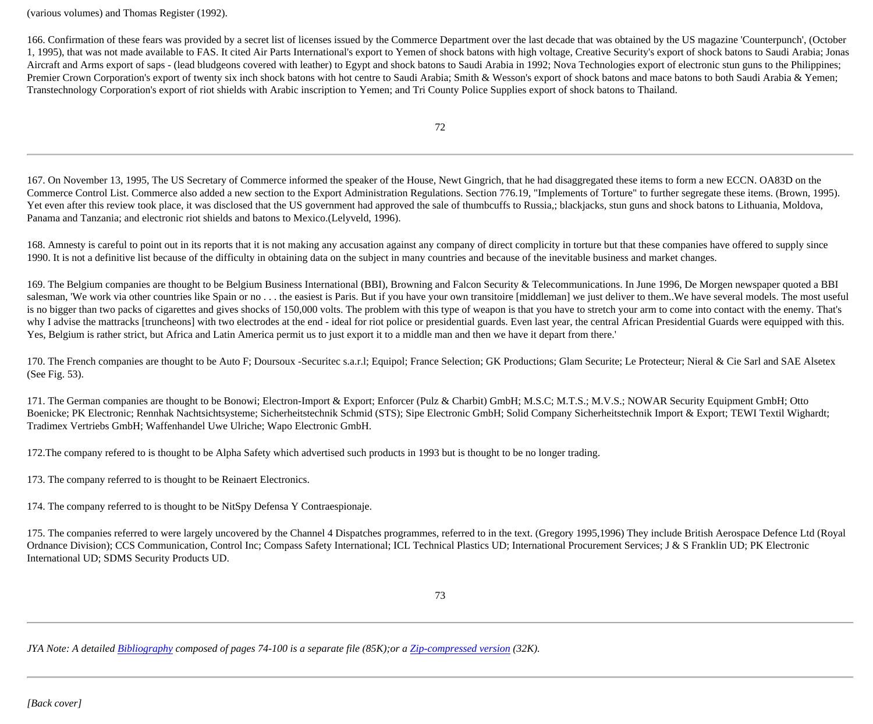(various volumes) and Thomas Register (1992).

166. Confirmation of these fears was provided by a secret list of licenses issued by the Commerce Department over the last decade that was obtained by the US magazine 'Counterpunch', (October 1, 1995), that was not made available to FAS. It cited Air Parts International's export to Yemen of shock batons with high voltage, Creative Security's export of shock batons to Saudi Arabia; Jonas Aircraft and Arms export of saps - (lead bludgeons covered with leather) to Egypt and shock batons to Saudi Arabia in 1992; Nova Technologies export of electronic stun guns to the Philippines; Premier Crown Corporation's export of twenty six inch shock batons with hot centre to Saudi Arabia; Smith & Wesson's export of shock batons and mace batons to both Saudi Arabia & Yemen; Transtechnology Corporation's export of riot shields with Arabic inscription to Yemen; and Tri County Police Supplies export of shock batons to Thailand.

72

167. On November 13, 1995, The US Secretary of Commerce informed the speaker of the House, Newt Gingrich, that he had disaggregated these items to form a new ECCN. OA83D on the Commerce Control List. Commerce also added a new section to the Export Administration Regulations. Section 776.19, "Implements of Torture" to further segregate these items. (Brown, 1995). Yet even after this review took place, it was disclosed that the US government had approved the sale of thumbcuffs to Russia,; blackjacks, stun guns and shock batons to Lithuania, Moldova, Panama and Tanzania; and electronic riot shields and batons to Mexico.(Lelyveld, 1996).

168. Amnesty is careful to point out in its reports that it is not making any accusation against any company of direct complicity in torture but that these companies have offered to supply since 1990. It is not a definitive list because of the difficulty in obtaining data on the subject in many countries and because of the inevitable business and market changes.

169. The Belgium companies are thought to be Belgium Business International (BBI), Browning and Falcon Security & Telecommunications. In June 1996, De Morgen newspaper quoted a BBI salesman, 'We work via other countries like Spain or no . . . the easiest is Paris. But if you have your own transitoire [middleman] we just deliver to them. We have several models. The most useful is no bigger than two packs of cigarettes and gives shocks of 150,000 volts. The problem with this type of weapon is that you have to stretch your arm to come into contact with the enemy. That's why I advise the mattracks [truncheons] with two electrodes at the end - ideal for riot police or presidential guards. Even last year, the central African Presidential Guards were equipped with this. Yes, Belgium is rather strict, but Africa and Latin America permit us to just export it to a middle man and then we have it depart from there.'

170. The French companies are thought to be Auto F; Doursoux -Securitec s.a.r.l; Equipol; France Selection; GK Productions; Glam Securite; Le Protecteur; Nieral & Cie Sarl and SAE Alsetex (See Fig. 53).

171. The German companies are thought to be Bonowi; Electron-Import & Export; Enforcer (Pulz & Charbit) GmbH; M.S.C; M.T.S.; M.V.S.; NOWAR Security Equipment GmbH; Otto Boenicke; PK Electronic; Rennhak Nachtsichtsysteme; Sicherheitstechnik Schmid (STS); Sipe Electronic GmbH; Solid Company Sicherheitstechnik Import & Export; TEWI Textil Wighardt; Tradimex Vertriebs GmbH; Waffenhandel Uwe Ulriche; Wapo Electronic GmbH.

172.The company refered to is thought to be Alpha Safety which advertised such products in 1993 but is thought to be no longer trading.

173. The company referred to is thought to be Reinaert Electronics.

174. The company referred to is thought to be NitSpy Defensa Y Contraespionaje.

175. The companies referred to were largely uncovered by the Channel 4 Dispatches programmes, referred to in the text. (Gregory 1995,1996) They include British Aerospace Defence Ltd (Royal Ordnance Division); CCS Communication, Control Inc; Compass Safety International; ICL Technical Plastics UD; International Procurement Services; J & S Franklin UD; PK Electronic International UD; SDMS Security Products UD.

*JYA Note: A detailed [Bibliography](http://jya.com/stoa-bib.htm) composed of pages 74-100 is a separate file (85K);or a [Zip-compressed version](http://jya.com/stoa-bib.zip) (32K).*